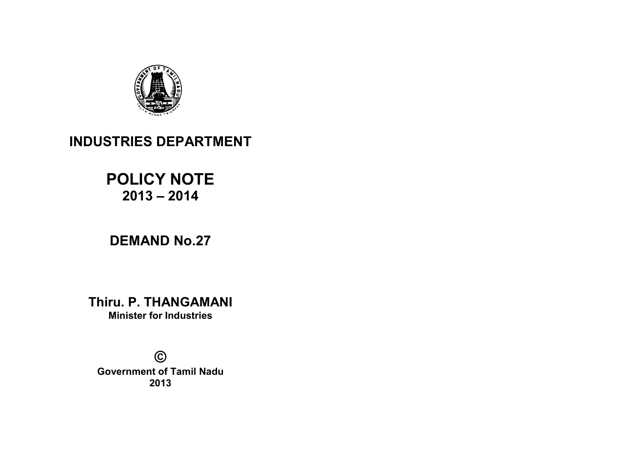

# INDUSTRIES DEPARTMENT

# POLICY NOTE  $2013 - 2014$

# DEMAND No.27

Thiru. P. THANGAMANI Minister for Industries

© Government of Tamil Nadu 2013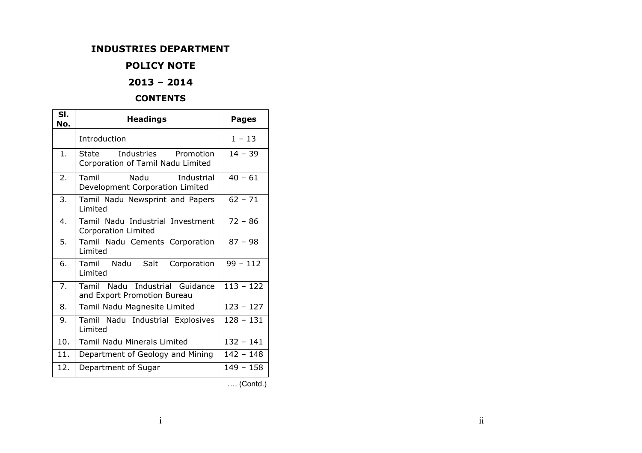## INDUSTRIES DEPARTMENT

# POLICY NOTE

# 2013 – 2014

#### **CONTENTS**

| SI.<br>No. | <b>Headings</b>                                                       | <b>Pages</b> |
|------------|-----------------------------------------------------------------------|--------------|
|            | Introduction                                                          | $1 - 13$     |
| 1.         | Industries<br>Promotion<br>State<br>Corporation of Tamil Nadu Limited | $14 - 39$    |
| 2.         | Nadu<br>Tamil<br>Industrial<br>Development Corporation Limited        | $40 - 61$    |
| 3.         | Tamil Nadu Newsprint and Papers<br>Limited                            | $62 - 71$    |
| 4.         | Tamil Nadu Industrial Investment<br><b>Corporation Limited</b>        | $72 - 86$    |
| 5.         | Tamil Nadu Cements Corporation<br>Limited                             | $87 - 98$    |
| 6.         | Nadu<br>Salt<br>Tamil<br>Corporation<br>Limited                       | $99 - 112$   |
| 7.         | Tamil Nadu Industrial Guidance<br>and Export Promotion Bureau         | $113 - 122$  |
| 8.         | Tamil Nadu Magnesite Limited                                          | $123 - 127$  |
| 9.         | Tamil Nadu Industrial Explosives<br>Limited                           | $128 - 131$  |
| 10.        | <b>Tamil Nadu Minerals Limited</b>                                    | $132 - 141$  |
| 11.        | Department of Geology and Mining                                      | $142 - 148$  |
| 12.        | Department of Sugar                                                   | $149 - 158$  |
|            |                                                                       |              |

-. (Contd.)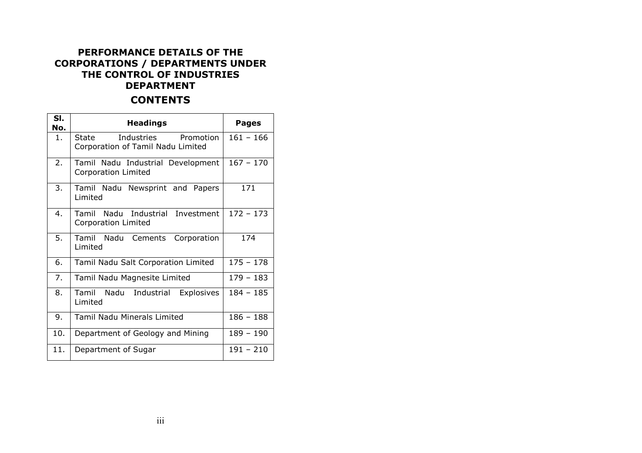# PERFORMANCE DETAILS OF THE CORPORATIONS / DEPARTMENTS UNDER THE CONTROL OF INDUSTRIES DEPARTMENT

# **CONTENTS**

| SI.<br>No.     | <b>Headings</b>                                                    | <b>Pages</b> |
|----------------|--------------------------------------------------------------------|--------------|
| 1 <sup>1</sup> | Industries Promotion<br>State<br>Corporation of Tamil Nadu Limited | $161 - 166$  |
| 2.             | Tamil Nadu Industrial Development<br><b>Corporation Limited</b>    | $167 - 170$  |
| 3.             | Tamil Nadu Newsprint and Papers<br>Limited                         | 171          |
| $\mathbf 4$ .  | Tamil Nadu Industrial Investment<br><b>Corporation Limited</b>     | $172 - 173$  |
| 5.             | Tamil Nadu Cements<br>Corporation<br>Limited                       | 174          |
| 6.             | Tamil Nadu Salt Corporation Limited                                | $175 - 178$  |
| 7.             | Tamil Nadu Magnesite Limited                                       | $179 - 183$  |
| 8.             | Tamil Nadu<br>Industrial<br>Explosives<br>Limited                  | $184 - 185$  |
| 9.             | <b>Tamil Nadu Minerals Limited</b>                                 | $186 - 188$  |
| 10.            | Department of Geology and Mining                                   | $189 - 190$  |
| 11.            | Department of Sugar                                                | $191 - 210$  |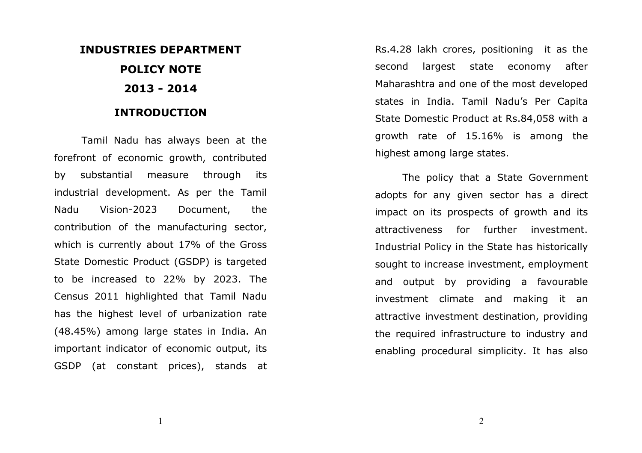# INDUSTRIES DEPARTMENT POLICY NOTE 2013 - 2014

# INTRODUCTION

Tamil Nadu has always been at the forefront of economic growth, contributed by substantial measure through its industrial development. As per the Tamil Nadu Vision-2023 Document, the contribution of the manufacturing sector, which is currently about 17% of the Gross State Domestic Product (GSDP) is targeted to be increased to 22% by 2023. The Census 2011 highlighted that Tamil Nadu has the highest level of urbanization rate (48.45%) among large states in India. An important indicator of economic output, its GSDP (at constant prices), stands at Rs.4.28 lakh crores, positioning it as the second largest state economy after Maharashtra and one of the most developed states in India. Tamil Nadu's Per Capita State Domestic Product at Rs.84,058 with a growth rate of 15.16% is among the highest among large states.

The policy that a State Government adopts for any given sector has a direct impact on its prospects of growth and its attractiveness for further investment. Industrial Policy in the State has historically sought to increase investment, employment and output by providing a favourable investment climate and making it an attractive investment destination, providing the required infrastructure to industry and enabling procedural simplicity. It has also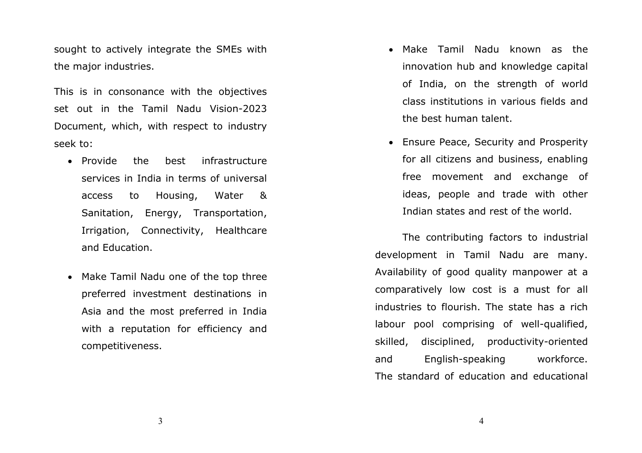sought to actively integrate the SMEs with the major industries.

This is in consonance with the objectives set out in the Tamil Nadu Vision-2023 Document, which, with respect to industry seek to:

- Provide the best infrastructure services in India in terms of universal access to Housing, Water & Sanitation, Energy, Transportation, Irrigation, Connectivity, Healthcare and Education.
- Make Tamil Nadu one of the top three preferred investment destinations in Asia and the most preferred in India with a reputation for efficiency and competitiveness.
- Make Tamil Nadu known as the innovation hub and knowledge capital of India, on the strength of world class institutions in various fields and the best human talent.
- Ensure Peace, Security and Prosperity for all citizens and business, enabling free movement and exchange of ideas, people and trade with other Indian states and rest of the world.

The contributing factors to industrial development in Tamil Nadu are many. Availability of good quality manpower at a comparatively low cost is a must for all industries to flourish. The state has a rich labour pool comprising of well-qualified, skilled, disciplined, productivity-oriented and English-speaking workforce. The standard of education and educational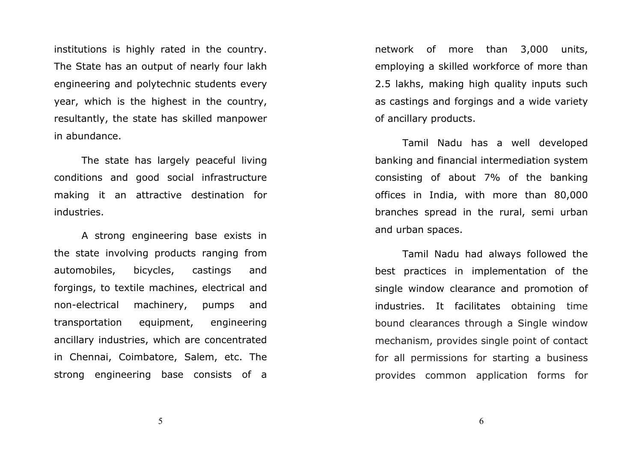institutions is highly rated in the country. The State has an output of nearly four lakh engineering and polytechnic students every year, which is the highest in the country, resultantly, the state has skilled manpower in abundance.

The state has largely peaceful living conditions and good social infrastructure making it an attractive destination for industries.

A strong engineering base exists in the state involving products ranging from automobiles, bicycles, castings and forgings, to textile machines, electrical and non-electrical machinery, pumps and transportation equipment, engineering ancillary industries, which are concentrated in Chennai, Coimbatore, Salem, etc. The strong engineering base consists of a network of more than 3,000 units, employing a skilled workforce of more than 2.5 lakhs, making high quality inputs such as castings and forgings and a wide variety of ancillary products.

Tamil Nadu has a well developed banking and financial intermediation system consisting of about 7% of the banking offices in India, with more than 80,000 branches spread in the rural, semi urban and urban spaces.

Tamil Nadu had always followed the best practices in implementation of the single window clearance and promotion of industries. It facilitates obtaining time bound clearances through a Single window mechanism, provides single point of contact for all permissions for starting a business provides common application forms for

5

 $\sim$  600  $\sim$  600  $\sim$  600  $\sim$  600  $\sim$  600  $\sim$  600  $\sim$  600  $\sim$  600  $\sim$  600  $\sim$  600  $\sim$  600  $\sim$  600  $\sim$  600  $\sim$  600  $\sim$  600  $\sim$  600  $\sim$  600  $\sim$  600  $\sim$  600  $\sim$  600  $\sim$  600  $\sim$  600  $\sim$  600  $\sim$  600  $\sim$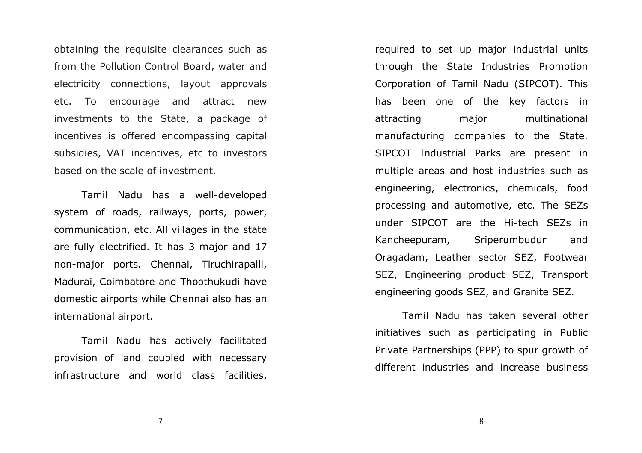obtaining the requisite clearances such as from the Pollution Control Board, water and electricity connections, layout approvals etc. To encourage and attract new investments to the State, a package of incentives is offered encompassing capital subsidies, VAT incentives, etc to investors based on the scale of investment.

Tamil Nadu has a well-developed system of roads, railways, ports, power, communication, etc. All villages in the state are fully electrified. It has 3 major and 17 non-major ports. Chennai, Tiruchirapalli, Madurai, Coimbatore and Thoothukudi have domestic airports while Chennai also has an international airport.

Tamil Nadu has actively facilitated provision of land coupled with necessary infrastructure and world class facilities, required to set up major industrial units through the State Industries Promotion Corporation of Tamil Nadu (SIPCOT). This has been one of the key factors in attracting major multinational manufacturing companies to the State. SIPCOT Industrial Parks are present in multiple areas and host industries such as engineering, electronics, chemicals, food processing and automotive, etc. The SEZs under SIPCOT are the Hi-tech SEZs in Kancheepuram, Sriperumbudur and Oragadam, Leather sector SEZ, Footwear SEZ, Engineering product SEZ, Transport engineering goods SEZ, and Granite SEZ.

Tamil Nadu has taken several other initiatives such as participating in Public Private Partnerships (PPP) to spur growth of different industries and increase business

7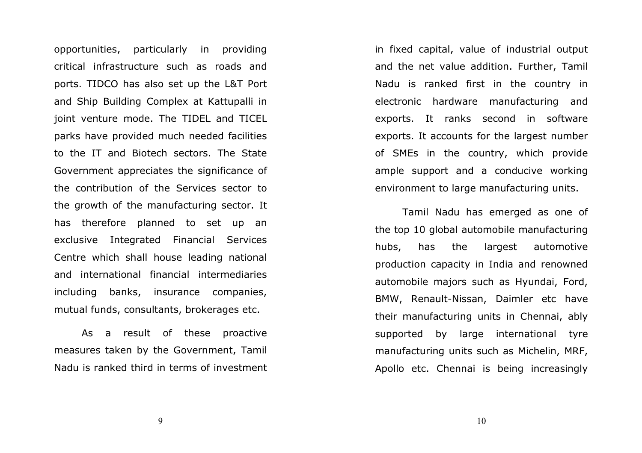opportunities, particularly in providing critical infrastructure such as roads and ports. TIDCO has also set up the L&T Port and Ship Building Complex at Kattupalli in joint venture mode. The TIDEL and TICEL parks have provided much needed facilities to the IT and Biotech sectors. The State Government appreciates the significance of the contribution of the Services sector to the growth of the manufacturing sector. It has therefore planned to set up an exclusive Integrated Financial Services Centre which shall house leading national and international financial intermediaries including banks, insurance companies, mutual funds, consultants, brokerages etc.

As a result of these proactive measures taken by the Government, Tamil Nadu is ranked third in terms of investment in fixed capital, value of industrial output and the net value addition. Further, Tamil Nadu is ranked first in the country in electronic hardware manufacturing and exports. It ranks second in software exports. It accounts for the largest number of SMEs in the country, which provide ample support and a conducive working environment to large manufacturing units.

Tamil Nadu has emerged as one of the top 10 global automobile manufacturing hubs, has the largest automotive production capacity in India and renowned automobile majors such as Hyundai, Ford, BMW, Renault-Nissan, Daimler etc have their manufacturing units in Chennai, ably supported by large international tyre manufacturing units such as Michelin, MRF, Apollo etc. Chennai is being increasingly

9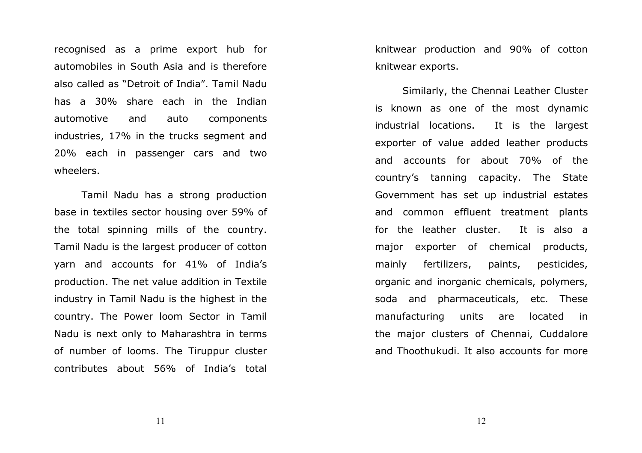recognised as a prime export hub for automobiles in South Asia and is therefore also called as "Detroit of India". Tamil Nadu has a 30% share each in the Indian automotive and auto components industries, 17% in the trucks segment and 20% each in passenger cars and two wheelers.

Tamil Nadu has a strong production base in textiles sector housing over 59% of the total spinning mills of the country. Tamil Nadu is the largest producer of cotton yarn and accounts for 41% of India's production. The net value addition in Textile industry in Tamil Nadu is the highest in the country. The Power loom Sector in Tamil Nadu is next only to Maharashtra in terms of number of looms. The Tiruppur cluster contributes about 56% of India's total

knitwear production and 90% of cotton knitwear exports.

Similarly, the Chennai Leather Cluster is known as one of the most dynamic industrial locations. It is the largest exporter of value added leather products and accounts for about 70% of the country's tanning capacity. The State Government has set up industrial estates and common effluent treatment plants for the leather cluster. It is also a major exporter of chemical products, mainly fertilizers, paints, pesticides, organic and inorganic chemicals, polymers, soda and pharmaceuticals, etc. These manufacturing units are located in the major clusters of Chennai, Cuddalore and Thoothukudi. It also accounts for more

11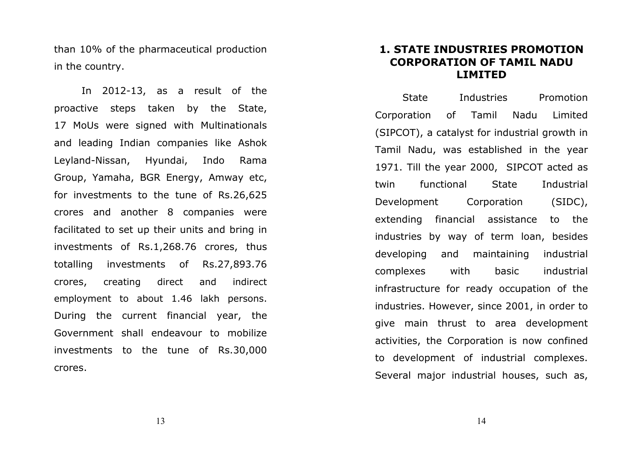than 10% of the pharmaceutical production in the country.

In 2012-13, as a result of the proactive steps taken by the State, 17 MoUs were signed with Multinationals and leading Indian companies like Ashok Leyland-Nissan, Hyundai, Indo Rama Group, Yamaha, BGR Energy, Amway etc, for investments to the tune of Rs.26,625 crores and another 8 companies were facilitated to set up their units and bring in investments of Rs.1,268.76 crores, thus totalling investments of Rs.27,893.76 crores, creating direct and indirect employment to about 1.46 lakh persons.During the current financial year, the Government shall endeavour to mobilize investments to the tune of Rs.30,000 crores.

# 1. STATE INDUSTRIES PROMOTION CORPORATION OF TAMIL NADU LIMITED

State Industries Promotion Corporation of Tamil Nadu Limited (SIPCOT), a catalyst for industrial growth in Tamil Nadu, was established in the year 1971. Till the year 2000, SIPCOT acted as twin functional State Industrial Development Corporation (SIDC), extending financial assistance to the industries by way of term loan, besides developing and maintaining industrial complexes with basic industrial infrastructure for ready occupation of the industries. However, since 2001, in order to give main thrust to area development activities, the Corporation is now confined to development of industrial complexes. Several major industrial houses, such as,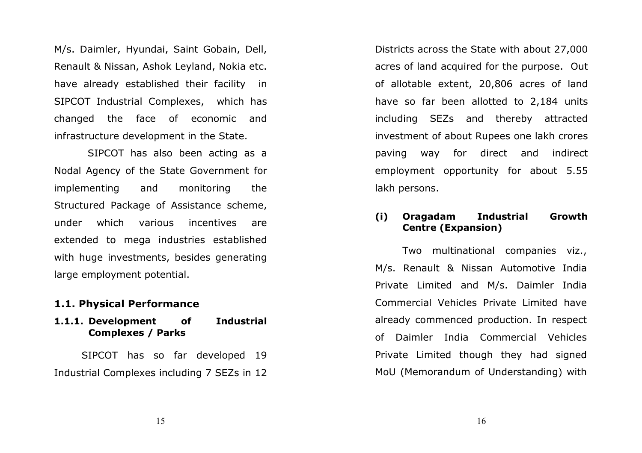M/s. Daimler, Hyundai, Saint Gobain, Dell, Renault & Nissan, Ashok Leyland, Nokia etc. have already established their facility in SIPCOT Industrial Complexes, which has changed the face of economic and infrastructure development in the State.

 SIPCOT has also been acting as a Nodal Agency of the State Government for implementing and monitoring the Structured Package of Assistance scheme, under which various incentives are extended to mega industries established with huge investments, besides generating large employment potential.

## 1.1. Physical Performance

## 1.1.1. Development of Industrial Complexes / Parks

SIPCOT has so far developed 19 Industrial Complexes including 7 SEZs in 12 Districts across the State with about 27,000 acres of land acquired for the purpose. Out of allotable extent, 20,806 acres of land have so far been allotted to 2,184 units including SEZs and thereby attracted investment of about Rupees one lakh crores paving way for direct and indirect employment opportunity for about 5.55 lakh persons.

# (i) Oragadam Industrial Growth Centre (Expansion)

Two multinational companies viz., M/s. Renault & Nissan Automotive India Private Limited and M/s. Daimler India Commercial Vehicles Private Limited have already commenced production. In respect of Daimler India Commercial Vehicles Private Limited though they had signed MoU (Memorandum of Understanding) with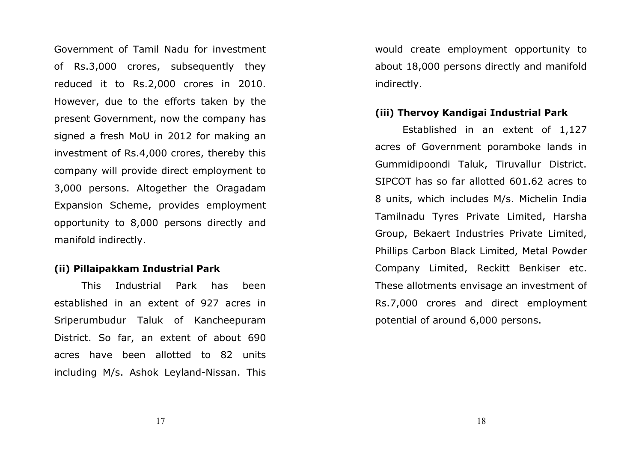Government of Tamil Nadu for investment of Rs.3,000 crores, subsequently they reduced it to Rs.2,000 crores in 2010. However, due to the efforts taken by the present Government, now the company has signed a fresh MoU in 2012 for making an investment of Rs.4,000 crores, thereby this company will provide direct employment to 3,000 persons. Altogether the Oragadam Expansion Scheme, provides employment opportunity to 8,000 persons directly and manifold indirectly.

#### (ii) Pillaipakkam Industrial Park

This Industrial Park has been established in an extent of 927 acres in Sriperumbudur Taluk of Kancheepuram District. So far, an extent of about 690 acres have been allotted to 82 units including M/s. Ashok Leyland-Nissan. This would create employment opportunity to about 18,000 persons directly and manifold indirectly.

## (iii) Thervoy Kandigai Industrial Park

Established in an extent of 1,127 acres of Government poramboke lands in Gummidipoondi Taluk, Tiruvallur District. SIPCOT has so far allotted 601.62 acres to 8 units, which includes M/s. Michelin India Tamilnadu Tyres Private Limited, Harsha Group, Bekaert Industries Private Limited, Phillips Carbon Black Limited, Metal Powder Company Limited, Reckitt Benkiser etc. These allotments envisage an investment of Rs.7,000 crores and direct employment potential of around 6,000 persons.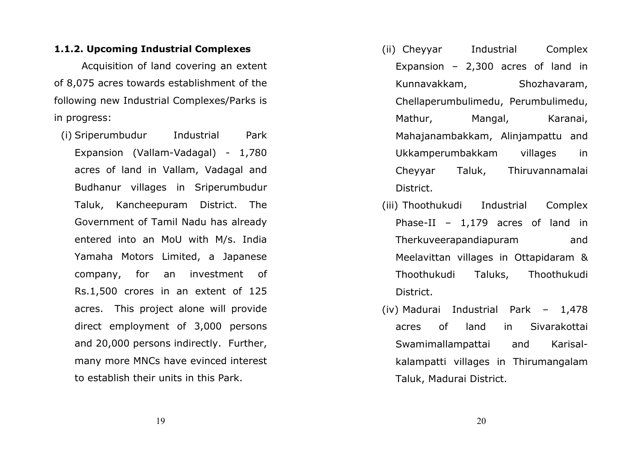#### 1.1.2. Upcoming Industrial Complexes

Acquisition of land covering an extent of 8,075 acres towards establishment of the following new Industrial Complexes/Parks is in progress:

(i) Sriperumbudur Industrial Park Expansion (Vallam-Vadagal) - 1,780 acres of land in Vallam, Vadagal and Budhanur villages in Sriperumbudur Taluk, Kancheepuram District. The Government of Tamil Nadu has already entered into an MoU with M/s. India Yamaha Motors Limited, a Japanese company, for an investment of Rs.1,500 crores in an extent of 125 acres. This project alone will provide direct employment of 3,000 persons and 20,000 persons indirectly. Further, many more MNCs have evinced interest to establish their units in this Park.

- (ii) Cheyyar Industrial Complex Expansion – 2,300 acres of land in Kunnavakkam, Shozhavaram, Chellaperumbulimedu, Perumbulimedu, Mathur, Mangal, Karanai, Mahajanambakkam, Alinjampattu and Ukkamperumbakkam villages in Cheyyar Taluk, Thiruvannamalai District.
- (iii) Thoothukudi Industrial Complex Phase-II – 1,179 acres of land in Therkuveerapandiapuram and Meelavittan villages in Ottapidaram & Thoothukudi Taluks, Thoothukudi District.
- (iv) Madurai Industrial Park 1,478 acres of land in Sivarakottai Swamimallampattai and Karisalkalampatti villages in Thirumangalam Taluk, Madurai District.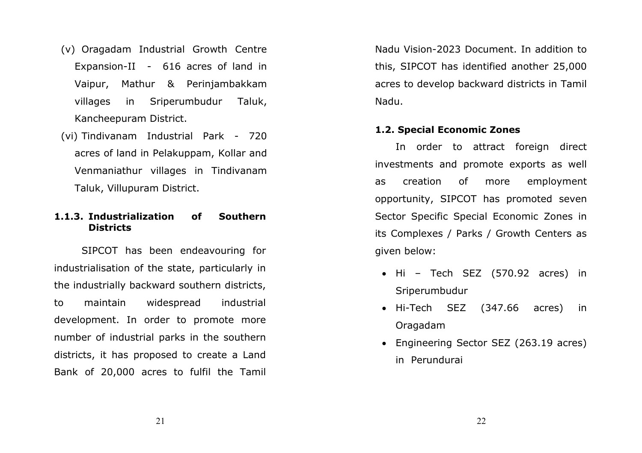- (v) Oragadam Industrial Growth Centre Expansion-II - 616 acres of land in Vaipur, Mathur & Perinjambakkam villages in Sriperumbudur Taluk, Kancheepuram District.
- (vi) Tindivanam Industrial Park 720 acres of land in Pelakuppam, Kollar and Venmaniathur villages in Tindivanam Taluk, Villupuram District.

#### 1.1.3. Industrialization of Southern **Districts**

SIPCOT has been endeavouring for industrialisation of the state, particularly in the industrially backward southern districts, to maintain widespread industrial development. In order to promote more number of industrial parks in the southern districts, it has proposed to create a Land Bank of 20,000 acres to fulfil the Tamil

Nadu Vision-2023 Document. In addition to this, SIPCOT has identified another 25,000 acres to develop backward districts in Tamil Nadu.

# 1.2. Special Economic Zones

In order to attract foreign direct investments and promote exports as well as creation of more employment opportunity, SIPCOT has promoted seven Sector Specific Special Economic Zones in its Complexes / Parks / Growth Centers as given below:

- Hi Tech SEZ (570.92 acres) in Sriperumbudur
- Hi-Tech SEZ (347.66 acres) in Oragadam
- Engineering Sector SEZ (263.19 acres) in Perundurai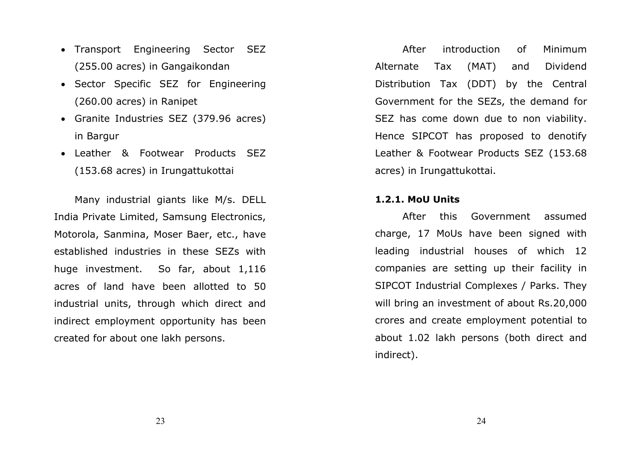- Transport Engineering Sector SEZ (255.00 acres) in Gangaikondan
- Sector Specific SEZ for Engineering (260.00 acres) in Ranipet
- Granite Industries SEZ (379.96 acres) in Bargur
- Leather & Footwear Products SEZ (153.68 acres) in Irungattukottai

Many industrial giants like M/s. DELL India Private Limited, Samsung Electronics, Motorola, Sanmina, Moser Baer, etc., have established industries in these SEZs with huge investment. So far, about 1,116 acres of land have been allotted to 50 industrial units, through which direct and indirect employment opportunity has been created for about one lakh persons.

After introduction of Minimum Alternate Tax (MAT) and Dividend Distribution Tax (DDT) by the Central Government for the SEZs, the demand for SEZ has come down due to non viability. Hence SIPCOT has proposed to denotify Leather & Footwear Products SEZ (153.68 acres) in Irungattukottai.

#### 1.2.1. MoU Units

After this Government assumed charge, 17 MoUs have been signed with leading industrial houses of which 12 companies are setting up their facility in SIPCOT Industrial Complexes / Parks. They will bring an investment of about Rs.20,000 crores and create employment potential to about 1.02 lakh persons (both direct and indirect).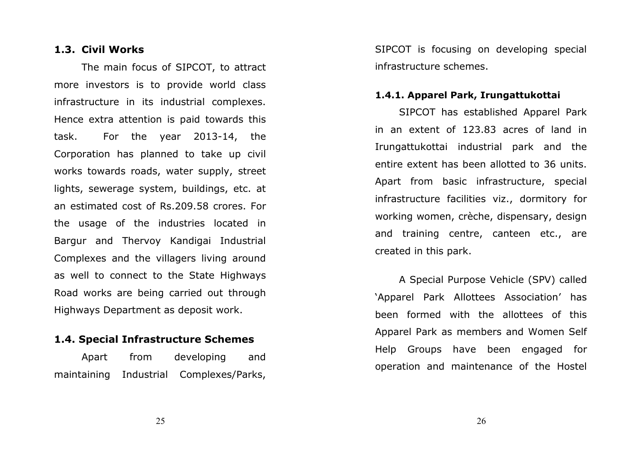#### 1.3. Civil Works

The main focus of SIPCOT, to attract more investors is to provide world class infrastructure in its industrial complexes. Hence extra attention is paid towards this task. For the year 2013-14, the Corporation has planned to take up civil works towards roads, water supply, street lights, sewerage system, buildings, etc. at an estimated cost of Rs.209.58 crores. For the usage of the industries located in Bargur and Thervoy Kandigai Industrial Complexes and the villagers living around as well to connect to the State Highways Road works are being carried out through Highways Department as deposit work.

# 1.4. Special Infrastructure Schemes

Apart from developing and maintaining Industrial Complexes/Parks, SIPCOT is focusing on developing special infrastructure schemes.

#### 1.4.1. Apparel Park, Irungattukottai

SIPCOT has established Apparel Park in an extent of 123.83 acres of land in Irungattukottai industrial park and the entire extent has been allotted to 36 units. Apart from basic infrastructure, special infrastructure facilities viz., dormitory for working women, crèche, dispensary, design and training centre, canteen etc., are created in this park.

A Special Purpose Vehicle (SPV) called 'Apparel Park Allottees Association' has been formed with the allottees of this Apparel Park as members and Women Self Help Groups have been engaged for operation and maintenance of the Hostel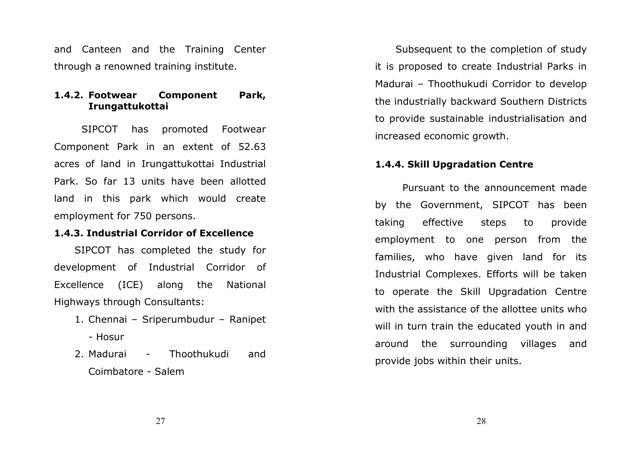and Canteen and the Training Center through a renowned training institute.

#### 1.4.2. Footwear Component Park, Irungattukottai

SIPCOT has promoted Footwear Component Park in an extent of 52.63 acres of land in Irungattukottai Industrial Park. So far 13 units have been allotted land in this park which would create employment for 750 persons.

#### 1.4.3. Industrial Corridor of Excellence

SIPCOT has completed the study for development of Industrial Corridor of Excellence (ICE) along the National Highways through Consultants:

- 1. Chennai Sriperumbudur Ranipet - Hosur
- 2. Madurai Madurai - Thoothukudi and Coimbatore - Salem

Subsequent to the completion of study it is proposed to create Industrial Parks in Madurai – Thoothukudi Corridor to develop the industrially backward Southern Districts to provide sustainable industrialisation and increased economic growth.

#### 1.4.4. Skill Upgradation Centre

Pursuant to the announcement made by the Government, SIPCOT has been taking effective steps to provide employment to one person from the families, who have given land for its Industrial Complexes. Efforts will be taken to operate the Skill Upgradation Centre with the assistance of the allottee units who will in turn train the educated youth in and around the surrounding villages and provide jobs within their units.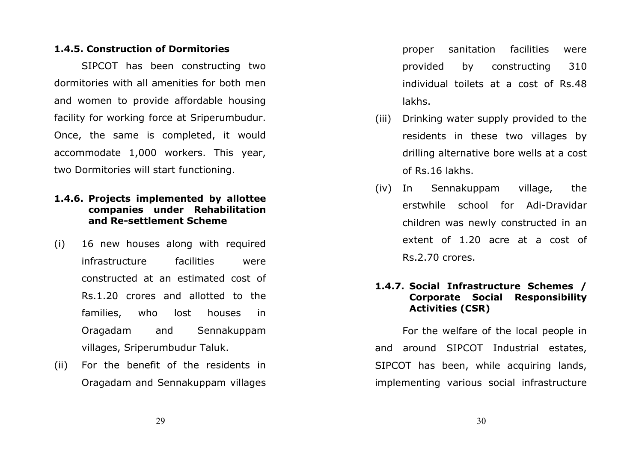#### 1.4.5. Construction of Dormitories

SIPCOT has been constructing two dormitories with all amenities for both men and women to provide affordable housing facility for working force at Sriperumbudur. Once, the same is completed, it would accommodate 1,000 workers. This year, two Dormitories will start functioning.

## 1.4.6. Projects implemented by allottee companies under Rehabilitation and Re-settlement Scheme

- (i) 16 new houses along with required infrastructure facilities were constructed at an estimated cost of Rs.1.20 crores and allotted to the families, who lost houses in Oragadam and Sennakuppam villages, Sriperumbudur Taluk.
- (ii) For the benefit of the residents in Oragadam and Sennakuppam villages

proper sanitation facilities were provided by constructing 310 individual toilets at a cost of Rs.48 lakhs.

- (iii) Drinking water supply provided to the residents in these two villages by drilling alternative bore wells at a cost of Rs.16 lakhs.
- (iv) In Sennakuppam village, the erstwhile school for Adi-Dravidar children was newly constructed in an extent of 1.20 acre at a cost of Rs.2.70 crores.

# 1.4.7. Social Infrastructure Schemes / Corporate Social Responsibility Activities (CSR)

For the welfare of the local people in and around SIPCOT Industrial estates, SIPCOT has been, while acquiring lands, implementing various social infrastructure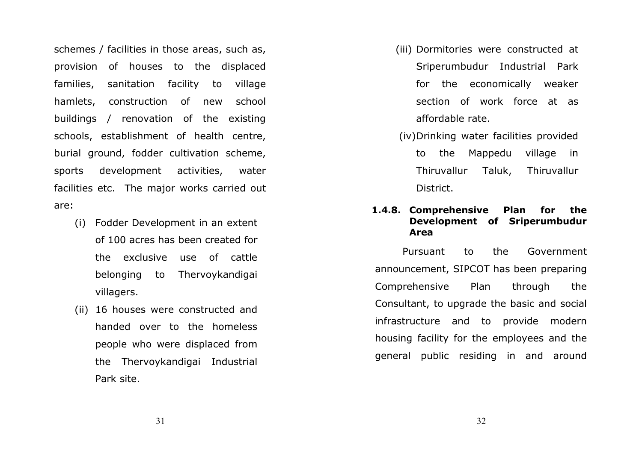schemes / facilities in those areas, such as, provision of houses to the displaced families, sanitation facility to village hamlets, construction of new school buildings / renovation of the existing schools, establishment of health centre, burial ground, fodder cultivation scheme, sports development activities, water facilities etc. The major works carried out are:

- (i) Fodder Development in an extent of 100 acres has been created for the exclusive use of cattle belonging to Thervoykandigai villagers.
- (ii) 16 houses were constructed and handed over to the homeless people who were displaced from the Thervoykandigai Industrial Park site.
- (iii) Dormitories were constructed at Sriperumbudur Industrial Park for the economically weaker section of work force at as affordable rate.
- (iv) Drinking water facilities provided to the Mappedu village in Thiruvallur Taluk, Thiruvallur District.

#### 1.4.8. Comprehensive Plan for the Development of Sriperumbudur Area

Pursuant to the Government announcement, SIPCOT has been preparing Comprehensive Plan through the Consultant, to upgrade the basic and social infrastructure and to provide modern housing facility for the employees and the general public residing in and around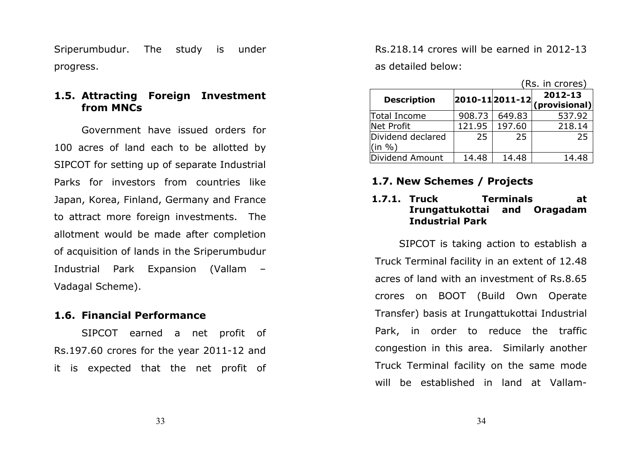Sriperumbudur. The study is under progress.

# 1.5. Attracting Foreign Investment from MNCs

Government have issued orders for 100 acres of land each to be allotted by SIPCOT for setting up of separate Industrial Parks for investors from countries like Japan, Korea, Finland, Germany and France to attract more foreign investments. The allotment would be made after completion of acquisition of lands in the Sriperumbudur Industrial Park Expansion (Vallam – Vadagal Scheme).

#### 1.6. Financial Performance

SIPCOT earned a net profit of Rs.197.60 crores for the year 2011-12 and it is expected that the net profit of Rs.218.14 crores will be earned in 2012-13 as detailed below:

|                                              | (Rs. in crores) |        |                                              |
|----------------------------------------------|-----------------|--------|----------------------------------------------|
| <b>Description</b>                           |                 |        | 2012-13<br>$ 2010-11 2011-12 $ (provisional) |
| Total Income                                 | 908.73          | 649.83 | 537.92                                       |
| Net Profit                                   | 121.95          | 197.60 | 218.14                                       |
| Dividend declared<br>$\sin \frac{\theta}{6}$ | 25              | 25     | 25                                           |
| Dividend Amount                              | 14.48           | 14.48  | 14.48                                        |

# 1.7. New Schemes / Projects

# 1.7.1. Truck Terminals at Irungattukottai and Oragadam Industrial Park

SIPCOT is taking action to establish a Truck Terminal facility in an extent of 12.48 acres of land with an investment of Rs.8.65 crores on BOOT (Build Own Operate Transfer) basis at Irungattukottai Industrial Park, in order to reduce the traffic congestion in this area. Similarly another Truck Terminal facility on the same mode will be established in land at Vallam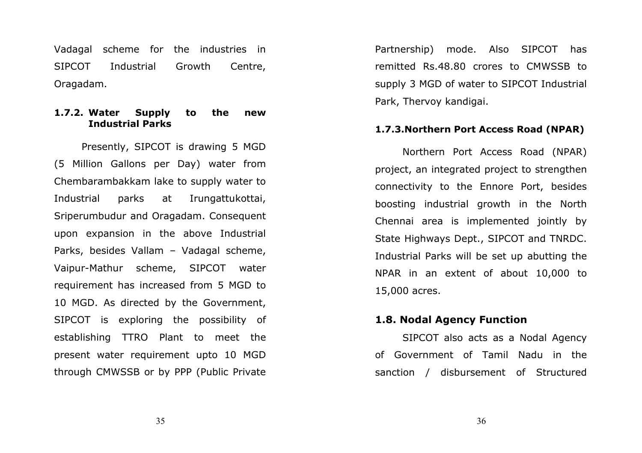Vadagal scheme for the industries in SIPCOT Industrial Growth Centre, Oragadam.

# 1.7.2. Water Supply to the new Industrial Parks

Presently, SIPCOT is drawing 5 MGD (5 Million Gallons per Day) water from Chembarambakkam lake to supply water to Industrial parks at Irungattukottai, Sriperumbudur and Oragadam. Consequent upon expansion in the above Industrial Parks, besides Vallam – Vadagal scheme, Vaipur-Mathur scheme, SIPCOT water requirement has increased from 5 MGD to 10 MGD. As directed by the Government, SIPCOT is exploring the possibility of establishing TTRO Plant to meet the present water requirement upto 10 MGD through CMWSSB or by PPP (Public Private

Partnership) mode. Also SIPCOT has remitted Rs.48.80 crores to CMWSSB to supply 3 MGD of water to SIPCOT Industrial Park, Thervoy kandigai.

#### 1.7.3.Northern Port Access Road (NPAR)

Northern Port Access Road (NPAR) project, an integrated project to strengthen connectivity to the Ennore Port, besides boosting industrial growth in the North Chennai area is implemented jointly by State Highways Dept., SIPCOT and TNRDC. Industrial Parks will be set up abutting the NPAR in an extent of about 10,000 to 15,000 acres.

#### 1.8. Nodal Agency Function

SIPCOT also acts as a Nodal Agency of Government of Tamil Nadu in the sanction / disbursement of Structured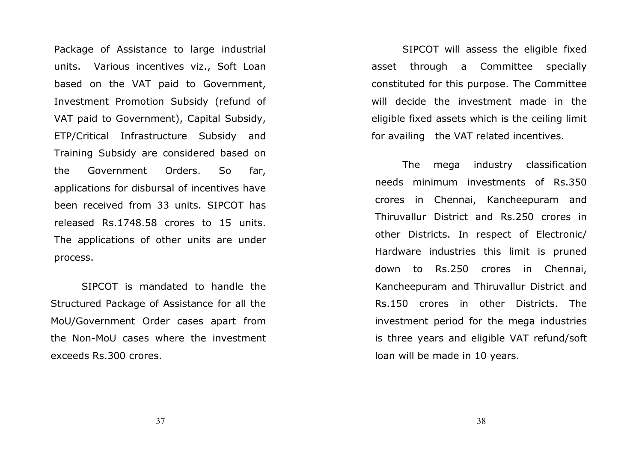Package of Assistance to large industrial units. Various incentives viz., Soft Loan based on the VAT paid to Government, Investment Promotion Subsidy (refund of VAT paid to Government), Capital Subsidy, ETP/Critical Infrastructure Subsidy and Training Subsidy are considered based on the Government Orders. So far, applications for disbursal of incentives have been received from 33 units. SIPCOT has released Rs.1748.58 crores to 15 units. The applications of other units are under process.

SIPCOT is mandated to handle the Structured Package of Assistance for all the MoU/Government Order cases apart from the Non-MoU cases where the investment exceeds Rs.300 crores.

SIPCOT will assess the eligible fixed asset through a Committee specially constituted for this purpose. The Committee will decide the investment made in the eligible fixed assets which is the ceiling limit for availing the VAT related incentives.

 The mega industry classification needs minimum investments of Rs.350 crores in Chennai, Kancheepuram and Thiruvallur District and Rs.250 crores in other Districts. In respect of Electronic/ Hardware industries this limit is pruned down to Rs.250 crores in Chennai, Kancheepuram and Thiruvallur District and Rs.150 crores in other Districts. The investment period for the mega industries is three years and eligible VAT refund/soft loan will be made in 10 years.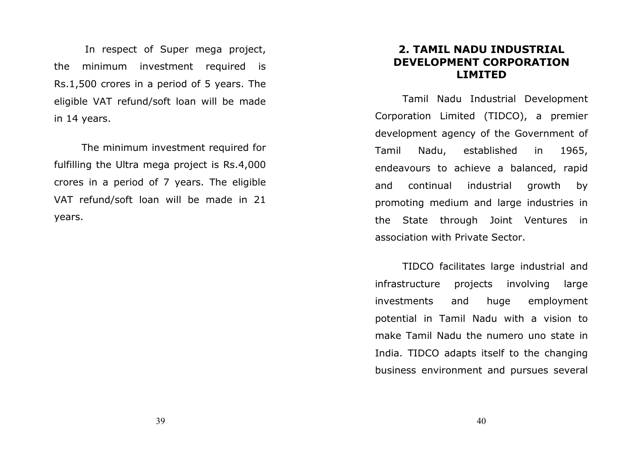In respect of Super mega project, the minimum investment required is Rs.1,500 crores in a period of 5 years. The eligible VAT refund/soft loan will be made in 14 years.

The minimum investment required for fulfilling the Ultra mega project is Rs.4,000 crores in a period of 7 years. The eligible VAT refund/soft loan will be made in 21 years.

# 2. TAMIL NADU INDUSTRIAL DEVELOPMENT CORPORATION LIMITED

 Tamil Nadu Industrial Development Corporation Limited (TIDCO), a premier development agency of the Government of Tamil Nadu, established in 1965, endeavours to achieve a balanced, rapid and continual industrial growth by promoting medium and large industries in the State through Joint Ventures in association with Private Sector.

 TIDCO facilitates large industrial and infrastructure projects involving large investments and huge employment potential in Tamil Nadu with a vision to make Tamil Nadu the numero uno state in India. TIDCO adapts itself to the changing business environment and pursues several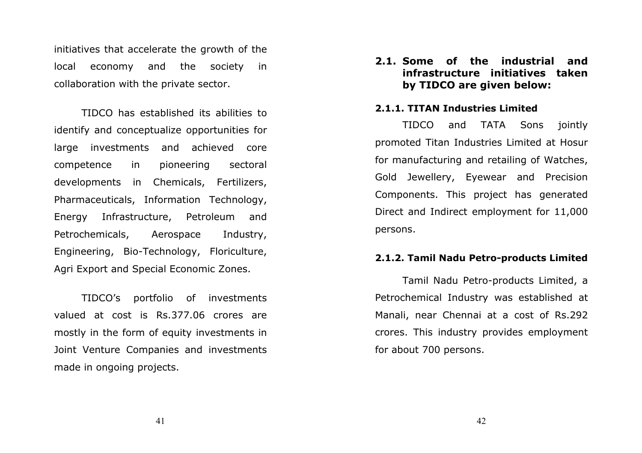initiatives that accelerate the growth of the local economy and the society in collaboration with the private sector.

 TIDCO has established its abilities to identify and conceptualize opportunities for large investments and achieved core competence in pioneering sectoral developments in Chemicals, Fertilizers, Pharmaceuticals, Information Technology, Energy Infrastructure, Petroleum and Petrochemicals, Aerospace Industry, Engineering, Bio-Technology, Floriculture, Agri Export and Special Economic Zones.

 TIDCO's portfolio of investments valued at cost is Rs.377.06 crores are mostly in the form of equity investments in Joint Venture Companies and investments made in ongoing projects.

2.1. Some of the industrial and infrastructure initiatives taken by TIDCO are given below:

#### 2.1.1. TITAN Industries Limited

TIDCO and TATA Sons jointly promoted Titan Industries Limited at Hosur for manufacturing and retailing of Watches, Gold Jewellery, Eyewear and Precision Components. This project has generated Direct and Indirect employment for 11,000 persons.

#### 2.1.2. Tamil Nadu Petro-products Limited

Tamil Nadu Petro-products Limited, a Petrochemical Industry was established at Manali, near Chennai at a cost of Rs.292 crores. This industry provides employment for about 700 persons.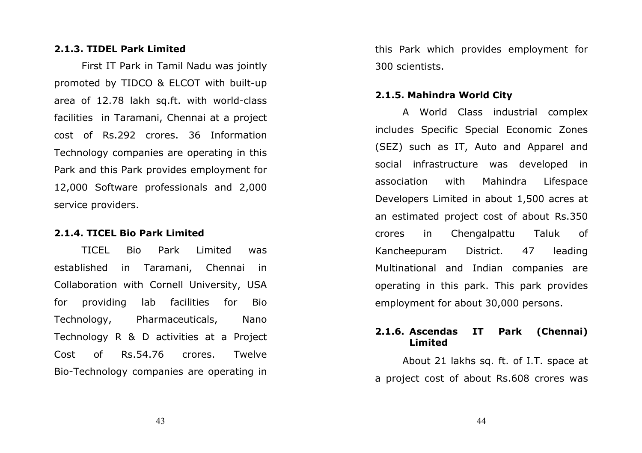#### 2.1.3. TIDEL Park Limited

First IT Park in Tamil Nadu was jointly promoted by TIDCO & ELCOT with built-up area of 12.78 lakh sq.ft. with world-class facilities in Taramani, Chennai at a project cost of Rs.292 crores. 36 Information Technology companies are operating in this Park and this Park provides employment for 12,000 Software professionals and 2,000 service providers.

#### 2.1.4. TICEL Bio Park Limited

TICEL Bio Park Limited was established in Taramani, Chennai in Collaboration with Cornell University, USA for providing lab facilities for Bio Technology, Pharmaceuticals, Nano Technology R & D activities at a Project Cost of Rs.54.76 crores. Twelve Bio-Technology companies are operating in

this Park which provides employment for 300 scientists.

#### 2.1.5. Mahindra World City

A World Class industrial complex includes Specific Special Economic Zones (SEZ) such as IT, Auto and Apparel and social infrastructure was developed in association with Mahindra Lifespace Developers Limited in about 1,500 acres at an estimated project cost of about Rs.350 crores in Chengalpattu Taluk of Kancheepuram District. 47 leading Multinational and Indian companies are operating in this park. This park provides employment for about 30,000 persons.

#### 2.1.6. Ascendas IT Park (Chennai) Limited

 About 21 lakhs sq. ft. of I.T. space at a project cost of about Rs.608 crores was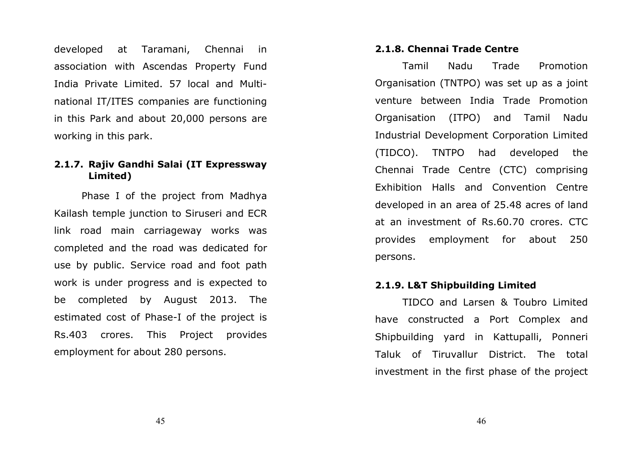developed at Taramani, Chennai in association with Ascendas Property Fund India Private Limited. 57 local and Multinational IT/ITES companies are functioning in this Park and about 20,000 persons are working in this park.

## 2.1.7. Rajiv Gandhi Salai (IT Expressway Limited)

Phase I of the project from Madhya Kailash temple junction to Siruseri and ECR link road main carriageway works was completed and the road was dedicated for use by public. Service road and foot path work is under progress and is expected to be completed by August 2013. The estimated cost of Phase-I of the project is Rs.403 crores. This Project provides employment for about 280 persons.

#### 2.1.8. Chennai Trade Centre

Tamil Nadu Trade Promotion Organisation (TNTPO) was set up as a joint venture between India Trade Promotion Organisation (ITPO) and Tamil Nadu Industrial Development Corporation Limited (TIDCO). TNTPO had developed the Chennai Trade Centre (CTC) comprising Exhibition Halls and Convention Centre developed in an area of 25.48 acres of land at an investment of Rs.60.70 crores. CTC provides employment for about 250 persons.

#### 2.1.9. L&T Shipbuilding Limited

TIDCO and Larsen & Toubro Limited have constructed a Port Complex and Shipbuilding yard in Kattupalli, Ponneri Taluk of Tiruvallur District. The total investment in the first phase of the project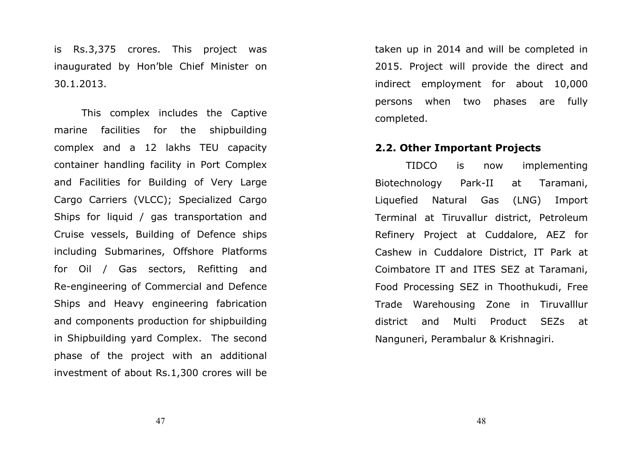is Rs.3,375 crores. This project was inaugurated by Hon'ble Chief Minister on 30.1.2013.

This complex includes the Captive marine facilities for the shipbuilding complex and a 12 lakhs TEU capacity container handling facility in Port Complex and Facilities for Building of Very Large Cargo Carriers (VLCC); Specialized Cargo Ships for liquid / gas transportation and Cruise vessels, Building of Defence ships including Submarines, Offshore Platforms for Oil / Gas sectors, Refitting and Re-engineering of Commercial and Defence Ships and Heavy engineering fabrication and components production for shipbuilding in Shipbuilding yard Complex. The second phase of the project with an additional investment of about Rs.1,300 crores will be

taken up in 2014 and will be completed in 2015. Project will provide the direct and indirect employment for about 10,000 persons when two phases are fully completed.

#### 2.2. Other Important Projects

 TIDCO is now implementing Biotechnology Park-II at Taramani, Liquefied Natural Gas (LNG) Import Terminal at Tiruvallur district, Petroleum Refinery Project at Cuddalore, AEZ for Cashew in Cuddalore District, IT Park at Coimbatore IT and ITES SEZ at Taramani, Food Processing SEZ in Thoothukudi, Free Trade Warehousing Zone in Tiruvalllur district and Multi Product SEZs at Nanguneri, Perambalur & Krishnagiri.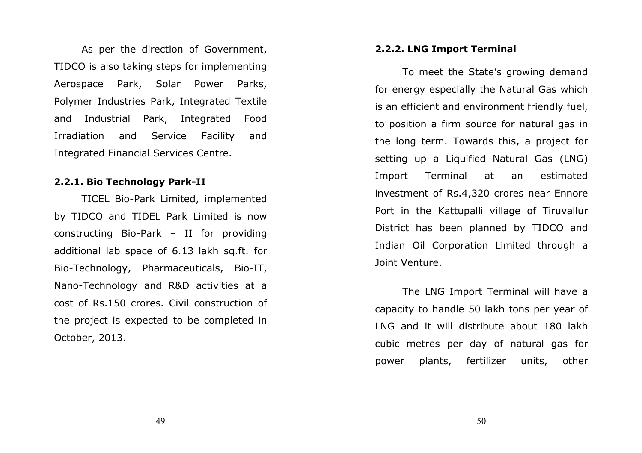As per the direction of Government, TIDCO is also taking steps for implementing Aerospace Park, Solar Power Parks, Polymer Industries Park, Integrated Textile and Industrial Park, Integrated Food Irradiation and Service Facility and Integrated Financial Services Centre.

#### 2.2.1. Bio Technology Park-II

TICEL Bio-Park Limited, implemented by TIDCO and TIDEL Park Limited is now constructing Bio-Park – II for providing additional lab space of 6.13 lakh sq.ft. for Bio-Technology, Pharmaceuticals, Bio-IT, Nano-Technology and R&D activities at a cost of Rs.150 crores. Civil construction of the project is expected to be completed in October, 2013.

#### 2.2.2. LNG Import Terminal

 To meet the State's growing demand for energy especially the Natural Gas which is an efficient and environment friendly fuel, to position a firm source for natural gas in the long term. Towards this, a project for setting up a Liquified Natural Gas (LNG) Import Terminal at an estimated investment of Rs.4,320 crores near Ennore Port in the Kattupalli village of Tiruvallur District has been planned by TIDCO and Indian Oil Corporation Limited through a Joint Venture.

 The LNG Import Terminal will have a capacity to handle 50 lakh tons per year of LNG and it will distribute about 180 lakh cubic metres per day of natural gas for power plants, fertilizer units, other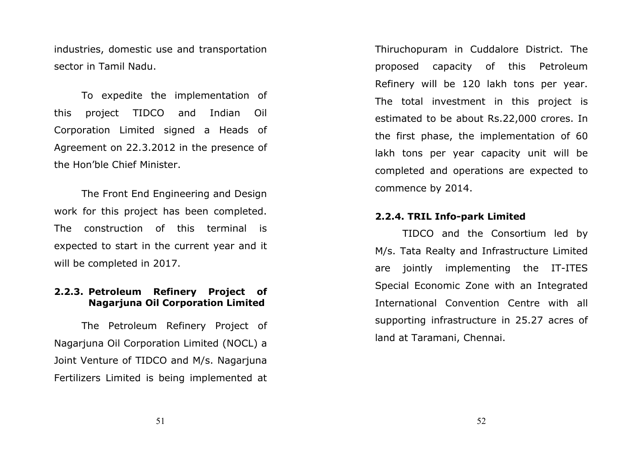industries, domestic use and transportation sector in Tamil Nadu.

To expedite the implementation of this project TIDCO and Indian Oil Corporation Limited signed a Heads of Agreement on 22.3.2012 in the presence of the Hon'ble Chief Minister.

 The Front End Engineering and Design work for this project has been completed. The construction of this terminal is expected to start in the current year and it will be completed in 2017.

# 2.2.3. Petroleum Refinery Project of Nagarjuna Oil Corporation Limited

 The Petroleum Refinery Project of Nagarjuna Oil Corporation Limited (NOCL) a Joint Venture of TIDCO and M/s. Nagarjuna Fertilizers Limited is being implemented at Thiruchopuram in Cuddalore District. The proposed capacity of this Petroleum Refinery will be 120 lakh tons per year. The total investment in this project is estimated to be about Rs.22,000 crores. In the first phase, the implementation of 60 lakh tons per year capacity unit will be completed and operations are expected to commence by 2014.

#### 2.2.4. TRIL Info-park Limited

TIDCO and the Consortium led by M/s. Tata Realty and Infrastructure Limited are jointly implementing the IT-ITES Special Economic Zone with an Integrated International Convention Centre with all supporting infrastructure in 25.27 acres of land at Taramani, Chennai.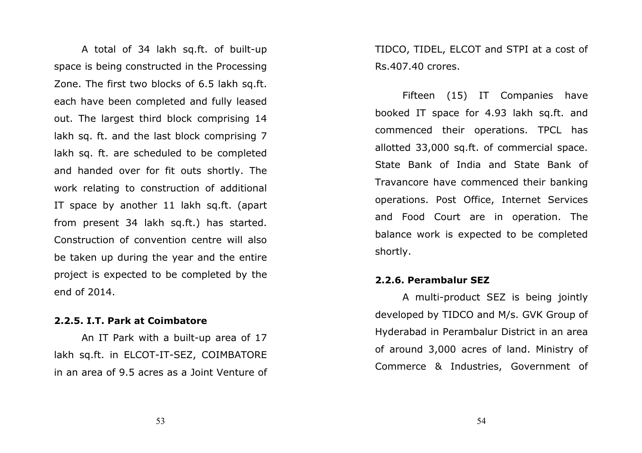A total of 34 lakh sq.ft. of built-up space is being constructed in the Processing Zone. The first two blocks of 6.5 lakh sq.ft. each have been completed and fully leased out. The largest third block comprising 14 lakh sq. ft. and the last block comprising 7 lakh sq. ft. are scheduled to be completed and handed over for fit outs shortly. The work relating to construction of additional IT space by another 11 lakh sq.ft. (apart from present 34 lakh sq.ft.) has started. Construction of convention centre will also be taken up during the year and the entire project is expected to be completed by the end of 2014.

#### 2.2.5. I.T. Park at Coimbatore

An IT Park with a built-up area of 17 lakh sq.ft. in ELCOT-IT-SEZ, COIMBATORE in an area of 9.5 acres as a Joint Venture of TIDCO, TIDEL, ELCOT and STPI at a cost of Rs.407.40 crores.

Fifteen (15) IT Companies have booked IT space for 4.93 lakh sq.ft. and commenced their operations. TPCL has allotted 33,000 sq.ft. of commercial space. State Bank of India and State Bank of Travancore have commenced their banking operations. Post Office, Internet Services and Food Court are in operation. The balance work is expected to be completed shortly.

#### 2.2.6. Perambalur SEZ

 A multi-product SEZ is being jointly developed by TIDCO and M/s. GVK Group of Hyderabad in Perambalur District in an area of around 3,000 acres of land. Ministry of Commerce & Industries, Government of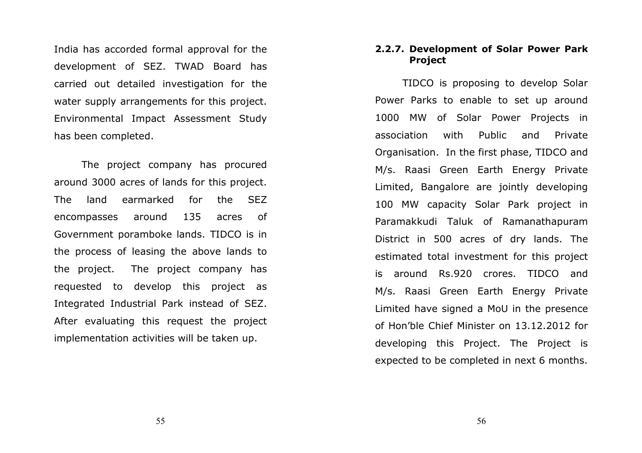India has accorded formal approval for the development of SEZ. TWAD Board has carried out detailed investigation for the water supply arrangements for this project. Environmental Impact Assessment Study has been completed.

The project company has procured around 3000 acres of lands for this project. The land earmarked for the SEZ encompasses around 135 acres of Government poramboke lands. TIDCO is in the process of leasing the above lands to the project. The project company has requested to develop this project as Integrated Industrial Park instead of SEZ. After evaluating this request the project implementation activities will be taken up.

#### 2.2.7. Development of Solar Power Park Project

TIDCO is proposing to develop Solar Power Parks to enable to set up around 1000 MW of Solar Power Projects in association with Public and Private Organisation. In the first phase, TIDCO and M/s. Raasi Green Earth Energy Private Limited, Bangalore are jointly developing 100 MW capacity Solar Park project in Paramakkudi Taluk of Ramanathapuram District in 500 acres of dry lands. The estimated total investment for this project is around Rs.920 crores. TIDCO and M/s. Raasi Green Earth Energy Private Limited have signed a MoU in the presence of Hon'ble Chief Minister on 13.12.2012 for developing this Project. The Project is expected to be completed in next 6 months.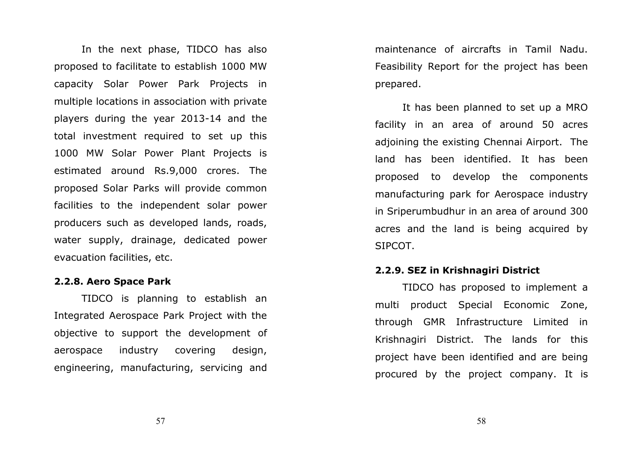In the next phase, TIDCO has also proposed to facilitate to establish 1000 MW capacity Solar Power Park Projects in multiple locations in association with private players during the year 2013-14 and the total investment required to set up this 1000 MW Solar Power Plant Projects is estimated around Rs.9,000 crores. The proposed Solar Parks will provide common facilities to the independent solar power producers such as developed lands, roads, water supply, drainage, dedicated power evacuation facilities, etc.

#### 2.2.8. Aero Space Park

TIDCO is planning to establish an Integrated Aerospace Park Project with the objective to support the development of aerospace industry covering design, engineering, manufacturing, servicing and

maintenance of aircrafts in Tamil Nadu. Feasibility Report for the project has been prepared.

It has been planned to set up a MRO facility in an area of around 50 acres adjoining the existing Chennai Airport. The land has been identified. It has been proposed to develop the components manufacturing park for Aerospace industry in Sriperumbudhur in an area of around 300 acres and the land is being acquired by SIPCOT.

#### 2.2.9. SEZ in Krishnagiri District

TIDCO has proposed to implement a multi product Special Economic Zone, through GMR Infrastructure Limited in Krishnagiri District. The lands for this project have been identified and are being procured by the project company. It is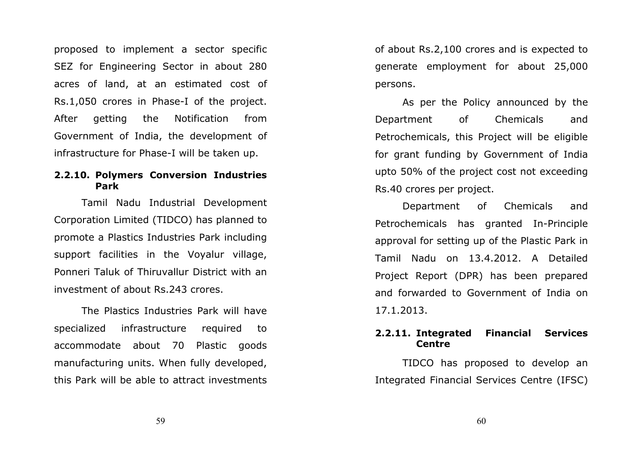proposed to implement a sector specific SEZ for Engineering Sector in about 280 acres of land, at an estimated cost of Rs.1,050 crores in Phase-I of the project. After getting the Notification from Government of India, the development of infrastructure for Phase-I will be taken up.

#### 2.2.10. Polymers Conversion Industries Park

Tamil Nadu Industrial Development Corporation Limited (TIDCO) has planned to promote a Plastics Industries Park including support facilities in the Voyalur village, Ponneri Taluk of Thiruvallur District with an investment of about Rs.243 crores.

 The Plastics Industries Park will have specialized infrastructure required to accommodate about 70 Plastic goods manufacturing units. When fully developed, this Park will be able to attract investments

of about Rs.2,100 crores and is expected to generate employment for about 25,000 persons.

 As per the Policy announced by the Department of Chemicals and Petrochemicals, this Project will be eligible for grant funding by Government of India upto 50% of the project cost not exceeding Rs.40 crores per project.

 Department of Chemicals and Petrochemicals has granted In-Principle approval for setting up of the Plastic Park in Tamil Nadu on 13.4.2012. A Detailed Project Report (DPR) has been prepared and forwarded to Government of India on 17.1.2013.

#### 2.2.11. Integrated Financial Services Centre

TIDCO has proposed to develop an Integrated Financial Services Centre (IFSC)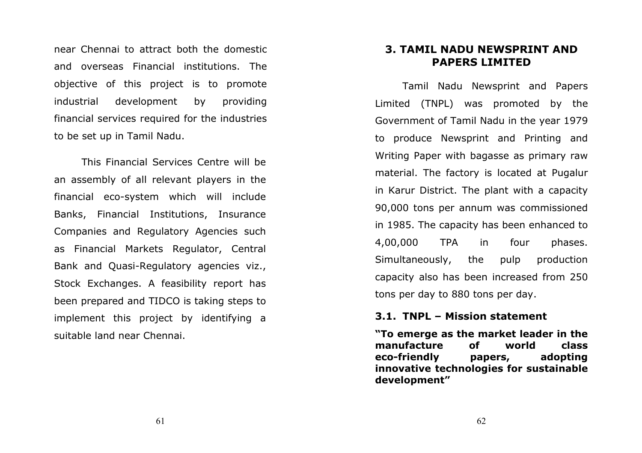near Chennai to attract both the domestic and overseas Financial institutions. The objective of this project is to promote industrial development by providing financial services required for the industries to be set up in Tamil Nadu.

 This Financial Services Centre will be an assembly of all relevant players in the financial eco-system which will include Banks, Financial Institutions, Insurance Companies and Regulatory Agencies such as Financial Markets Regulator, Central Bank and Quasi-Regulatory agencies viz., Stock Exchanges. A feasibility report has been prepared and TIDCO is taking steps to implement this project by identifying a suitable land near Chennai.

# 3. TAMIL NADU NEWSPRINT AND PAPERS LIMITED

Tamil Nadu Newsprint and Papers Limited (TNPL) was promoted by the Government of Tamil Nadu in the year 1979 to produce Newsprint and Printing and Writing Paper with bagasse as primary raw material. The factory is located at Pugalur in Karur District. The plant with a capacity 90,000 tons per annum was commissioned in 1985. The capacity has been enhanced to 4,00,000 TPA in four phases. Simultaneously, the pulp production capacity also has been increased from 250 tons per day to 880 tons per day.

#### 3.1. TNPL – Mission statement

"To emerge as the market leader in the manufacture of world class adopting eco-friendly papers, innovative technologies for sustainable development"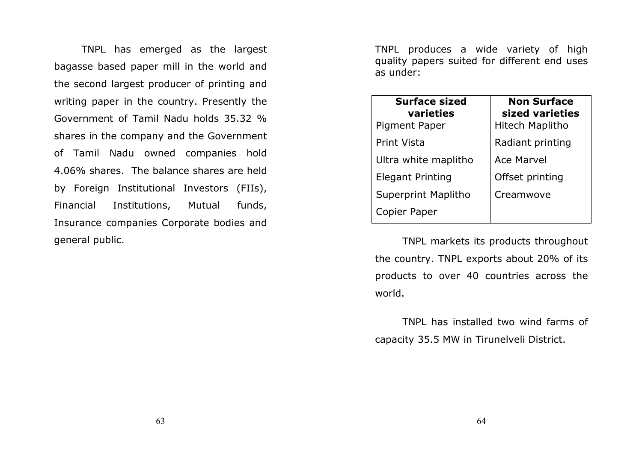TNPL has emerged as the largest bagasse based paper mill in the world and the second largest producer of printing and writing paper in the country. Presently the Government of Tamil Nadu holds 35.32 % shares in the company and the Government of Tamil Nadu owned companies hold 4.06% shares. The balance shares are held by Foreign Institutional Investors (FIIs), Financial Institutions, Mutual funds, Insurance companies Corporate bodies and general public.

TNPL produces a wide variety of high quality papers suited for different end uses as under:

| <b>Surface sized</b><br>varieties | <b>Non Surface</b><br>sized varieties |
|-----------------------------------|---------------------------------------|
| Pigment Paper                     | Hitech Maplitho                       |
| Print Vista                       | Radiant printing                      |
| Ultra white maplitho              | <b>Ace Marvel</b>                     |
| <b>Elegant Printing</b>           | Offset printing                       |
| <b>Superprint Maplitho</b>        | Creamwove                             |
| Copier Paper                      |                                       |

TNPL markets its products throughout the country. TNPL exports about 20% of its products to over 40 countries across the world.

TNPL has installed two wind farms of capacity 35.5 MW in Tirunelveli District.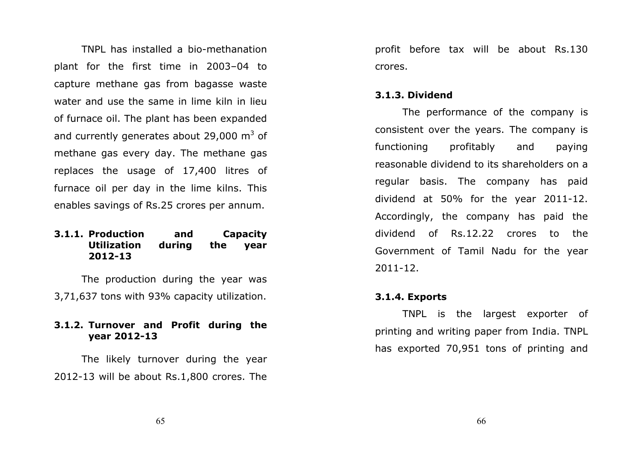TNPL has installed a bio-methanation plant for the first time in 2003–04 to capture methane gas from bagasse waste water and use the same in lime kiln in lieu of furnace oil. The plant has been expanded and currently generates about 29,000  $\mathrm{m}^3$  of methane gas every day. The methane gas replaces the usage of 17,400 litres of furnace oil per day in the lime kilns. This enables savings of Rs.25 crores per annum.

#### 3.1.1. Production and Capacity Utilization during the year 2012-13

The production during the year was 3,71,637 tons with 93% capacity utilization.

#### 3.1.2. Turnover and Profit during the year 2012-13

The likely turnover during the year 2012-13 will be about Rs.1,800 crores. The

profit before tax will be about Rs.130 crores.

#### 3.1.3. Dividend

The performance of the company is consistent over the years. The company is functioning profitably and paying reasonable dividend to its shareholders on a regular basis. The company has paid dividend at 50% for the year 2011-12. Accordingly, the company has paid the dividend of Rs.12.22 crores to the Government of Tamil Nadu for the year 2011-12.

#### 3.1.4. Exports

TNPL is the largest exporter of printing and writing paper from India. TNPL has exported 70,951 tons of printing and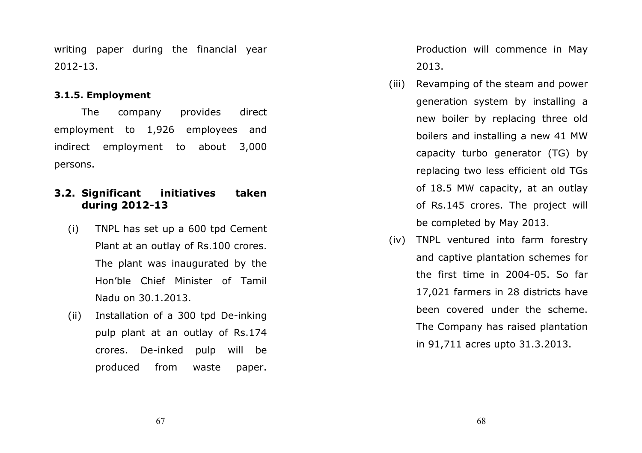writing paper during the financial year 2012-13.

### 3.1.5. Employment

The company provides direct employment to 1,926 employees and indirect employment to about 3,000 persons.

### 3.2. Significant initiatives taken during 2012-13

- (i) TNPL has set up a 600 tpd Cement Plant at an outlay of Rs.100 crores. The plant was inaugurated by the Hon'ble Chief Minister of Tamil Nadu on 30.1.2013.
- (ii) Installation of a 300 tpd De-inking pulp plant at an outlay of Rs.174 crores. De-inked pulp will be produced from waste paper.

Production will commence in May 2013.

- (iii) Revamping of the steam and power generation system by installing a new boiler by replacing three old boilers and installing a new 41 MW capacity turbo generator (TG) by replacing two less efficient old TGs of 18.5 MW capacity, at an outlay of Rs.145 crores. The project will be completed by May 2013.
- (iv) TNPL ventured into farm forestry and captive plantation schemes for the first time in 2004-05. So far 17,021 farmers in 28 districts have been covered under the scheme. The Company has raised plantation in 91,711 acres upto 31.3.2013.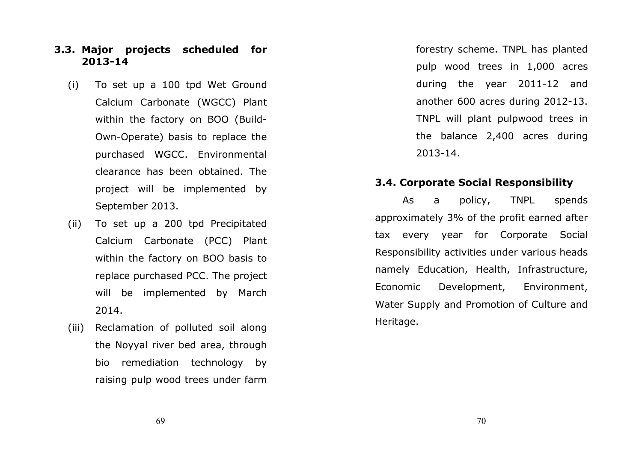### 3.3. Major projects scheduled for 2013-14

- (i) To set up a 100 tpd Wet Ground Calcium Carbonate (WGCC) Plant within the factory on BOO (Build-Own-Operate) basis to replace the purchased WGCC. Environmental clearance has been obtained. The project will be implemented by September 2013.
- (ii) To set up a 200 tpd Precipitated Calcium Carbonate (PCC) Plant within the factory on BOO basis to replace purchased PCC. The project will be implemented by March 2014.
- (iii) Reclamation of polluted soil along the Noyyal river bed area, through bio remediation technology by raising pulp wood trees under farm

forestry scheme. TNPL has planted pulp wood trees in 1,000 acres during the year 2011-12 and another 600 acres during 2012-13. TNPL will plant pulpwood trees in the balance 2,400 acres during 2013-14.

### 3.4. Corporate Social Responsibility

As a policy, TNPL spends approximately 3% of the profit earned after tax every year for Corporate Social Responsibility activities under various heads namely Education, Health, Infrastructure, Economic Development, Environment, Water Supply and Promotion of Culture and Heritage.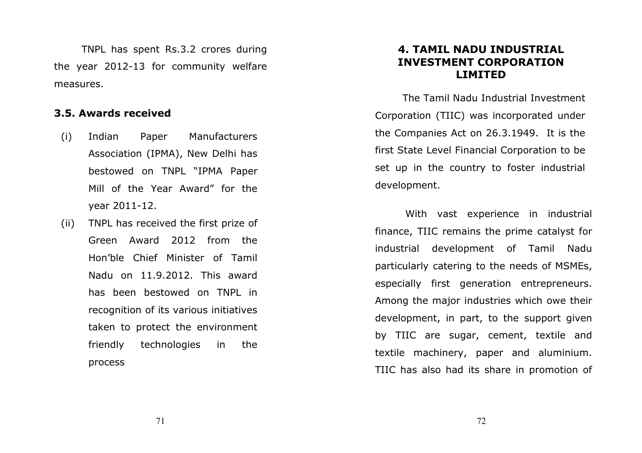TNPL has spent Rs.3.2 crores during the year 2012-13 for community welfare measures.

### 3.5. Awards received

- (i) Indian Paper Manufacturers Association (IPMA), New Delhi has bestowed on TNPL "IPMA Paper Mill of the Year Award" for the year 2011-12.
- (ii) TNPL has received the first prize of Green Award 2012 from the Hon'ble Chief Minister of Tamil Nadu on 11.9.2012. This award has been bestowed on TNPL in recognition of its various initiatives taken to protect the environment friendly technologies in the process

### 4. TAMIL NADU INDUSTRIAL INVESTMENT CORPORATION LIMITED

 The Tamil Nadu Industrial Investment Corporation (TIIC) was incorporated under the Companies Act on 26.3.1949. It is the first State Level Financial Corporation to be set up in the country to foster industrial development.

 With vast experience in industrial finance, TIIC remains the prime catalyst for industrial development of Tamil Nadu particularly catering to the needs of MSMEs, especially first generation entrepreneurs. Among the major industries which owe their development, in part, to the support given by TIIC are sugar, cement, textile and textile machinery, paper and aluminium. TIIC has also had its share in promotion of

72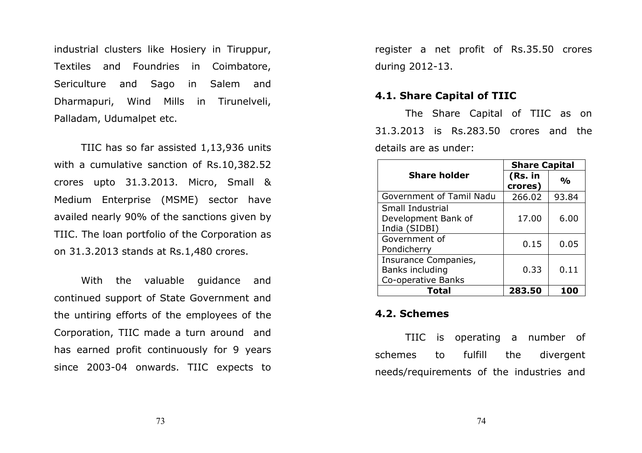industrial clusters like Hosiery in Tiruppur, Textiles and Foundries in Coimbatore, Sericulture and Sago in Salem and Dharmapuri, Wind Mills in Tirunelveli, Palladam, Udumalpet etc.

 TIIC has so far assisted 1,13,936 units with a cumulative sanction of Rs.10,382.52 crores upto 31.3.2013. Micro, Small & Medium Enterprise (MSME) sector have availed nearly 90% of the sanctions given by TIIC. The loan portfolio of the Corporation as on 31.3.2013 stands at Rs.1,480 crores.

 With the valuable guidance and continued support of State Government and the untiring efforts of the employees of the Corporation, TIIC made a turn around and has earned profit continuously for 9 years since 2003-04 onwards. TIIC expects to

register a net profit of Rs.35.50 crores during 2012-13.

### 4.1. Share Capital of TIIC

 The Share Capital of TIIC as on 31.3.2013 is Rs.283.50 crores and the details are as under:

|                                                                 | <b>Share Capital</b> |               |
|-----------------------------------------------------------------|----------------------|---------------|
| <b>Share holder</b>                                             | (Rs. in<br>crores)   | $\frac{0}{0}$ |
| Government of Tamil Nadu                                        | 266.02               | 93.84         |
| <b>Small Industrial</b><br>Development Bank of<br>India (SIDBI) | 17.00                | 6.00          |
| Government of<br>Pondicherry                                    | 0.15                 | 0.05          |
| Insurance Companies,<br>Banks including<br>Co-operative Banks   | 0.33                 | 0.11          |
| Total                                                           | 283.50               |               |

### 4.2. Schemes

 TIIC is operating a number of schemes to fulfill the divergent needs/requirements of the industries and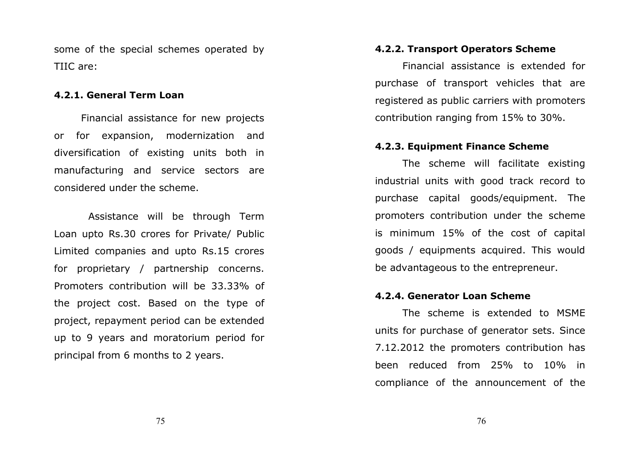some of the special schemes operated by TIIC are:

### 4.2.1. General Term Loan

Financial assistance for new projects or for expansion, modernization and diversification of existing units both in manufacturing and service sectors are considered under the scheme.

 Assistance will be through Term Loan upto Rs.30 crores for Private/ Public Limited companies and upto Rs.15 crores for proprietary / partnership concerns. Promoters contribution will be 33.33% of the project cost. Based on the type of project, repayment period can be extended up to 9 years and moratorium period for principal from 6 months to 2 years.

### 4.2.2. Transport Operators Scheme

 Financial assistance is extended for purchase of transport vehicles that are registered as public carriers with promoters contribution ranging from 15% to 30%.

### 4.2.3. Equipment Finance Scheme

 The scheme will facilitate existing industrial units with good track record to purchase capital goods/equipment. The promoters contribution under the scheme is minimum 15% of the cost of capital goods / equipments acquired. This would be advantageous to the entrepreneur.

### 4.2.4. Generator Loan Scheme

 The scheme is extended to MSME units for purchase of generator sets. Since 7.12.2012 the promoters contribution has been reduced from 25% to 10% in compliance of the announcement of the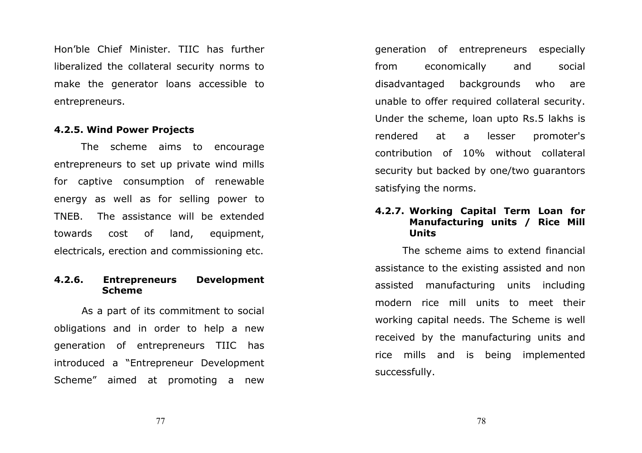Hon'ble Chief Minister. TIIC has further liberalized the collateral security norms to make the generator loans accessible to entrepreneurs.

### 4.2.5. Wind Power Projects

The scheme aims to encourage entrepreneurs to set up private wind mills for captive consumption of renewable energy as well as for selling power to TNEB. The assistance will be extended towards cost of land, equipment, electricals, erection and commissioning etc.

### 4.2.6. Entrepreneurs DevelopmentScheme

As a part of its commitment to social obligations and in order to help a new generation of entrepreneurs TIIC has introduced a "Entrepreneur Development Scheme" aimed at promoting a new

generation of entrepreneurs especially from economically and social disadvantaged backgrounds who are unable to offer required collateral security. Under the scheme, loan upto Rs.5 lakhs is rendered at a lesser promoter's contribution of 10% without collateral security but backed by one/two guarantors satisfying the norms.

### 4.2.7. Working Capital Term Loan for Manufacturing units / Rice Mill Units

The scheme aims to extend financial assistance to the existing assisted and non assisted manufacturing units including modern rice mill units to meet their working capital needs. The Scheme is well received by the manufacturing units and rice mills and is being implemented successfully.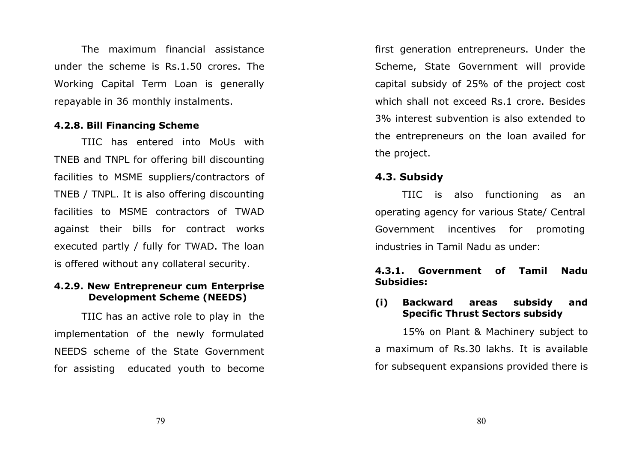The maximum financial assistance under the scheme is Rs.1.50 crores. The Working Capital Term Loan is generally repayable in 36 monthly instalments.

### 4.2.8. Bill Financing Scheme

TIIC has entered into MoUs with TNEB and TNPL for offering bill discounting facilities to MSME suppliers/contractors of TNEB / TNPL. It is also offering discounting facilities to MSME contractors of TWAD against their bills for contract works executed partly / fully for TWAD. The loan is offered without any collateral security.

### 4.2.9. New Entrepreneur cum Enterprise Development Scheme (NEEDS)

TIIC has an active role to play in the implementation of the newly formulated NEEDS scheme of the State Government for assisting educated youth to become first generation entrepreneurs. Under the Scheme, State Government will provide capital subsidy of 25% of the project cost which shall not exceed Rs.1 crore. Besides 3% interest subvention is also extended to the entrepreneurs on the loan availed for the project.

### 4.3. Subsidy

 TIIC is also functioning as an operating agency for various State/ Central Government incentives for promoting industries in Tamil Nadu as under:

### 4.3.1. Government of Tamil Nadu Subsidies:

### (i) Backward areas subsidy and Specific Thrust Sectors subsidy

15% on Plant & Machinery subject to a maximum of Rs.30 lakhs. It is available for subsequent expansions provided there is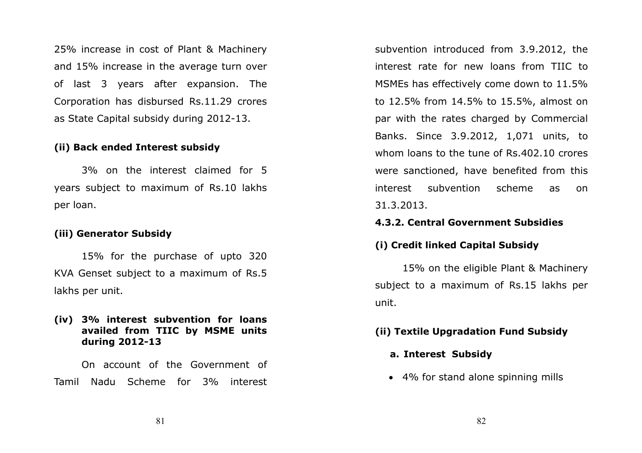25% increase in cost of Plant & Machinery and 15% increase in the average turn over of last 3 years after expansion. The Corporation has disbursed Rs.11.29 crores as State Capital subsidy during 2012-13.

### (ii) Back ended Interest subsidy

3% on the interest claimed for 5 years subject to maximum of Rs.10 lakhs per loan.

### (iii) Generator Subsidy

15% for the purchase of upto 320 KVA Genset subject to a maximum of Rs.5 lakhs per unit.

### (iv) 3% interest subvention for loans availed from TIIC by MSME units during 2012-13

On account of the Government of Tamil Nadu Scheme for 3% interest

subvention introduced from 3.9.2012, the interest rate for new loans from TIIC to MSMEs has effectively come down to 11.5% to 12.5% from 14.5% to 15.5%, almost on par with the rates charged by Commercial Banks. Since 3.9.2012, 1,071 units, to whom loans to the tune of Rs.402.10 crores were sanctioned, have benefited from this interest subvention scheme as on 31.3.2013.

### 4.3.2. Central Government Subsidies

### (i) Credit linked Capital Subsidy

15% on the eligible Plant & Machinery subject to a maximum of Rs.15 lakhs per unit.

### (ii) Textile Upgradation Fund Subsidy

### a. Interest Subsidy

• 4% for stand alone spinning mills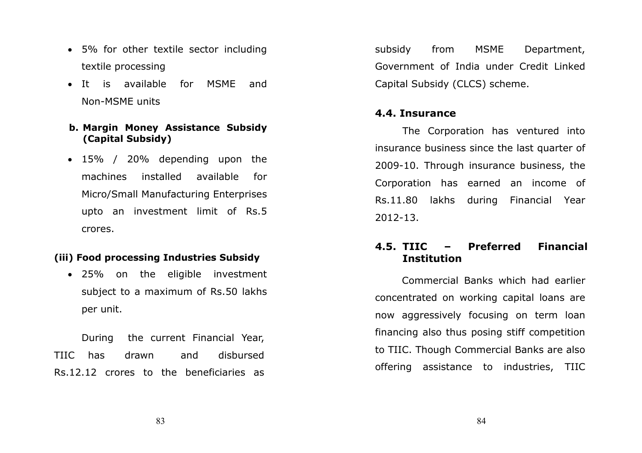- 5% for other textile sector including textile processing
- It is available for MSME and Non-MSME units

### b. Margin Money Assistance Subsidy (Capital Subsidy)

• 15% / 20% depending upon the machines installed available for Micro/Small Manufacturing Enterprises upto an investment limit of Rs.5 crores.

### (iii) Food processing Industries Subsidy

• 25% on the eligible investment subject to a maximum of Rs.50 lakhs per unit.

During the current Financial Year, TIIC has drawn and disbursed Rs.12.12 crores to the beneficiaries as subsidy from MSME Department, Government of India under Credit Linked Capital Subsidy (CLCS) scheme.

### 4.4. Insurance

The Corporation has ventured into insurance business since the last quarter of 2009-10. Through insurance business, the Corporation has earned an income of Rs.11.80 lakhs during Financial Year 2012-13.

### 4.5.- Preferred Financial Institution

 Commercial Banks which had earlier concentrated on working capital loans are now aggressively focusing on term loan financing also thus posing stiff competition to TIIC. Though Commercial Banks are also offering assistance to industries, TIIC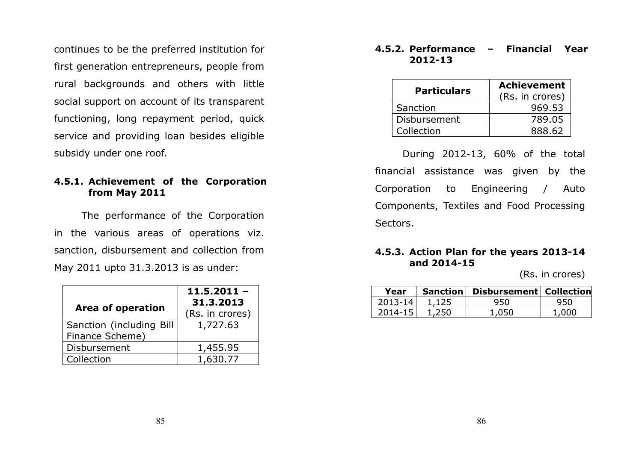continues to be the preferred institution for first generation entrepreneurs, people from rural backgrounds and others with little social support on account of its transparent functioning, long repayment period, quick service and providing loan besides eligible subsidy under one roof.

### 4.5.1. Achievement of the Corporation from May 2011

The performance of the Corporation in the various areas of operations viz. sanction, disbursement and collection from May 2011 upto 31.3.2013 is as under:

|                          | $11.5.2011 -$<br>31.3.2013 |
|--------------------------|----------------------------|
| Area of operation        | (Rs. in crores)            |
| Sanction (including Bill | 1,727.63                   |
| Finance Scheme)          |                            |
| Disbursement             | 1,455.95                   |
| Collection               | 1.630.77                   |

### 4.5.2. Performance – Financial Year 2012-13

| <b>Particulars</b> | <b>Achievement</b> |
|--------------------|--------------------|
|                    | (Rs. in crores)    |
| Sanction           | 969.53             |
| Disbursement       | 789.05             |
| Collection         | 888.62             |

During 2012-13, 60% of the total financial assistance was given by the Corporation to Engineering / Auto Components, Textiles and Food Processing Sectors.

### 4.5.3. Action Plan for the years 2013-14 and 2014-15

(Rs. in crores)

| Year        |       | Sanction   Disbursement   Collection |       |
|-------------|-------|--------------------------------------|-------|
| $2013 - 14$ | 1,125 | 950                                  | 950   |
| $2014 - 15$ | 1.250 | 1.050                                | 1.000 |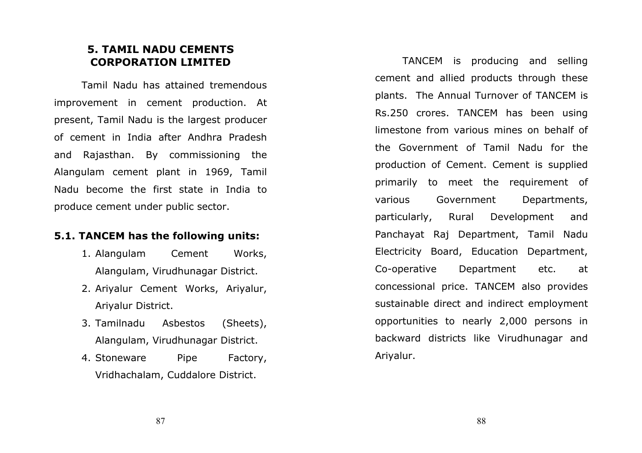### 5. TAMIL NADU CEMENTS CORPORATION LIMITED

Tamil Nadu has attained tremendous improvement in cement production. At present, Tamil Nadu is the largest producer of cement in India after Andhra Pradesh and Rajasthan. By commissioning the Alangulam cement plant in 1969, Tamil Nadu become the first state in India to produce cement under public sector.

### 5.1. TANCEM has the following units:

- 1. Alangulam Cement Works, Alangulam, Virudhunagar District.
- 2. Ariyalur Cement Works, Ariyalur, Ariyalur District.
- 3. Tamilnadu Asbestos (Sheets), Alangulam, Virudhunagar District.
- 4. Stoneware Pipe Factory, Vridhachalam, Cuddalore District.

TANCEM is producing and selling cement and allied products through these plants. The Annual Turnover of TANCEM is Rs.250 crores. TANCEM has been using limestone from various mines on behalf of the Government of Tamil Nadu for the production of Cement. Cement is supplied primarily to meet the requirement of various Government Departments, particularly, Rural Development and Panchayat Raj Department, Tamil Nadu Electricity Board, Education Department, Co-operative Department etc. at concessional price. TANCEM also provides sustainable direct and indirect employment opportunities to nearly 2,000 persons in backward districts like Virudhunagar and Ariyalur.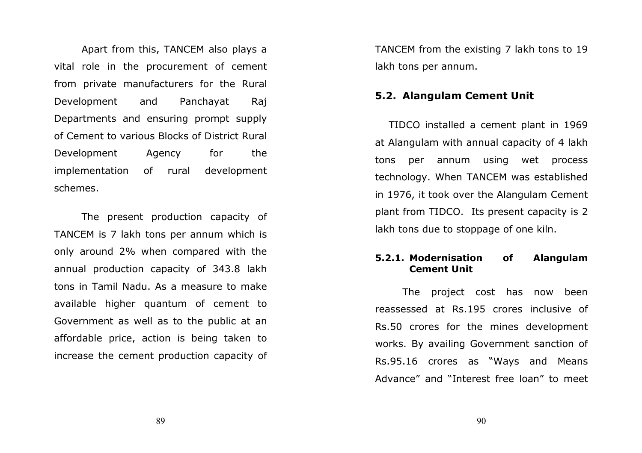Apart from this, TANCEM also plays a vital role in the procurement of cement from private manufacturers for the Rural Development and Panchayat Raj Departments and ensuring prompt supply of Cement to various Blocks of District Rural Development Agency for the implementation of rural development schemes.

The present production capacity of TANCEM is 7 lakh tons per annum which is only around 2% when compared with the annual production capacity of 343.8 lakh tons in Tamil Nadu. As a measure to make available higher quantum of cement to Government as well as to the public at an affordable price, action is being taken to increase the cement production capacity of

TANCEM from the existing 7 lakh tons to 19 lakh tons per annum.

### 5.2. Alangulam Cement Unit

TIDCO installed a cement plant in 1969 at Alangulam with annual capacity of 4 lakh tons per annum using wet process technology. When TANCEM was established in 1976, it took over the Alangulam Cement plant from TIDCO. Its present capacity is 2 lakh tons due to stoppage of one kiln.

### 5.2.1. Modernisation of Alangulam Cement Unit

The project cost has now been reassessed at Rs.195 crores inclusive of Rs.50 crores for the mines development works. By availing Government sanction of Rs.95.16 crores as "Ways and Means Advance" and "Interest free loan" to meet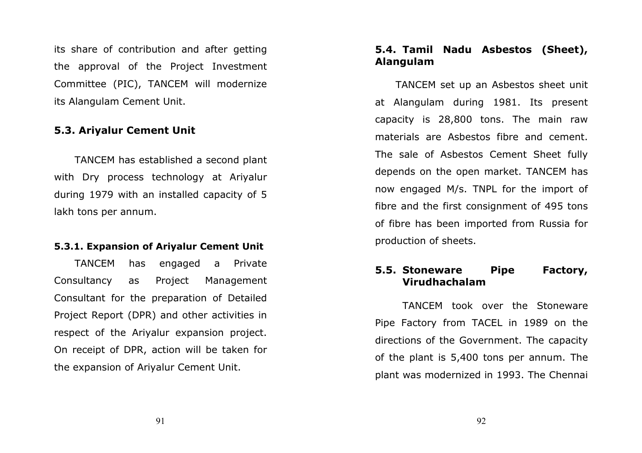its share of contribution and after getting the approval of the Project Investment Committee (PIC), TANCEM will modernize its Alangulam Cement Unit.

### 5.3. Ariyalur Cement Unit

TANCEM has established a second plant with Dry process technology at Ariyalur during 1979 with an installed capacity of 5 lakh tons per annum.

### 5.3.1. Expansion of Ariyalur Cement Unit

TANCEM has engaged a Private Consultancy as Project Management Consultant for the preparation of Detailed Project Report (DPR) and other activities in respect of the Ariyalur expansion project. On receipt of DPR, action will be taken for the expansion of Ariyalur Cement Unit.

### 5.4. Tamil Nadu Asbestos (Sheet), Alangulam

TANCEM set up an Asbestos sheet unit at Alangulam during 1981. Its present capacity is 28,800 tons. The main raw materials are Asbestos fibre and cement. The sale of Asbestos Cement Sheet fully depends on the open market. TANCEM has now engaged M/s. TNPL for the import of fibre and the first consignment of 495 tons of fibre has been imported from Russia for production of sheets.

### 5.5. Stoneware Pipe Factory, Virudhachalam

TANCEM took over the Stoneware Pipe Factory from TACEL in 1989 on the directions of the Government. The capacity of the plant is 5,400 tons per annum. The plant was modernized in 1993. The Chennai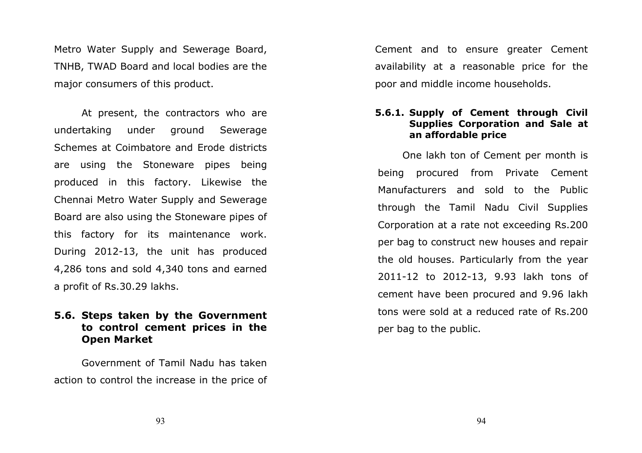Metro Water Supply and Sewerage Board, TNHB, TWAD Board and local bodies are the major consumers of this product.

At present, the contractors who are undertaking under ground Sewerage Schemes at Coimbatore and Erode districts are using the Stoneware pipes being produced in this factory. Likewise the Chennai Metro Water Supply and Sewerage Board are also using the Stoneware pipes of this factory for its maintenance work. During 2012-13, the unit has produced 4,286 tons and sold 4,340 tons and earned a profit of Rs.30.29 lakhs.

### 5.6. Steps taken by the Government to control cement prices in the Open Market

 Government of Tamil Nadu has taken action to control the increase in the price of Cement and to ensure greater Cement availability at a reasonable price for the poor and middle income households.

### 5.6.1. Supply of Cement through Civil Supplies Corporation and Sale at an affordable price

One lakh ton of Cement per month is being procured from Private Cement Manufacturers and sold to the Public through the Tamil Nadu Civil Supplies Corporation at a rate not exceeding Rs.200 per bag to construct new houses and repair the old houses. Particularly from the year 2011-12 to 2012-13, 9.93 lakh tons of cement have been procured and 9.96 lakh tons were sold at a reduced rate of Rs.200 per bag to the public.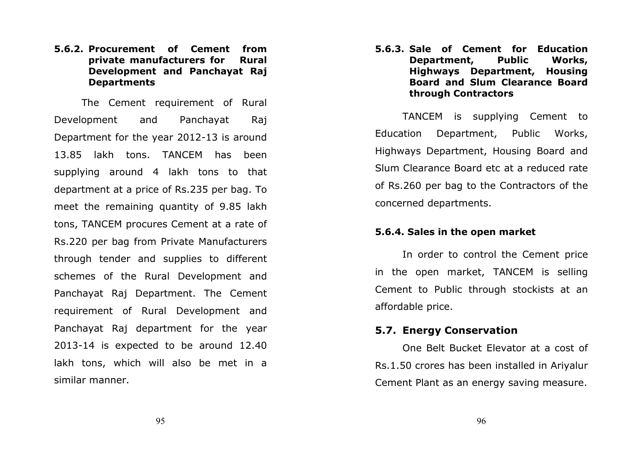### 5.6.2. Procurement of Cement from **Rural** private manufacturers for Development and Panchayat Raj Departments

The Cement requirement of Rural Development and Panchayat Raj Department for the year 2012-13 is around 13.85 lakh tons. TANCEM has been supplying around 4 lakh tons to that department at a price of Rs.235 per bag. To meet the remaining quantity of 9.85 lakh tons, TANCEM procures Cement at a rate of Rs.220 per bag from Private Manufacturers through tender and supplies to different schemes of the Rural Development and Panchayat Raj Department. The Cement requirement of Rural Development and Panchayat Raj department for the year 2013-14 is expected to be around 12.40 lakh tons, which will also be met in a similar manner.

5.6.3. Sale of Cement for Education Works, Department, Public Highways Department, Housing Board and Slum Clearance Boardthrough Contractors

TANCEM is supplying Cement to Education Department, Public Works, Highways Department, Housing Board and Slum Clearance Board etc at a reduced rate of Rs.260 per bag to the Contractors of the concerned departments.

### 5.6.4. Sales in the open market

In order to control the Cement price in the open market, TANCEM is selling Cement to Public through stockists at an affordable price.

### 5.7. Energy Conservation

One Belt Bucket Elevator at a cost of Rs.1.50 crores has been installed in Ariyalur Cement Plant as an energy saving measure.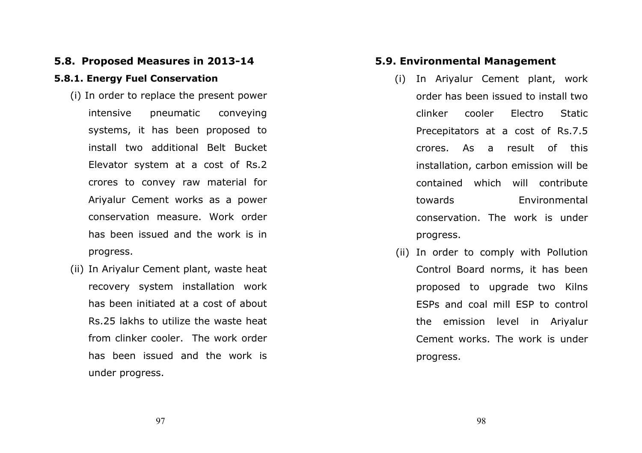### 5.8. Proposed Measures in 2013-14

### 5.8.1. Energy Fuel Conservation

- (i) In order to replace the present power intensive pneumatic conveying systems, it has been proposed to install two additional Belt Bucket Elevator system at a cost of Rs.2 crores to convey raw material for Ariyalur Cement works as a power conservation measure. Work order has been issued and the work is in progress.
- (ii) In Ariyalur Cement plant, waste heat recovery system installation work has been initiated at a cost of about Rs.25 lakhs to utilize the waste heat from clinker cooler. The work order has been issued and the work is under progress.

### 5.9. Environmental Management

- (i) In Ariyalur Cement plant, work order has been issued to install two clinker cooler Electro Static Precepitators at a cost of Rs.7.5 crores. As a result of this installation, carbon emission will be contained which will contribute towards Environmental conservation. The work is under progress.
- (ii) In order to comply with Pollution Control Board norms, it has been proposed to upgrade two Kilns ESPs and coal mill ESP to control the emission level in Ariyalur Cement works. The work is under progress.

98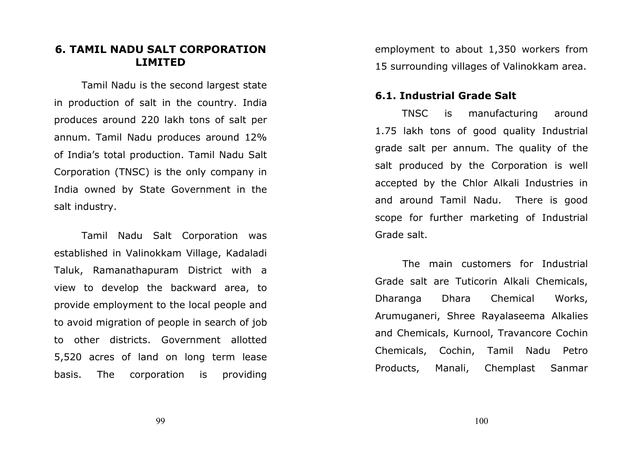### 6. TAMIL NADU SALT CORPORATION LIMITED

Tamil Nadu is the second largest state in production of salt in the country. India produces around 220 lakh tons of salt per annum. Tamil Nadu produces around 12% of India's total production. Tamil Nadu Salt Corporation (TNSC) is the only company in India owned by State Government in the salt industry.

Tamil Nadu Salt Corporation was established in Valinokkam Village, Kadaladi Taluk, Ramanathapuram District with a view to develop the backward area, to provide employment to the local people and to avoid migration of people in search of job to other districts. Government allotted 5,520 acres of land on long term lease basis. The corporation is providing

employment to about 1,350 workers from 15 surrounding villages of Valinokkam area.

### 6.1. Industrial Grade Salt

 TNSC is manufacturing around 1.75 lakh tons of good quality Industrial grade salt per annum. The quality of the salt produced by the Corporation is well accepted by the Chlor Alkali Industries in and around Tamil Nadu. There is good scope for further marketing of Industrial Grade salt.

The main customers for Industrial Grade salt are Tuticorin Alkali Chemicals, Dharanga Dhara Chemical Works, Arumuganeri, Shree Rayalaseema Alkalies and Chemicals, Kurnool, Travancore Cochin Chemicals, Cochin, Tamil Nadu Petro Products, Manali, Chemplast Sanmar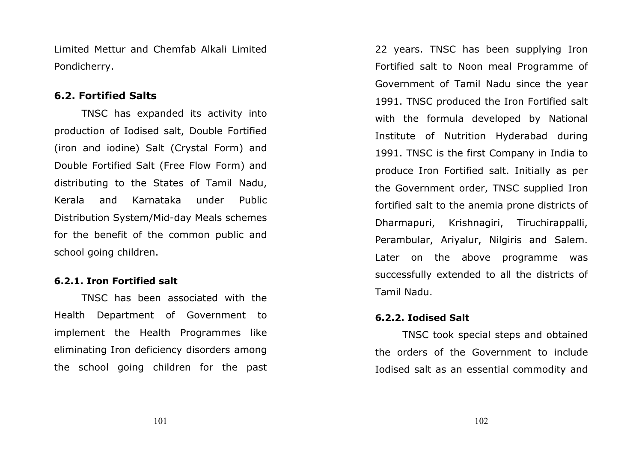Limited Mettur and Chemfab Alkali Limited Pondicherry.

### 6.2. Fortified Salts

TNSC has expanded its activity into production of Iodised salt, Double Fortified (iron and iodine) Salt (Crystal Form) and Double Fortified Salt (Free Flow Form) and distributing to the States of Tamil Nadu, Kerala and Karnataka under Public Distribution System/Mid-day Meals schemes for the benefit of the common public and school going children.

### 6.2.1. Iron Fortified salt

TNSC has been associated with the Health Department of Government to implement the Health Programmes like eliminating Iron deficiency disorders among the school going children for the past 22 years. TNSC has been supplying Iron Fortified salt to Noon meal Programme of Government of Tamil Nadu since the year 1991. TNSC produced the Iron Fortified salt with the formula developed by National Institute of Nutrition Hyderabad during 1991. TNSC is the first Company in India to produce Iron Fortified salt. Initially as per the Government order, TNSC supplied Iron fortified salt to the anemia prone districts of Dharmapuri, Krishnagiri, Tiruchirappalli, Perambular, Ariyalur, Nilgiris and Salem. Later on the above programme was successfully extended to all the districts of Tamil Nadu.

### 6.2.2. Iodised Salt

 TNSC took special steps and obtained the orders of the Government to include Iodised salt as an essential commodity and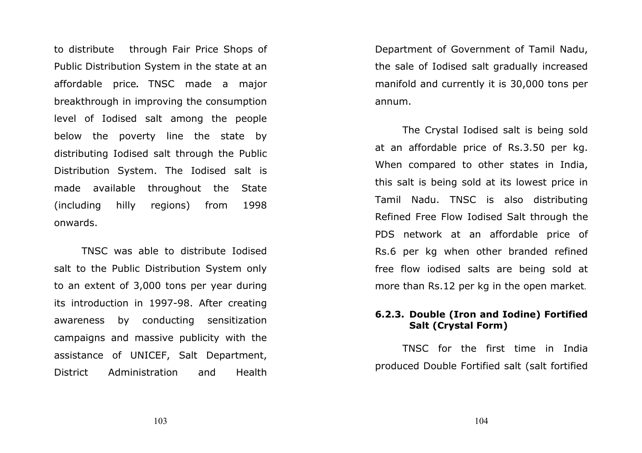to distribute through Fair Price Shops of Public Distribution System in the state at an affordable price. TNSC made a major breakthrough in improving the consumption level of Iodised salt among the people below the poverty line the state by distributing Iodised salt through the Public Distribution System. The Iodised salt is made available throughout the State (including hilly regions) from 1998 onwards.

TNSC was able to distribute Iodised salt to the Public Distribution System only to an extent of 3,000 tons per year during its introduction in 1997-98. After creating awareness by conducting sensitization campaigns and massive publicity with the assistance of UNICEF, Salt Department, District Administration and Health

Department of Government of Tamil Nadu, the sale of Iodised salt gradually increased manifold and currently it is 30,000 tons per annum.

The Crystal Iodised salt is being sold at an affordable price of Rs.3.50 per kg. When compared to other states in India, this salt is being sold at its lowest price in Tamil Nadu. TNSC is also distributing Refined Free Flow Iodised Salt through the PDS network at an affordable price of Rs.6 per kg when other branded refined free flow iodised salts are being sold at more than Rs.12 per kg in the open market.

### 6.2.3. Double (Iron and Iodine) Fortified Salt (Crystal Form)

TNSC for the first time in India produced Double Fortified salt (salt fortified

103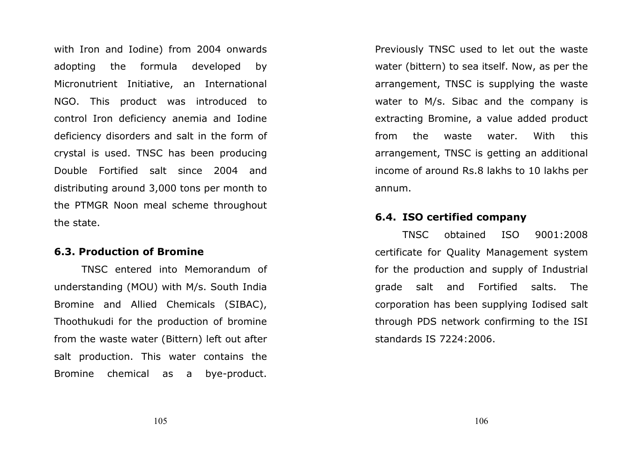with Iron and Iodine) from 2004 onwards adopting the formula developed by Micronutrient Initiative, an International NGO. This product was introduced to control Iron deficiency anemia and Iodine deficiency disorders and salt in the form of crystal is used. TNSC has been producing Double Fortified salt since 2004 and distributing around 3,000 tons per month to the PTMGR Noon meal scheme throughout the state.

### 6.3. Production of Bromine

TNSC entered into Memorandum of understanding (MOU) with M/s. South India Bromine and Allied Chemicals (SIBAC), Thoothukudi for the production of bromine from the waste water (Bittern) left out after salt production. This water contains the Bromine chemical as a bye-product.

Previously TNSC used to let out the waste water (bittern) to sea itself. Now, as per the arrangement, TNSC is supplying the waste water to M/s. Sibac and the company is extracting Bromine, a value added product from the waste water. With this arrangement, TNSC is getting an additional income of around Rs.8 lakhs to 10 lakhs per annum.

### 6.4. ISO certified company

 TNSC obtained ISO 9001:2008 certificate for Quality Management system for the production and supply of Industrial grade salt and Fortified salts. The corporation has been supplying Iodised salt through PDS network confirming to the ISI standards IS 7224:2006.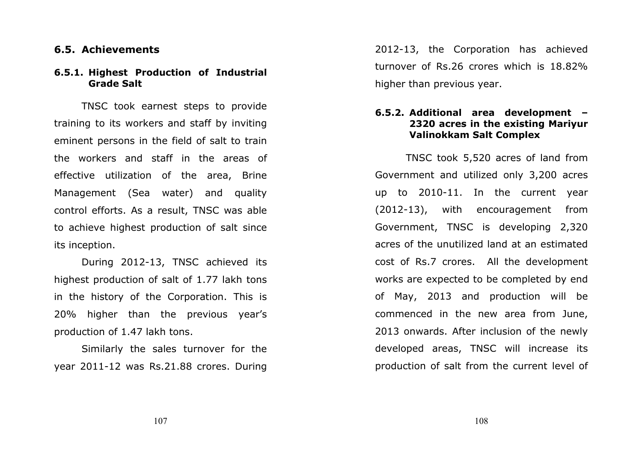### 6.5. Achievements

### 6.5.1. Highest Production of Industrial Grade Salt

TNSC took earnest steps to provide training to its workers and staff by inviting eminent persons in the field of salt to train the workers and staff in the areas of effective utilization of the area, Brine Management (Sea water) and quality control efforts. As a result, TNSC was able to achieve highest production of salt since its inception.

During 2012-13, TNSC achieved its highest production of salt of 1.77 lakh tons in the history of the Corporation. This is 20% higher than the previous year's production of 1.47 lakh tons.

 Similarly the sales turnover for the year 2011-12 was Rs.21.88 crores. During 2012-13, the Corporation has achieved turnover of Rs.26 crores which is 18.82% higher than previous year.

### 6.5.2. Additional area development – 2320 acres in the existing Mariyur Valinokkam Salt Complex

 TNSC took 5,520 acres of land from Government and utilized only 3,200 acres up to 2010-11. In the current year (2012-13), with encouragement from Government, TNSC is developing 2,320 acres of the unutilized land at an estimated cost of Rs.7 crores. All the development works are expected to be completed by end of May, 2013 and production will be commenced in the new area from June, 2013 onwards. After inclusion of the newly developed areas, TNSC will increase its production of salt from the current level of

108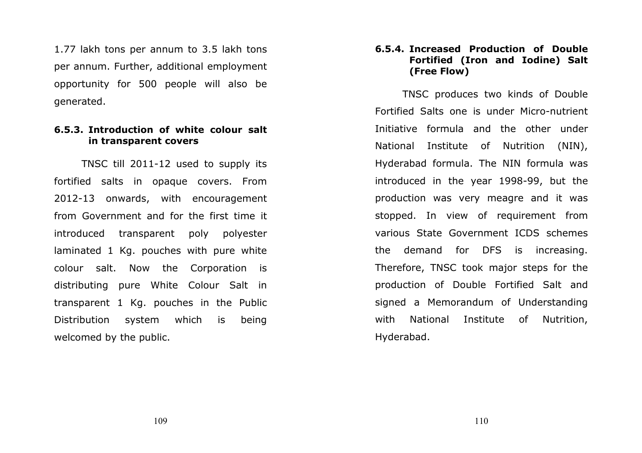1.77 lakh tons per annum to 3.5 lakh tons per annum. Further, additional employment opportunity for 500 people will also be generated.

### 6.5.3. Introduction of white colour salt in transparent covers

TNSC till 2011-12 used to supply its fortified salts in opaque covers. From 2012-13 onwards, with encouragement from Government and for the first time it introduced transparent poly polyester laminated 1 Kg. pouches with pure white colour salt. Now the Corporation is distributing pure White Colour Salt in transparent 1 Kg. pouches in the Public Distribution system which is being welcomed by the public.

### 6.5.4. Increased Production of Double Fortified (Iron and Iodine) Salt (Free Flow)

TNSC produces two kinds of Double Fortified Salts one is under Micro-nutrient Initiative formula and the other under National Institute of Nutrition (NIN), Hyderabad formula. The NIN formula was introduced in the year 1998-99, but the production was very meagre and it was stopped. In view of requirement from various State Government ICDS schemes the demand for DFS is increasing. Therefore, TNSC took major steps for the production of Double Fortified Salt and signed a Memorandum of Understanding with National Institute of Nutrition, Hyderabad.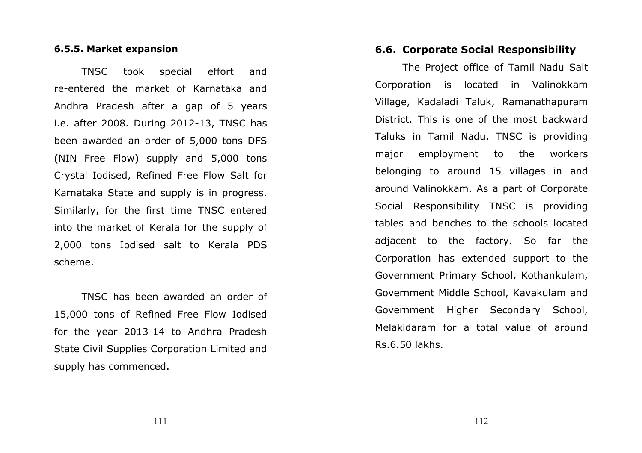### 6.5.5. Market expansion

TNSC took special effort and re-entered the market of Karnataka and Andhra Pradesh after a gap of 5 years i.e. after 2008. During 2012-13, TNSC has been awarded an order of 5,000 tons DFS (NIN Free Flow) supply and 5,000 tons Crystal Iodised, Refined Free Flow Salt for Karnataka State and supply is in progress. Similarly, for the first time TNSC entered into the market of Kerala for the supply of 2,000 tons Iodised salt to Kerala PDS scheme.

TNSC has been awarded an order of 15,000 tons of Refined Free Flow Iodised for the year 2013-14 to Andhra Pradesh State Civil Supplies Corporation Limited and supply has commenced.

### 6.6. Corporate Social Responsibility

 The Project office of Tamil Nadu Salt Corporation is located in Valinokkam Village, Kadaladi Taluk, Ramanathapuram District. This is one of the most backward Taluks in Tamil Nadu. TNSC is providing major employment to the workers belonging to around 15 villages in and around Valinokkam. As a part of Corporate Social Responsibility TNSC is providing tables and benches to the schools located adjacent to the factory. So far the Corporation has extended support to the Government Primary School, Kothankulam, Government Middle School, Kavakulam and Government Higher Secondary School, Melakidaram for a total value of around Rs.6.50 lakhs.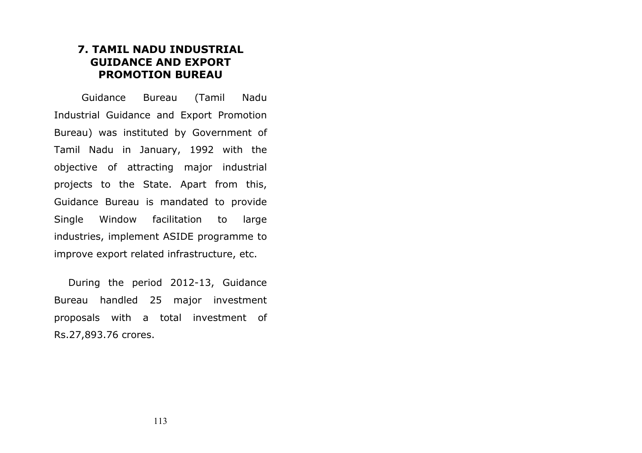### 7. TAMIL NADU INDUSTRIAL GUIDANCE AND EXPORT PROMOTION BUREAU

Guidance Bureau (Tamil Nadu Industrial Guidance and Export Promotion Bureau) was instituted by Government of Tamil Nadu in January, 1992 with the objective of attracting major industrial projects to the State. Apart from this, Guidance Bureau is mandated to provide Single Window facilitation to large industries, implement ASIDE programme to improve export related infrastructure, etc.

During the period 2012-13, Guidance Bureau handled 25 major investment proposals with a total investment of Rs.27,893.76 crores.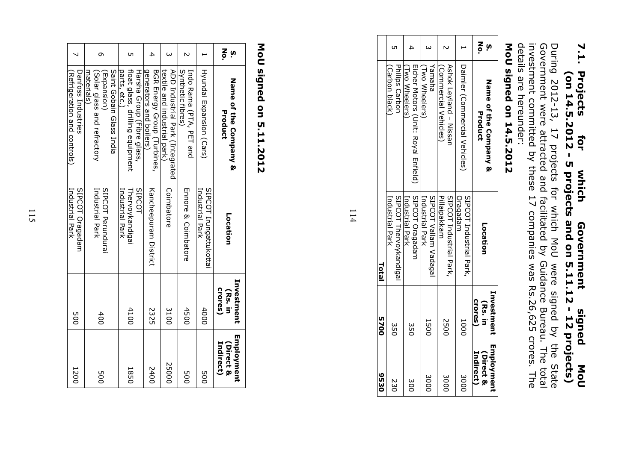### 7.1. 7.1. Projects for which Government signed MoU Projects for which Government signed Mol<br>(on 14.5.2012 - 5 projects and on 5.11.12 - 12 projects) (on 14.5.2012 - 5 projects and on 5.11.12 - 12 projects) which signed NoU

details are hereunder: During 2012-13, 17 projects for which MoU were signed by the State<br>Government were attracted and facilitated by Guidance Bureau. The total<br>investment committed by these 17 companies was Rs.26,625 crores. The details are hereunder: investment committed by these 17 companies was Rs.26,625 crores. The Government were attracted and facilitated by Guidance Bureau. The total During 2012-13, 17 projects for which MoU were signed by the State

# MoU signed on 14.5.2012 MoU signed on 14.5.2012

| <b>OES6</b>                          | 0025                             | <b>Total</b>                              |                                                     |         |
|--------------------------------------|----------------------------------|-------------------------------------------|-----------------------------------------------------|---------|
| 230                                  | ա<br>05                          | SIPCOT Thervoykandigai<br>Industrial Park | Philps Carbon<br>Carbon black)                      |         |
| დ<br>00                              | ա<br>05                          | SIPCOT Oragadam<br>Industrial Park        | Eicher Motors (Unit: Royal Enfield)<br>Two Wheelers |         |
| <b>3000</b>                          | <b>1500</b>                      | SIPCOT Vallam Vadagal<br>Industrial Park  | Yamaha<br>Two Wheelers                              |         |
| <b>3000</b>                          | 2500                             | SIPCOT Industrial Park,<br>Pillaipakkam   | Ashok Leyland - Nissan<br>(Commercial Vehicles)     |         |
| <b>3000</b>                          | 1000                             | Oragadam<br>SIPCOT Industrial Park,       | Daimler (Commercial Vehicles)                       |         |
| Employment<br>Indirect)<br>(Direct & | Investment<br>crores)<br>(Rs. in | Location                                  | Name of the Company &<br>Product                    | ი<br>პე |
|                                      |                                  |                                           |                                                     |         |

114

# MoU signed on 5.11.2012 MoU signed on 5.11.2012

| ო <mark>≍</mark> | <b>Nance Company &amp;</b><br>Product                                              | Location                                            | Investment<br>crores)<br>(Rs. in | Employment<br>Indirect)<br>(Direct & |
|------------------|------------------------------------------------------------------------------------|-----------------------------------------------------|----------------------------------|--------------------------------------|
|                  | Hyundai Expansion (Cars)                                                           | SIPCOT Irungattukottai<br>Industrial Park           | 4000                             |                                      |
|                  | Synthetic fibres)<br>Indo Rama (PTA, PET and                                       | Ennote & Coimpatore                                 | 4500                             |                                      |
| $\omega$         | ADD Industrial Park (Integrated<br>textile and industrial park)                    | Coimbatore                                          | 3100                             | 25000                                |
| 4                | BGR Energy Group (Turbines,<br>generators and boilers)                             | Kancheeprram District                               | 2325                             | 2400                                 |
| С٦               | float glass, drilling equipment<br>Harsha Group (Fibre glass,<br>parts, etc.       | <b>SIPCOT</b><br>Industrial Park<br>Thervoykandigai | 4100                             |                                      |
| Ō                | Saint Gobain Glass India<br>materials)<br>Solar glass and refractory<br>Expansion) | SIPCOT Perudurai<br>Industrial Park                 | 400                              |                                      |
|                  | Danfoss Industries<br>Refrigeration and controls)                                  | Industrial Park<br>SIPCOT Oragadam                  | <b>900</b>                       | 1200                                 |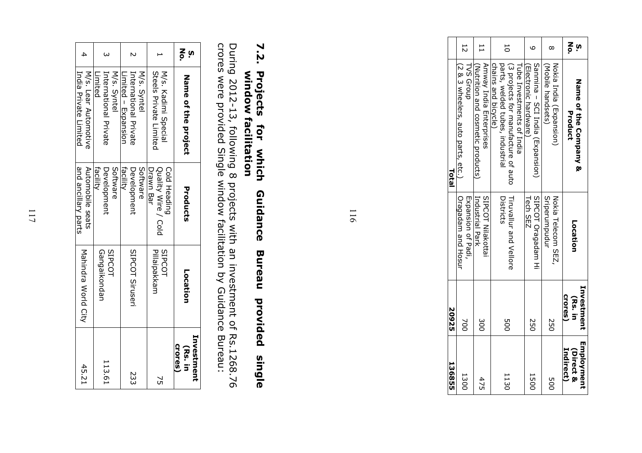| <b>13655</b>                         | 20925                            |                                                 | Total                                                                                                                       |                           |
|--------------------------------------|----------------------------------|-------------------------------------------------|-----------------------------------------------------------------------------------------------------------------------------|---------------------------|
| 1300                                 | 200                              | <b>Uragadam and Hosur</b><br>Expansion of Padi, | (2 & 3 arts, acto parts, etc.)<br>TVS Group                                                                                 | 12                        |
| 475                                  | 300                              | Industrial Park<br><b>SIPCOT Nilakottai</b>     | Amway India Enterprises<br>Nietrition and cosmetic products.                                                                |                           |
| 1130                                 | <b>DOC</b>                       | Tiruvallur and Vellore<br>Districts             | chains and bicycle)<br>(3 projects for manufacture of auto<br>parts, welded tribes, industrial<br>Tube Investments of India | 50                        |
| <b>1500</b>                          | 250                              | SIPCOT Oragadam Hi<br>Tech SEZ                  | Sourina - SCI India (Expansion)<br>Electronic hardware                                                                      |                           |
| <b>DO</b>                            | 550                              | Sriperumpudur<br>Nokia Telecom SEZ,             | (Mobile handsets)<br>Nokia India (Expansion)                                                                                | $\infty$                  |
| Employment<br>Indirect)<br>(Direct & | Investment<br>Crores)<br>(Rs. in | Location                                        | Nanne Companny &<br>Product                                                                                                 | $\frac{2}{9}$<br><u>i</u> |

116

### 7.2. 7.2. Projects for which Guidance Bureau provided single Projects Projects for which<br>window facilitation window facilitation Guidance Bureau provided single

During 2012-13, following 8 projects with an investment of Rs.1268.76 crores were provided Single window facilitation by Guidance Bureau: During 2012-13, following 8 projects with an investment of Rs.1268.76<br>crores were provided Single window facilitation by Guidance Bureau:

| $\mathbf{z}_{\mathsf{S}}$<br><u>in</u> | Name of the project                                 | Products                                         | Location                       | Investment<br>Crores)<br>(Rs. in |
|----------------------------------------|-----------------------------------------------------|--------------------------------------------------|--------------------------------|----------------------------------|
|                                        | Steels Private Limited<br>M/s. Kadimi Special       | Drawn Bar<br>Quality Wire / Cold<br>Cold Heading | Pillaipakkarr<br><b>SIPCOT</b> | Ğ                                |
|                                        | M/s. Syntel                                         | Software                                         |                                |                                  |
|                                        | Limited - Expansion<br><b>International Private</b> | facility<br>Development                          | SIPCOT Siruseri                | 23                               |
|                                        | International Private<br>M/s. Syntel                | Software<br>Development                          | SIPCOT                         | 113.61                           |
|                                        | Limited                                             | facility                                         | Gangaikondan                   |                                  |
|                                        | M/s. Lear Automotive                                | Automobile seats                                 |                                | 45.21                            |
|                                        | India Private Limited                               | and ancillary parts                              | Mahindra World City            |                                  |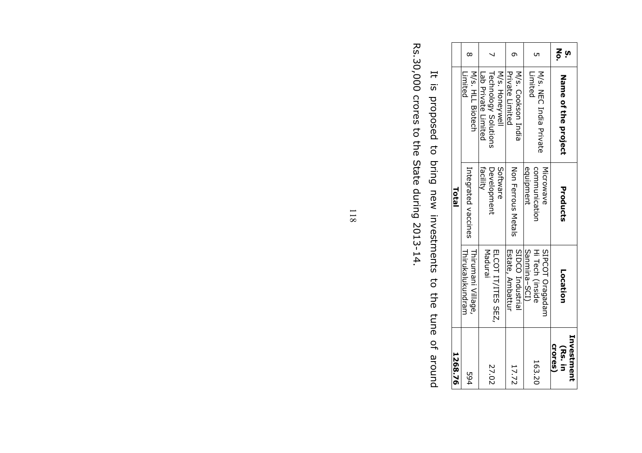| 1268.76                                |                                                    | Total                                   |                                                                      |                     |
|----------------------------------------|----------------------------------------------------|-----------------------------------------|----------------------------------------------------------------------|---------------------|
| 594                                    | Thirikalukundram<br>Thirumani Village,             | Integrated vaccines                     | M/s. HLL Biotech<br>Limited                                          |                     |
| 27.02                                  | Madurai<br>ELCOT IT/ITES SEZ,                      | Development<br>Software<br>facility     | <b>Technology Solutions</b><br>M/s. Honeywell<br>Lab Private Limited |                     |
| 17.72                                  | SIDCO Industrial<br>Estate, Ambattur               | Non Ferrous Metals                      | M/s. Cookson India<br>Private Limited                                |                     |
| 163.20                                 | Sanmina-SCI)<br>Hi Tech (inside<br>SIPCOT Oragadam | communication<br>equipment<br>Microwave | M/s. NEC rudia private<br>Limited                                    |                     |
| Investment<br><b>Crores</b><br>(Rs. in | Location                                           | Products                                | Name of the project                                                  | $\frac{2}{5}$<br>ຸທ |

Rs.30,000 crores to the State during 2013-14. Rs.30,000 crores to the State during 2013-14. It is proposed to bring new investments to the tune of around It is proposed to bring new investments to the tune of around

118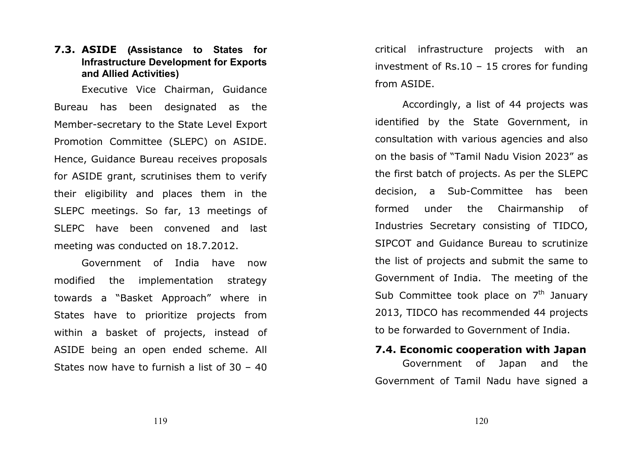### 7.3. ASIDE (Assistance to States for Infrastructure Development for Exports and Allied Activities)

Executive Vice Chairman, Guidance Bureau has been designated as the Member-secretary to the State Level Export Promotion Committee (SLEPC) on ASIDE. Hence, Guidance Bureau receives proposals for ASIDE grant, scrutinises them to verify their eligibility and places them in the SLEPC meetings. So far, 13 meetings of SLEPC have been convened and last meeting was conducted on 18.7.2012.

Government of India have now modified the implementation strategy towards a "Basket Approach" where in States have to prioritize projects from within a basket of projects, instead of ASIDE being an open ended scheme. All States now have to furnish a list of 30 – 40

critical infrastructure projects with an investment of Rs.10 – 15 crores for funding from ASIDE.

Accordingly, a list of 44 projects was identified by the State Government, in consultation with various agencies and also on the basis of "Tamil Nadu Vision 2023" as the first batch of projects. As per the SLEPC decision, a Sub-Committee has been formed under the Chairmanship of Industries Secretary consisting of TIDCO, SIPCOT and Guidance Bureau to scrutinize the list of projects and submit the same to Government of India. The meeting of the Sub Committee took place on  $7<sup>th</sup>$  January 2013, TIDCO has recommended 44 projects to be forwarded to Government of India.

### 7.4. Economic cooperation with Japan Government of Japan and the

Government of Tamil Nadu have signed a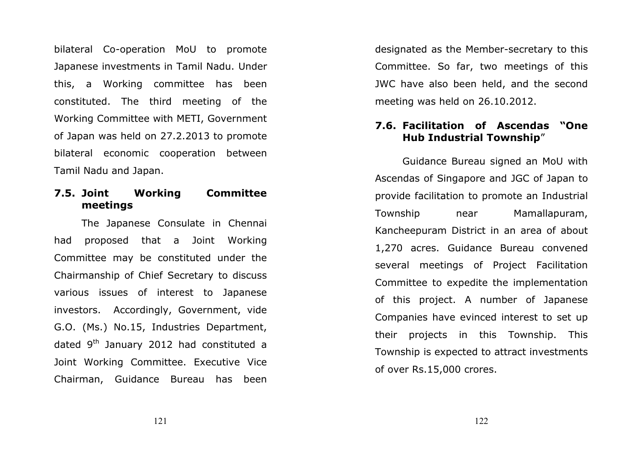bilateral Co-operation MoU to promote Japanese investments in Tamil Nadu. Under this, a Working committee has been constituted. The third meeting of the Working Committee with METI, Government of Japan was held on 27.2.2013 to promote bilateral economic cooperation between Tamil Nadu and Japan.

### 7.5. Joint Working Committee meetings

The Japanese Consulate in Chennai had proposed that a Joint Working Committee may be constituted under the Chairmanship of Chief Secretary to discuss various issues of interest to Japanese investors. Accordingly, Government, vide G.O. (Ms.) No.15, Industries Department, dated  $9<sup>th</sup>$  January 2012 had constituted a Joint Working Committee. Executive Vice Chairman, Guidance Bureau has been

designated as the Member-secretary to this Committee. So far, two meetings of this JWC have also been held, and the second meeting was held on 26.10.2012.

### 7.6. Facilitation of Ascendas "One Hub Industrial Township"

Guidance Bureau signed an MoU with Ascendas of Singapore and JGC of Japan to provide facilitation to promote an Industrial Township near Mamallapuram, Kancheepuram District in an area of about 1,270 acres. Guidance Bureau convened several meetings of Project Facilitation Committee to expedite the implementation of this project. A number of Japanese Companies have evinced interest to set up their projects in this Township. This Township is expected to attract investments of over Rs.15,000 crores.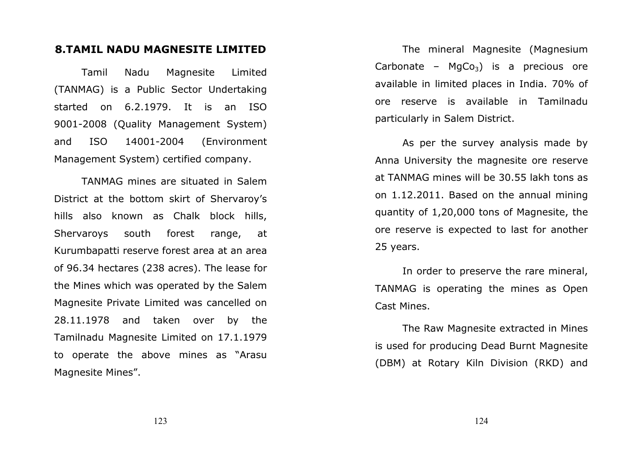### 8.TAMIL NADU MAGNESITE LIMITED

Tamil Nadu Magnesite Limited (TANMAG) is a Public Sector Undertaking started on 6.2.1979. It is an ISO 9001-2008 (Quality Management System) and ISO 14001-2004 (Environment Management System) certified company.

TANMAG mines are situated in Salem District at the bottom skirt of Shervaroy's hills also known as Chalk block hills, Shervaroys south forest range, at Kurumbapatti reserve forest area at an area of 96.34 hectares (238 acres). The lease for the Mines which was operated by the Salem Magnesite Private Limited was cancelled on 28.11.1978 and taken over by the Tamilnadu Magnesite Limited on 17.1.1979 to operate the above mines as "Arasu Magnesite Mines".

The mineral Magnesite (Magnesium Carbonate –  $MqCo<sub>3</sub>$ ) is a precious ore available in limited places in India. 70% of ore reserve is available in Tamilnadu particularly in Salem District.

As per the survey analysis made by Anna University the magnesite ore reserve at TANMAG mines will be 30.55 lakh tons as on 1.12.2011. Based on the annual mining quantity of 1,20,000 tons of Magnesite, the ore reserve is expected to last for another 25 years.

In order to preserve the rare mineral, TANMAG is operating the mines as Open Cast Mines.

The Raw Magnesite extracted in Mines is used for producing Dead Burnt Magnesite (DBM) at Rotary Kiln Division (RKD) and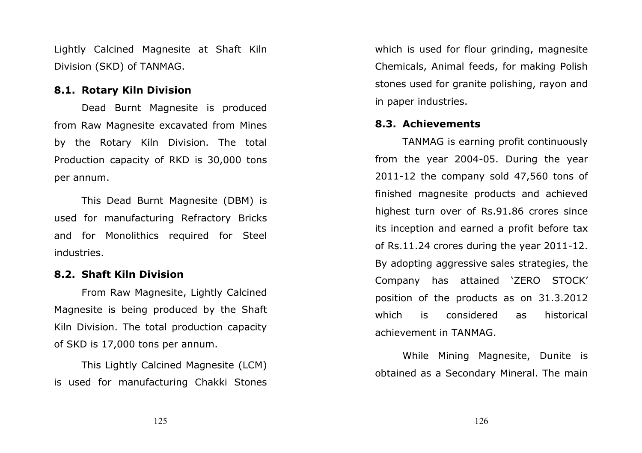Lightly Calcined Magnesite at Shaft Kiln Division (SKD) of TANMAG.

### 8.1. Rotary Kiln Division

Dead Burnt Magnesite is produced from Raw Magnesite excavated from Mines by the Rotary Kiln Division. The total Production capacity of RKD is 30,000 tons per annum.

This Dead Burnt Magnesite (DBM) is used for manufacturing Refractory Bricks and for Monolithics required for Steel industries.

### 8.2. Shaft Kiln Division

From Raw Magnesite, Lightly Calcined Magnesite is being produced by the Shaft Kiln Division. The total production capacity of SKD is 17,000 tons per annum.

This Lightly Calcined Magnesite (LCM) is used for manufacturing Chakki Stones which is used for flour grinding, magnesite Chemicals, Animal feeds, for making Polish stones used for granite polishing, rayon and in paper industries.

### 8.3. Achievements

TANMAG is earning profit continuously from the year 2004-05. During the year 2011-12 the company sold 47,560 tons of finished magnesite products and achieved highest turn over of Rs.91.86 crores since its inception and earned a profit before tax of Rs.11.24 crores during the year 2011-12. By adopting aggressive sales strategies, the Company has attained 'ZERO STOCK' position of the products as on 31.3.2012 which is considered as historical achievement in TANMAG.

While Mining Magnesite, Dunite is obtained as a Secondary Mineral. The main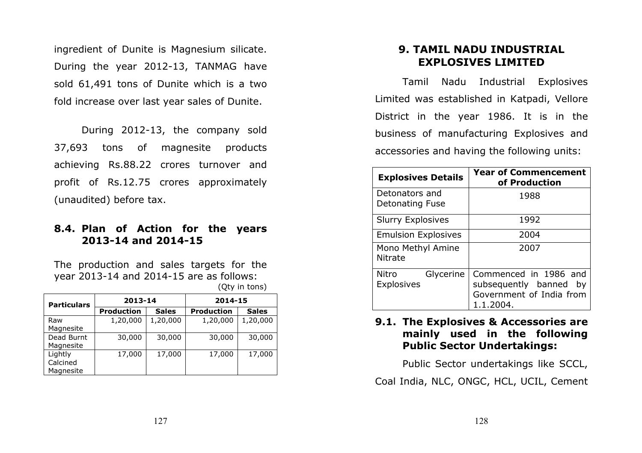ingredient of Dunite is Magnesium silicate. During the year 2012-13, TANMAG have sold 61,491 tons of Dunite which is a two fold increase over last year sales of Dunite.

 During 2012-13, the company sold 37,693 tons of magnesite products achieving Rs.88.22 crores turnover and profit of Rs.12.75 crores approximately (unaudited) before tax.

### 8.4. Plan of Action for the years 2013-14 and 2014-15

The production and sales targets for the year 2013-14 and 2014-15 are as follows: (Qty in tons)

| <b>Particulars</b> | 2013-14           |              | 2014-15           |              |
|--------------------|-------------------|--------------|-------------------|--------------|
|                    | <b>Production</b> | <b>Sales</b> | <b>Production</b> | <b>Sales</b> |
| Raw                | 1,20,000          | 1,20,000     | 1,20,000          | 1,20,000     |
| Magnesite          |                   |              |                   |              |
| Dead Burnt         | 30,000            | 30,000       | 30,000            | 30,000       |
| Magnesite          |                   |              |                   |              |
| Lightly            | 17,000            | 17,000       | 17,000            | 17,000       |
| Calcined           |                   |              |                   |              |
| Magnesite          |                   |              |                   |              |

### 9. TAMIL NADU INDUSTRIAL EXPLOSIVES LIMITED

Tamil Nadu Industrial Explosives Limited was established in Katpadi, Vellore District in the year 1986. It is in the business of manufacturing Explosives and accessories and having the following units:

| <b>Explosives Details</b>                      | <b>Year of Commencement</b><br>of Production                                             |  |
|------------------------------------------------|------------------------------------------------------------------------------------------|--|
| Detonators and<br>Detonating Fuse              | 1988                                                                                     |  |
| <b>Slurry Explosives</b>                       | 1992                                                                                     |  |
| <b>Emulsion Explosives</b>                     | 2004                                                                                     |  |
| Mono Methyl Amine<br><b>Nitrate</b>            | 2007                                                                                     |  |
| <b>Nitro</b><br>Glycerine<br><b>Explosives</b> | Commenced in 1986 and<br>subsequently banned by<br>Government of India from<br>1.1.2004. |  |

### 9.1. The Explosives & Accessories are mainly used in the following Public Sector Undertakings:

Public Sector undertakings like SCCL,

Coal India, NLC, ONGC, HCL, UCIL, Cement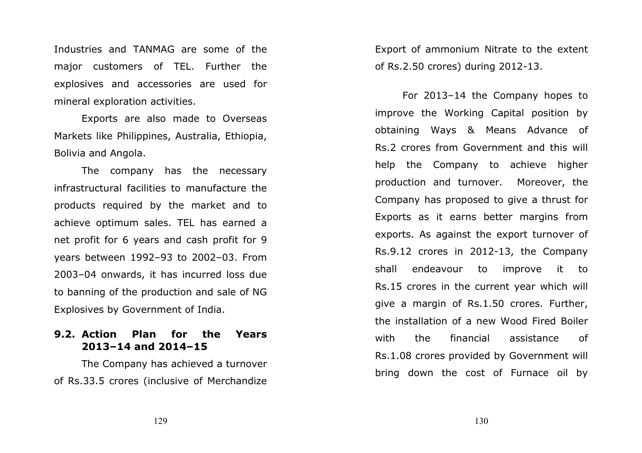Industries and TANMAG are some of the major customers of TEL. Further the explosives and accessories are used for mineral exploration activities.

Exports are also made to Overseas Markets like Philippines, Australia, Ethiopia, Bolivia and Angola.

The company has the necessary infrastructural facilities to manufacture the products required by the market and to achieve optimum sales. TEL has earned a net profit for 6 years and cash profit for 9 years between 1992–93 to 2002–03. From 2003–04 onwards, it has incurred loss due to banning of the production and sale of NG Explosives by Government of India.

### 9.2. Action Plan for the Years 2013–14 and 2014–15

 The Company has achieved a turnover of Rs.33.5 crores (inclusive of Merchandize Export of ammonium Nitrate to the extent of Rs.2.50 crores) during 2012-13.

 For 2013–14 the Company hopes to improve the Working Capital position by obtaining Ways & Means Advance of Rs.2 crores from Government and this will help the Company to achieve higher production and turnover. Moreover, the Company has proposed to give a thrust for Exports as it earns better margins from exports. As against the export turnover of Rs.9.12 crores in 2012-13, the Company shall endeavour to improve it to Rs.15 crores in the current year which will give a margin of Rs.1.50 crores. Further, the installation of a new Wood Fired Boiler with the financial assistance of Rs.1.08 crores provided by Government will bring down the cost of Furnace oil by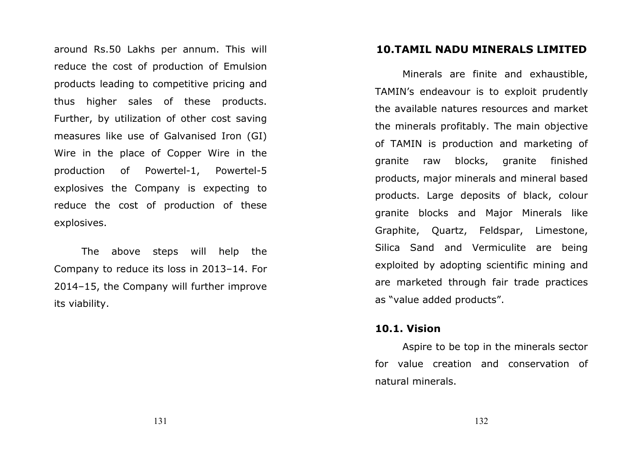around Rs.50 Lakhs per annum. This will reduce the cost of production of Emulsion products leading to competitive pricing and thus higher sales of these products. Further, by utilization of other cost saving measures like use of Galvanised Iron (GI) Wire in the place of Copper Wire in the production of Powertel-1, Powertel-5 explosives the Company is expecting to reduce the cost of production of these explosives.

 The above steps will help the Company to reduce its loss in 2013–14. For 2014–15, the Company will further improve its viability.

### 10.TAMIL NADU MINERALS LIMITED

Minerals are finite and exhaustible, TAMIN's endeavour is to exploit prudently the available natures resources and market the minerals profitably. The main objective of TAMIN is production and marketing of granite raw blocks, granite finished products, major minerals and mineral based products. Large deposits of black, colour granite blocks and Major Minerals like Graphite, Quartz, Feldspar, Limestone, Silica Sand and Vermiculite are being exploited by adopting scientific mining and are marketed through fair trade practices as "value added products".

### 10.1. Vision

Aspire to be top in the minerals sector for value creation and conservation of natural minerals.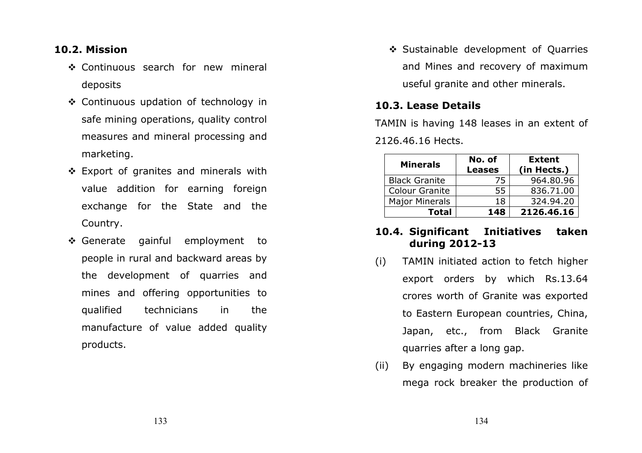### 10.2. Mission

- ❖ Continuous search for new mineral deposits
- ❖ Continuous updation of technology in safe mining operations, quality control measures and mineral processing and marketing.
- ❖ Export of granites and minerals with value addition for earning foreign exchange for the State and the Country.
- ❖ Generate gainful employment to people in rural and backward areas by the development of quarries and mines and offering opportunities to qualified technicians in the manufacture of value added quality products.

❖ Sustainable development of Quarries and Mines and recovery of maximum useful granite and other minerals.

### 10.3. Lease Details

TAMIN is having 148 leases in an extent of 2126.46.16 Hects.

| <b>Minerals</b>       | No. of        | <b>Extent</b> |
|-----------------------|---------------|---------------|
|                       | <b>Leases</b> | (in Hects.)   |
| <b>Black Granite</b>  | 75            | 964.80.96     |
| <b>Colour Granite</b> | 55.           | 836.71.00     |
| <b>Major Minerals</b> | 18            | 324.94.20     |
| <b>Total</b>          | 148           | 2126.46.16    |

### 10.4. Significant Initiatives taken during 2012-13

- (i) TAMIN initiated action to fetch higher export orders by which Rs.13.64 crores worth of Granite was exported to Eastern European countries, China, Japan, etc., from Black Granite quarries after a long gap.
- (ii) By engaging modern machineries like mega rock breaker the production of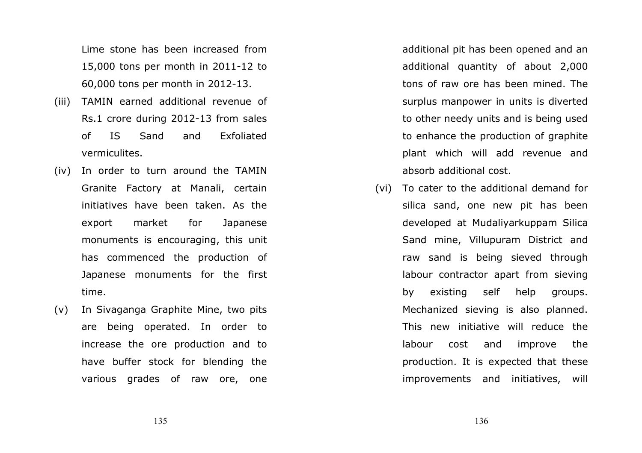Lime stone has been increased from 15,000 tons per month in 2011-12 to 60,000 tons per month in 2012-13.

- (iii) TAMIN earned additional revenue of Rs.1 crore during 2012-13 from sales of IS Sand and Exfoliated vermiculites.
- (iv) In order to turn around the TAMIN Granite Factory at Manali, certain initiatives have been taken. As the export market for Japanese monuments is encouraging, this unit has commenced the production of Japanese monuments for the first time.
- (v) In Sivaganga Graphite Mine, two pits are being operated. In order to increase the ore production and to have buffer stock for blending the various grades of raw ore, one

additional pit has been opened and an additional quantity of about 2,000 tons of raw ore has been mined. The surplus manpower in units is diverted to other needy units and is being used to enhance the production of graphite plant which will add revenue and absorb additional cost.

(vi) To cater to the additional demand for silica sand, one new pit has been developed at Mudaliyarkuppam Silica Sand mine, Villupuram District and raw sand is being sieved through labour contractor apart from sieving by existing self help groups. Mechanized sieving is also planned. This new initiative will reduce the labour cost and improve the production. It is expected that these improvements and initiatives, will

136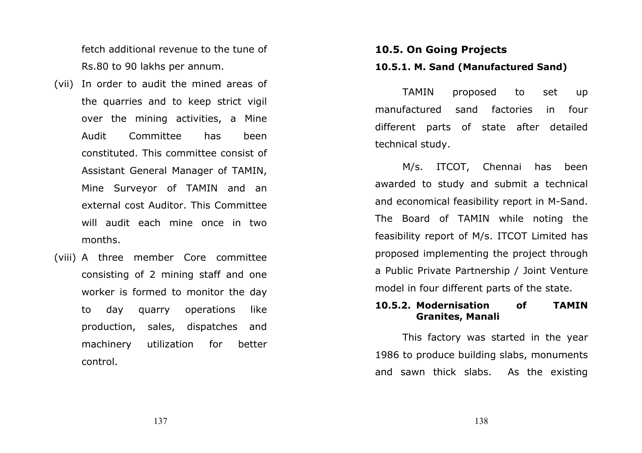fetch additional revenue to the tune of Rs.80 to 90 lakhs per annum.

- (vii) In order to audit the mined areas of the quarries and to keep strict vigil over the mining activities, a Mine Audit Committee has been constituted. This committee consist of Assistant General Manager of TAMIN, Mine Surveyor of TAMIN and an external cost Auditor. This Committee will audit each mine once in two months.
- (viii) A three member Core committee consisting of 2 mining staff and one worker is formed to monitor the day to day quarry operations like production, sales, dispatches and machinery utilization for better control.

## 10.5. On Going Projects 10.5.1. M. Sand (Manufactured Sand)

TAMIN proposed to set up manufactured sand factories in four different parts of state after detailed technical study.

M/s. ITCOT, Chennai has been awarded to study and submit a technical and economical feasibility report in M-Sand. The Board of TAMIN while noting the feasibility report of M/s. ITCOT Limited has proposed implementing the project through a Public Private Partnership / Joint Venture model in four different parts of the state.

### 10.5.2. Modernisation of TAMIN Granites, Manali

This factory was started in the year 1986 to produce building slabs, monuments and sawn thick slabs. As the existing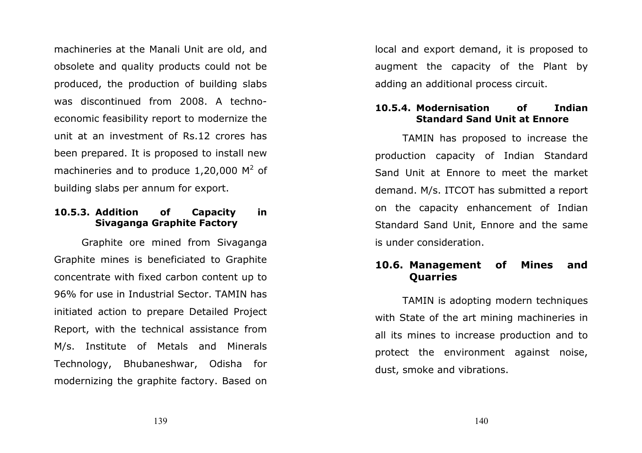machineries at the Manali Unit are old, and obsolete and quality products could not be produced, the production of building slabs was discontinued from 2008. A technoeconomic feasibility report to modernize the unit at an investment of Rs.12 crores has been prepared. It is proposed to install new machineries and to produce 1,20,000  $M^2$  of building slabs per annum for export.

## 10.5.3. Addition of Capacity in Sivaganga Graphite Factory

Graphite ore mined from Sivaganga Graphite mines is beneficiated to Graphite concentrate with fixed carbon content up to 96% for use in Industrial Sector. TAMIN has initiated action to prepare Detailed Project Report, with the technical assistance from M/s. Institute of Metals and Minerals Technology, Bhubaneshwar, Odisha for modernizing the graphite factory. Based on

local and export demand, it is proposed to augment the capacity of the Plant by adding an additional process circuit.

## 10.5.4. Modernisation of Indian Standard Sand Unit at Ennore

TAMIN has proposed to increase the production capacity of Indian Standard Sand Unit at Ennore to meet the market demand. M/s. ITCOT has submitted a report on the capacity enhancement of Indian Standard Sand Unit, Ennore and the same is under consideration.

## 10.6. Management of Mines and **Quarries**

 TAMIN is adopting modern techniques with State of the art mining machineries in all its mines to increase production and to protect the environment against noise, dust, smoke and vibrations.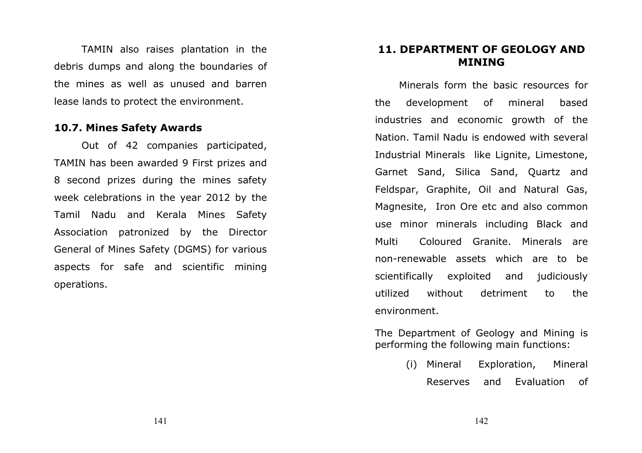TAMIN also raises plantation in the debris dumps and along the boundaries of the mines as well as unused and barren lease lands to protect the environment.

### 10.7. Mines Safety Awards

Out of 42 companies participated, TAMIN has been awarded 9 First prizes and 8 second prizes during the mines safety week celebrations in the year 2012 by the Tamil Nadu and Kerala Mines Safety Association patronized by the Director General of Mines Safety (DGMS) for various aspects for safe and scientific mining operations.

## 11. DEPARTMENT OF GEOLOGY AND MINING

Minerals form the basic resources for the development of mineral based industries and economic growth of the Nation. Tamil Nadu is endowed with several Industrial Minerals like Lignite, Limestone, Garnet Sand, Silica Sand, Quartz and Feldspar, Graphite, Oil and Natural Gas, Magnesite, Iron Ore etc and also common use minor minerals including Black and Multi Coloured Granite. Minerals are non-renewable assets which are to be scientifically exploited and judiciously utilized without detriment to the environment.

The Department of Geology and Mining is performing the following main functions:

> (i)Exploration, Mineral Reserves and Evaluation of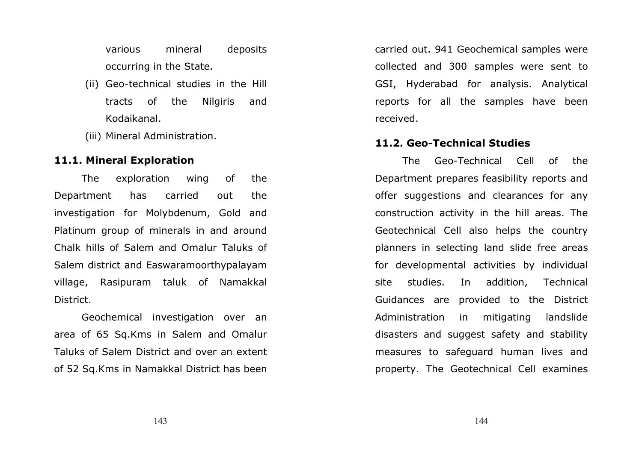various mineral deposits occurring in the State.

- (ii) Geo-technical studies in the Hill tracts of the Nilgiris and Kodaikanal.
- (iii) Mineral Administration.

## 11.1. Mineral Exploration

The exploration wing of the Department has carried out the investigation for Molybdenum, Gold and Platinum group of minerals in and around Chalk hills of Salem and Omalur Taluks of Salem district and Easwaramoorthypalayam village, Rasipuram taluk of Namakkal District.

Geochemical investigation over an area of 65 Sq.Kms in Salem and Omalur Taluks of Salem District and over an extent of 52 Sq.Kms in Namakkal District has been

carried out. 941 Geochemical samples were collected and 300 samples were sent to GSI, Hyderabad for analysis. Analytical reports for all the samples have been received.

### 11.2. Geo-Technical Studies

The Geo-Technical Cell of the Department prepares feasibility reports and offer suggestions and clearances for any construction activity in the hill areas. The Geotechnical Cell also helps the country planners in selecting land slide free areas for developmental activities by individual site studies. In addition, Technical Guidances are provided to the District Administration in mitigating landslide disasters and suggest safety and stability measures to safeguard human lives and property. The Geotechnical Cell examines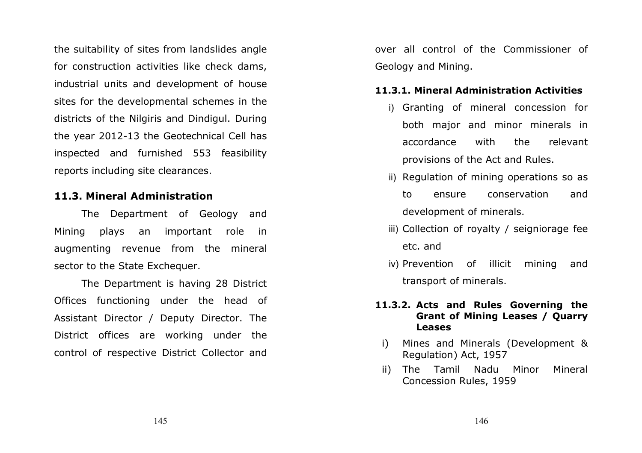the suitability of sites from landslides angle for construction activities like check dams, industrial units and development of house sites for the developmental schemes in the districts of the Nilgiris and Dindigul. During the year 2012-13 the Geotechnical Cell has inspected and furnished 553 feasibility reports including site clearances.

## 11.3. Mineral Administration

The Department of Geology and Mining plays an important role in augmenting revenue from the mineral sector to the State Exchequer.

The Department is having 28 District Offices functioning under the head of Assistant Director / Deputy Director. The District offices are working under the control of respective District Collector and

over all control of the Commissioner of Geology and Mining.

## 11.3.1. Mineral Administration Activities

- i) Granting of mineral concession for both major and minor minerals in accordance with the relevant provisions of the Act and Rules.
- ii) Regulation of mining operations so as to ensure conservation and development of minerals.
- iii) Collection of royalty / seigniorage fee etc. and
- iv) Prevention of illicit mining and transport of minerals.

## 11.3.2. Acts and Rules Governing the Grant of Mining Leases / Quarry Leases

- i) Mines and Minerals (Development & Regulation) Act, 1957
- ii) The Tamil Nadu Minor Mineral Concession Rules, 1959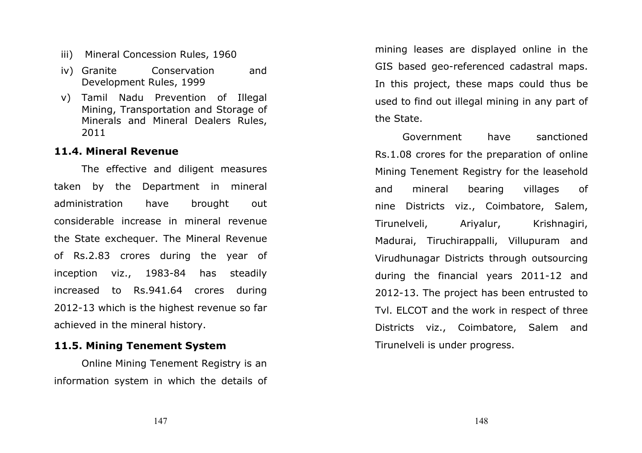- iii) Mineral Concession Rules, 1960
- iv) Granite Conservation and Development Rules, 1999
- v) Tamil Nadu Prevention of Illegal Mining, Transportation and Storage of Minerals and Mineral Dealers Rules, 2011

### 11.4. Mineral Revenue

The effective and diligent measures taken by the Department in mineral administration have brought out considerable increase in mineral revenue the State exchequer. The Mineral Revenue of Rs.2.83 crores during the year of inception viz., 1983-84 has steadily increased to Rs.941.64 crores during 2012-13 which is the highest revenue so far achieved in the mineral history.

## 11.5. Mining Tenement System

 Online Mining Tenement Registry is an information system in which the details of

mining leases are displayed online in the GIS based geo-referenced cadastral maps. In this project, these maps could thus be used to find out illegal mining in any part of the State.

Government have sanctioned Rs.1.08 crores for the preparation of online Mining Tenement Registry for the leasehold and mineral bearing villages of nine Districts viz., Coimbatore, Salem, Tirunelveli, Ariyalur, Krishnagiri, Madurai, Tiruchirappalli, Villupuram and Virudhunagar Districts through outsourcing during the financial years 2011-12 and 2012-13. The project has been entrusted to Tvl. ELCOT and the work in respect of three Districts viz., Coimbatore, Salem and Tirunelveli is under progress.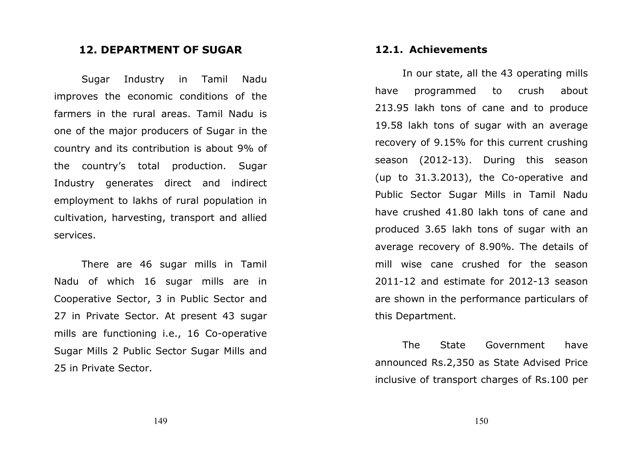## 12. DEPARTMENT OF SUGAR

Sugar Industry in Tamil Nadu improves the economic conditions of the farmers in the rural areas. Tamil Nadu is one of the major producers of Sugar in the country and its contribution is about 9% of the country's total production. Sugar Industry generates direct and indirect employment to lakhs of rural population in cultivation, harvesting, transport and allied services.

 There are 46 sugar mills in Tamil Nadu of which 16 sugar mills are in Cooperative Sector, 3 in Public Sector and 27 in Private Sector. At present 43 sugar mills are functioning i.e., 16 Co-operative Sugar Mills 2 Public Sector Sugar Mills and 25 in Private Sector.

## 12.1. Achievements

In our state, all the 43 operating mills have programmed to crush about 213.95 lakh tons of cane and to produce 19.58 lakh tons of sugar with an average recovery of 9.15% for this current crushing season (2012-13). During this season (up to 31.3.2013), the Co-operative and Public Sector Sugar Mills in Tamil Nadu have crushed 41.80 lakh tons of cane and produced 3.65 lakh tons of sugar with an average recovery of 8.90%. The details of mill wise cane crushed for the season 2011-12 and estimate for 2012-13 season are shown in the performance particulars of this Department.

 The State Government have announced Rs.2,350 as State Advised Price inclusive of transport charges of Rs.100 per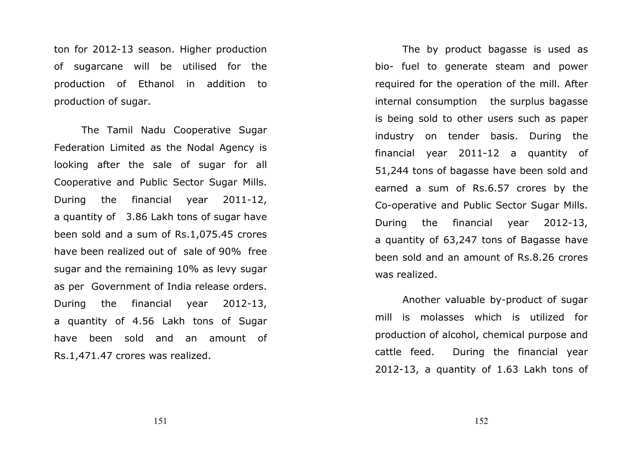ton for 2012-13 season. Higher production of sugarcane will be utilised for the production of Ethanol in addition to production of sugar.

The Tamil Nadu Cooperative Sugar Federation Limited as the Nodal Agency is looking after the sale of sugar for all Cooperative and Public Sector Sugar Mills. During the financial year 2011-12, a quantity of 3.86 Lakh tons of sugar have been sold and a sum of Rs.1,075.45 crores have been realized out of sale of 90% free sugar and the remaining 10% as levy sugar as per Government of India release orders. During the financial year 2012-13, a quantity of 4.56 Lakh tons of Sugar have been sold and an amount of Rs.1,471.47 crores was realized.

The by product bagasse is used as bio- fuel to generate steam and power required for the operation of the mill. After internal consumption the surplus bagasse is being sold to other users such as paper industry on tender basis. During the financial year 2011-12 a quantity of 51,244 tons of bagasse have been sold and earned a sum of Rs.6.57 crores by the Co-operative and Public Sector Sugar Mills. During the financial year 2012-13, a quantity of 63,247 tons of Bagasse have been sold and an amount of Rs.8.26 crores was realized.

Another valuable by-product of sugar mill is molasses which is utilized for production of alcohol, chemical purpose and cattle feed. During the financial year 2012-13, a quantity of 1.63 Lakh tons of

151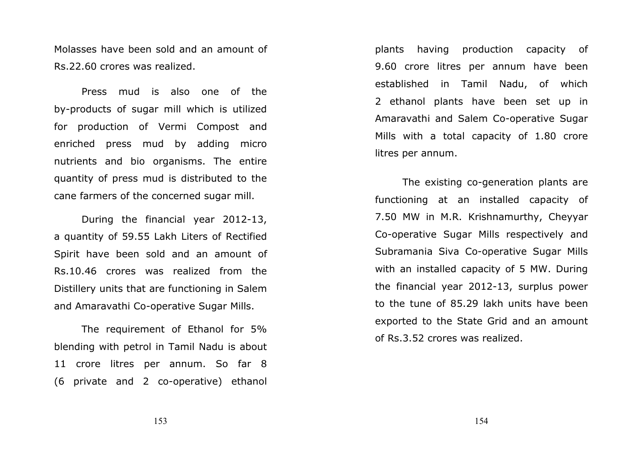Molasses have been sold and an amount of Rs.22.60 crores was realized.

Press mud is also one of the by-products of sugar mill which is utilized for production of Vermi Compost and enriched press mud by adding micro nutrients and bio organisms. The entire quantity of press mud is distributed to the cane farmers of the concerned sugar mill.

During the financial year 2012-13, a quantity of 59.55 Lakh Liters of Rectified Spirit have been sold and an amount of Rs.10.46 crores was realized from the Distillery units that are functioning in Salem and Amaravathi Co-operative Sugar Mills.

The requirement of Ethanol for 5% blending with petrol in Tamil Nadu is about 11 crore litres per annum. So far 8 (6 private and 2 co-operative) ethanol

plants having production capacity of 9.60 crore litres per annum have been established in Tamil Nadu, of which 2 ethanol plants have been set up in Amaravathi and Salem Co-operative Sugar Mills with a total capacity of 1.80 crore litres per annum.

The existing co-generation plants are functioning at an installed capacity of 7.50 MW in M.R. Krishnamurthy, Cheyyar Co-operative Sugar Mills respectively and Subramania Siva Co-operative Sugar Mills with an installed capacity of 5 MW. During the financial year 2012-13, surplus power to the tune of 85.29 lakh units have been exported to the State Grid and an amount of Rs.3.52 crores was realized.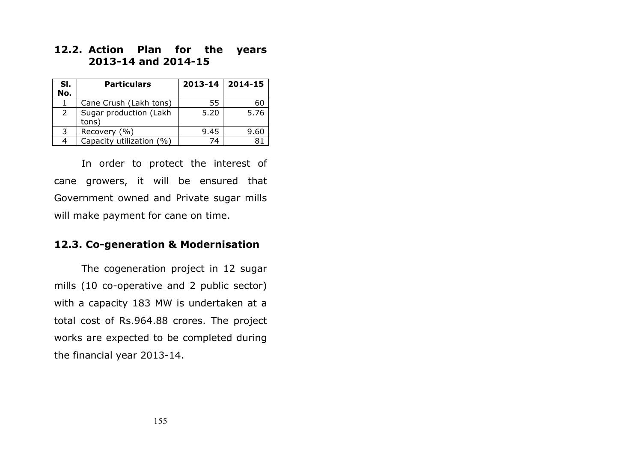## 12.2. Action Plan for the years 2013-14 and 2014-15

| SI. | <b>Particulars</b>              | 2013-14 | 2014-15 |
|-----|---------------------------------|---------|---------|
| No. |                                 |         |         |
|     | Cane Crush (Lakh tons)          | 55      | 60      |
| 2   | Sugar production (Lakh<br>tons) | 5.20    | 5.76    |
| 3   | Recovery (%)                    | 9.45    | 9.60    |
|     | Capacity utilization (%)        | 74      |         |

 In order to protect the interest of cane growers, it will be ensured that Government owned and Private sugar mills will make payment for cane on time.

## 12.3. Co-generation & Modernisation

The cogeneration project in 12 sugar mills (10 co-operative and 2 public sector) with a capacity 183 MW is undertaken at a total cost of Rs.964.88 crores. The project works are expected to be completed during the financial year 2013-14.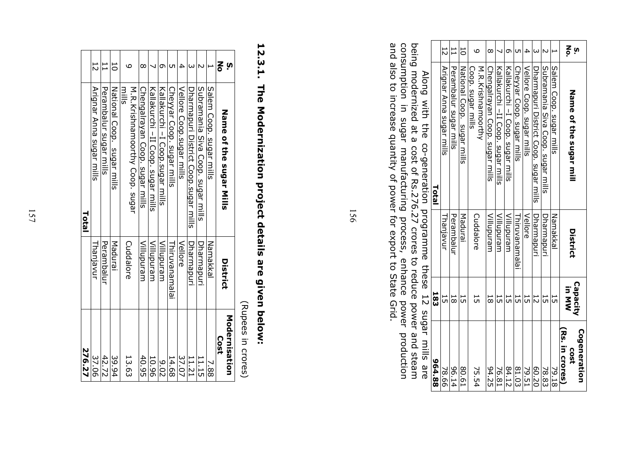|                                                                                                                                                                    |        |                          | $\mathbf{1}$           | 5                          | ဖ                                       | $\infty$                       |                                    | σ                                |                           | ₽                         |                                       |                                   |                         | $\frac{8}{5}$ ง                               |
|--------------------------------------------------------------------------------------------------------------------------------------------------------------------|--------|--------------------------|------------------------|----------------------------|-----------------------------------------|--------------------------------|------------------------------------|----------------------------------|---------------------------|---------------------------|---------------------------------------|-----------------------------------|-------------------------|-----------------------------------------------|
|                                                                                                                                                                    |        | $\overline{5}$           |                        |                            |                                         |                                |                                    |                                  |                           |                           |                                       |                                   |                         |                                               |
| <b>トプニュコ ハック いし、ニューコーユ コート ゴ コンフト フラ コフア コフフ コフ カェハェハフ トフ ェハユ!!!) コフ:::ハェ ココ::ハェ コトコ コトフ コミ</b><br>Along with the co-generation programme these 12 sugar mills are | Total  | Arignar Anna sugar mills | Perambalur sugar mills | National Coop. sugar mills | Coop. sugar mills<br>M.R.Krishnamoorthy | Chengalrayan Coop. sugar mills | Kallakurchi - II Coop. sugar mills | Kallakurchi -I Coop. sugar mills | Cheyyar Coop. sugar mills | Vellore Coop. sugar mills | Dharmapuri District Coop. sugar mills | Subramania Siva Coop. sugar mills | Salem Coop. sugar mills | Name of the sugar mill                        |
|                                                                                                                                                                    |        | Thanjavur                | Perambalur             | Madurai                    | Cuddalore                               | Villupuram                     | Villupuram                         | Villupuram                       | Thiruvanamalai            | Vellore                   | Dharmapuri                            | Dharmapuri                        | Namakkal                | District                                      |
|                                                                                                                                                                    | 183    | 5                        | 18                     | 5                          |                                         | 55                             | 5                                  | 51                               | 늕                         | 55                        | 12                                    | 55                                | 5                       | Capacity<br><b>In MW</b>                      |
|                                                                                                                                                                    | 964.88 | 78.66                    | 96.14                  | 80.61                      | 75.54                                   | 94.25                          | 76.81                              | 84.12                            | 81.03                     | 79.51                     | 02.20                                 | 78.83                             | 79.18                   | Cogeneration<br>Rs. in crores)<br><b>cost</b> |

being modernized at a cost of Rs.276.27 crores to reduce power and steam consumption in sugar manufacturing process, enhance power production and also to increase quantity of power for export to State Grid. being modernized at a cost of Rs.276.27 crores to reduce power and steam<br>consumption in sugar manufacturing process, enhance power production<br>and also to increase quantity of power for export to State Grid.

156

# 12.3.1. The Modernization project details are given below: 12.3.1. The Modernization project details are given below:

| 276.27                |             | Total                                  |     |
|-----------------------|-------------|----------------------------------------|-----|
| 37.06                 | Thanjavur   | Arignar Anna sugar mills               | ZI. |
| 42.72                 | Perambalur  | Perambalur sugar mills                 | ⊟   |
| 39.94                 | Madurai     | National Coop. sugar mills             | JO  |
| 13.63                 | Cuddalore   | M.R.Krishnamootthy Coop. sugar<br>mils |     |
| 40.95                 | Villupuram  | Chengalrayan Coop. sugar mills         |     |
| 10.96                 | Willupuram  | Kallakurchi - II Coop. sugar mills     |     |
| 0.02                  | Villupuram  | Kallakurchi -I Coop.sugar mills        |     |
| 14.68                 | islanamalai | Cheyyar Coop. sugar mills              |     |
| 37.07                 | Vellore     | Vellore Coop.sugar mills               |     |
| 11.21                 | Dharmapuri  | Dharnapuri District Cop.sugar mills    |     |
| 11.15                 | Dharmapuri  | Subramania Siva Coop. sugar mills      |     |
| 7.88                  | Namakkal    | Salem Coop. sugar mills                |     |
| Modernisation<br>Cost | District    | Name of the sugar Mills                | 종   |

 (Rupees in crores) (Rupees in crores)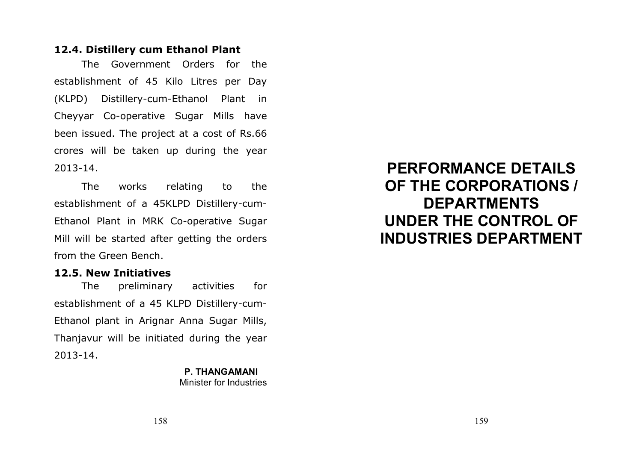## 12.4. Distillery cum Ethanol Plant

The Government Orders for the establishment of 45 Kilo Litres per Day (KLPD) Distillery-cum-Ethanol Plant in Cheyyar Co-operative Sugar Mills have been issued. The project at a cost of Rs.66 crores will be taken up during the year 2013-14.

 The works relating to the establishment of a 45KLPD Distillery-cum-Ethanol Plant in MRK Co-operative Sugar Mill will be started after getting the orders from the Green Bench.

## 12.5. New Initiatives

 The preliminary activities for establishment of a 45 KLPD Distillery-cum-Ethanol plant in Arignar Anna Sugar Mills, Thanjavur will be initiated during the year 2013-14.

### P. THANGAMANI Minister for Industries

PERFORMANCE DETAILS OF THE CORPORATIONS / DEPARTMENTS UNDER THE CONTROL OF INDUSTRIES DEPARTMENT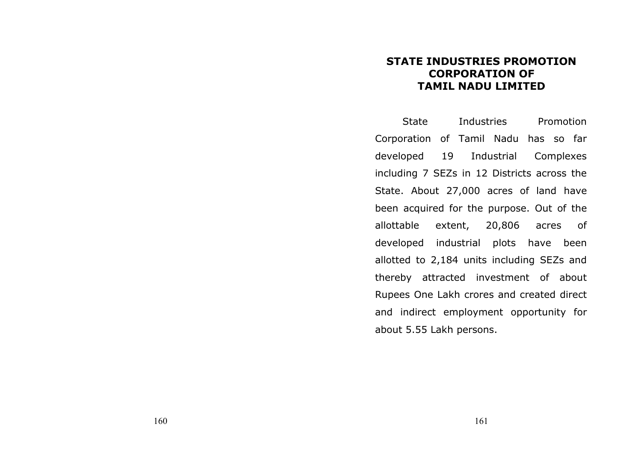## STATE INDUSTRIES PROMOTION CORPORATION OF TAMIL NADU LIMITED

State Industries Promotion Corporation of Tamil Nadu has so far developed 19 Industrial Complexes including 7 SEZs in 12 Districts across the State. About 27,000 acres of land have been acquired for the purpose. Out of the allottable extent, 20,806 acres of developed industrial plots have been allotted to 2,184 units including SEZs and thereby attracted investment of about Rupees One Lakh crores and created direct and indirect employment opportunity for about 5.55 Lakh persons.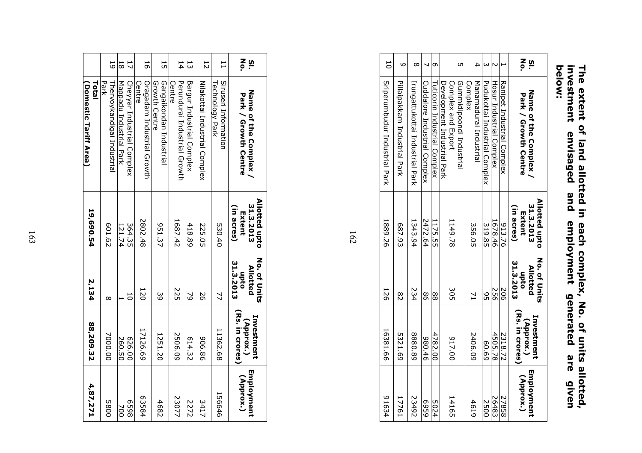| <b>Delow:</b> |                                                         |                                                                     |
|---------------|---------------------------------------------------------|---------------------------------------------------------------------|
|               |                                                         |                                                                     |
|               |                                                         |                                                                     |
|               | investment envisaged and employment generated are given | The extent of land allotted in each complex, No. of units allotted, |
|               |                                                         |                                                                     |
|               |                                                         |                                                                     |
|               |                                                         |                                                                     |

| 5                                   | م                            | $\infty$                        |                              | Ō                            |                                                   | ŪТ                       | 4                                 |                               |                          |                            | <u>ა ≳</u>                                           |
|-------------------------------------|------------------------------|---------------------------------|------------------------------|------------------------------|---------------------------------------------------|--------------------------|-----------------------------------|-------------------------------|--------------------------|----------------------------|------------------------------------------------------|
| <b>Superunpudur Industrial Park</b> | Pillaipakkam Industrial Park | Irungattukottai Irdustrial Park | Cuddalore Industrial Complex | Tuticorin Industrial Complex | Complex and Export<br>Development Industrial Park | Gummidipoondi Industrial | Manamadurai Industrial<br>Complex | Pudukottai Industrial Complex | Hosur Industrial Complex | Ranipet Industrial Complex | Name of the Complex<br><b>Park / Growth Centre</b>   |
| 1889.26                             | 687.93                       | 1343.94                         | 2472.64                      | 1175.55                      | 1149.78                                           |                          | 356.05                            | 319.85                        | 1678.46                  | 913.76                     | Allotted upto<br>31.3.2013<br>(in acres)<br>Extent   |
| 126                                 | $\frac{8}{2}$                | 234                             | 98                           | 88                           | ς<br>Ο                                            |                          |                                   | 95                            | 952                      | 506                        | <b>No. of Units</b><br>31.3.2013<br>Allotted<br>opto |
| 16381.66                            | 5321.69                      | 88.088                          | 980.46                       | 4782.00                      | 017.00                                            |                          | 2406.09                           | 60.69                         | 4505.78                  | 2318.72                    | (Rs. in crores)<br>Investment<br>(Approx.)           |
| 91634                               | 17761                        | 23492                           | 6369                         | 5024                         | 14165                                             |                          | 4619                              | 2500                          | 26483                    | 27858                      | Employment<br>(Approx.)                              |

| 4,87,271                | 88,209.32                                  | 2,134                                                | 19,690.54                                          | <b>Total</b><br>(Domestic Tariff Area)         |                |
|-------------------------|--------------------------------------------|------------------------------------------------------|----------------------------------------------------|------------------------------------------------|----------------|
| <b>D800</b>             | 7000.00                                    | $^{\circ}$                                           | 601.62                                             | Thervoykandigai Industrial<br>Park             | 5              |
| à                       | 260.50                                     |                                                      | 121.74                                             | Mapadu Industrial Park                         | 81             |
| 8659                    | 00.929                                     | ā                                                    | 364.35                                             | Cheyyar Industrial Complex                     |                |
| 63584                   | 17126.69                                   | 120                                                  | 2802.48                                            | Oragadam Industrial Growth<br>Lentre           | 56             |
| 4682                    | 1251.20                                    | 39                                                   | 951.37                                             | Gangaikondan Industrial<br>Growth Centre       | 5              |
| 23077                   | 2506.09                                    | 225                                                  | 1687.42                                            | Perundurai Industrial Growth<br>Centre         | 14             |
| 2222                    | 614.32                                     | 2                                                    | 418.89                                             | Bargur Industrial Complex                      | 53             |
| 3417                    | 906.86                                     | 50                                                   | 225.05                                             | Nilakottai Industrial Complex                  | $\overline{5}$ |
| 156646                  | 11362.68                                   | $\overline{z}$                                       | 530.40                                             | Siruseri Information<br><b>Technology Park</b> | H              |
| Employment<br>(Approx.) | (Rs. in crores)<br>Investment<br>(Approx.) | <b>No. of Units</b><br>31.3.2013<br>Allotted<br>opto | Allotted upto<br>31.3.2013<br>(in acres)<br>Extent | Name of the Complex<br>Park / Growth Centre    | <u>ა ≳</u>     |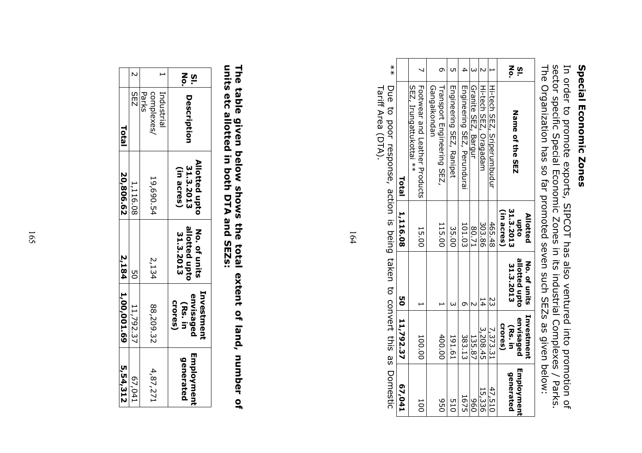## Special Economic Zones Special Economic Zones

In order to promote exports, SIPCOT has also ventured into promotion of sector specific Special Economic Zones in its industrial Complexes / Parks. The Organization has so far promoted seven such SEZs as given below:

| 170'29                  | 50 11,792.37                                          |                                            | 1,116.08                                    | Total                                                    |                    |
|-------------------------|-------------------------------------------------------|--------------------------------------------|---------------------------------------------|----------------------------------------------------------|--------------------|
| 100                     | 100.00                                                |                                            | 15.00                                       | Footwear and Leather Products<br>SEZ, Irungattukottai ** |                    |
| 950                     | 400.00                                                |                                            | 115.00                                      | Transport Engineering SEZ,<br>Gangaikondan               |                    |
| <b>D15</b>              | 191.61                                                |                                            | 35.00                                       | Engineering SEZ, Ranipet                                 | ŪΠ                 |
| 1675                    | 383.13                                                |                                            | 101.03                                      | Engineering SEZ, Perundurai                              |                    |
| 096                     | 135.87                                                |                                            | 12.08                                       | Granite SEZ, Bargur                                      |                    |
| 15,336                  | 3,208.45                                              | 14                                         | 303.86                                      | Hi-tech SEZ, Oragadam                                    |                    |
| 47,510                  | 7,373.31                                              | ΣS                                         | 465.48                                      | Hi-tech SEZ, Sriperumbudur                               |                    |
| Employment<br>generated | Investment<br>envisaged<br><b>Crores</b> )<br>(Rs. in | allotted upto<br>No. of units<br>31.3.2013 | (in acres)<br>31.3.2013<br>Allotted<br>opto | Name of the SEZ                                          | z<br>°<br><u>ທ</u> |

 $\frac{*}{*}$ \*\* Due to poor response, action is being taken to convert this as Domestic Due to poor response, action is being taken to convert this as Domestic<br>Tariff Area (DTA). Tariff Area (DTA).

164

# The table given below shows the total extent of land, number of units etc allotted in both DTA and SEZs: The table given below shows the total extent of land, number of<br>units etc allotted in both DTA and SEZs:

| 5,54,312                      | 2,184 1,00,001.69                                   |                                            | 20,806.62                                | <b>Total</b>                     |   |
|-------------------------------|-----------------------------------------------------|--------------------------------------------|------------------------------------------|----------------------------------|---|
| EP0'/9                        | 11,792.37                                           |                                            | 1,116.08                                 | 2   SEZ                          |   |
| 4,87,271                      | 88,209.32                                           | 2,134                                      | 19,690.54                                | Industrial<br>Parks<br>complexes |   |
| <b>Employmen</b><br>generated | Investment<br>envisaged<br><b>Crores</b><br>(Rs. in | allotted upto<br>No. of units<br>31.3.2013 | Allotted upto<br>31.3.2013<br>(in acres) | Description                      | ᅙ |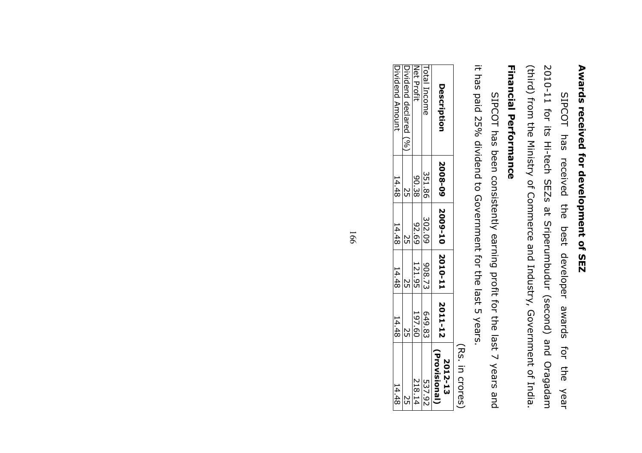# Awards received for development of SEZ Awards received for development of SEZ

(third) from the Ministry of Commerce and Industry, Government of India. (third) from the Ministry of Commerce and Industry, Government of India. 2010-11 for its Hi-tech SEZs at Sriperumbudur (second) and Oragadam 2010-11 for its Hi-tech SEZs at Sriperumbudur (second) and Oragadam SIPCOT has received the best developer awards for the SIPCOT has received the best developer awards for the year Year

## **Financial Performance** Financial Performance

it has paid 25% dividend to Government for the last 5 years. it has paid 25% dividend to Government for the last 5 years. SIPCOT has been consistently earning profit for the last 7 years and SIPCOT has been consistently earning profit for the last 7 years and

 (Rs. in crores) (Rs. in crores)

| Description            |        | 2008-09   2009-10   2010-10   2011 |        |        | Provisional<br>2012-13 |
|------------------------|--------|------------------------------------|--------|--------|------------------------|
| Total Income           | 351.86 | 302.09                             | 308.73 | 649.83 | 537.92                 |
| Net Profit             | 90.38  | 92.69                              | 121.95 | 197.60 | 218.14                 |
| [Dividend declared (%) |        |                                    |        |        |                        |
| Dividend Amount        | 14.48  | 14.48                              | 14.481 | 14.48  | 14.48                  |
|                        |        |                                    |        |        |                        |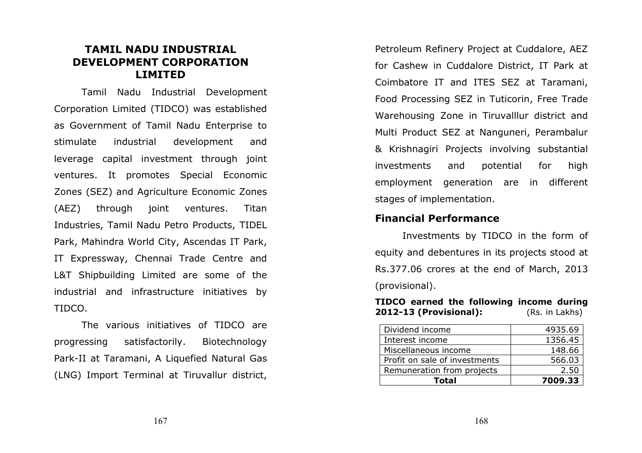## TAMIL NADU INDUSTRIAL DEVELOPMENT CORPORATION LIMITED

Tamil Nadu Industrial Development Corporation Limited (TIDCO) was established as Government of Tamil Nadu Enterprise to stimulate industrial development and leverage capital investment through joint ventures. It promotes Special Economic Zones (SEZ) and Agriculture Economic Zones (AEZ) through joint ventures. Titan Industries, Tamil Nadu Petro Products, TIDEL Park, Mahindra World City, Ascendas IT Park, IT Expressway, Chennai Trade Centre and L&T Shipbuilding Limited are some of the industrial and infrastructure initiatives by TIDCO.

The various initiatives of TIDCO are progressing satisfactorily. Biotechnology Park-II at Taramani, A Liquefied Natural Gas (LNG) Import Terminal at Tiruvallur district,

Petroleum Refinery Project at Cuddalore, AEZ for Cashew in Cuddalore District, IT Park at Coimbatore IT and ITES SEZ at Taramani, Food Processing SEZ in Tuticorin, Free Trade Warehousing Zone in Tiruvalllur district and Multi Product SEZ at Nanguneri, Perambalur & Krishnagiri Projects involving substantial investments and potential for high employment generation are in different stages of implementation.

## Financial Performance

Investments by TIDCO in the form of equity and debentures in its projects stood at Rs.377.06 crores at the end of March, 2013 (provisional).

TIDCO earned the following income during 2012-13 (Provisional): (Rs. in Lakhs)

| Total                         | 7009.33 |
|-------------------------------|---------|
| Remuneration from projects    | 2.50    |
| Profit on sale of investments | 566.03  |
| Miscellaneous income          | 148.66  |
| Interest income               | 1356.45 |
| Dividend income               | 4935.69 |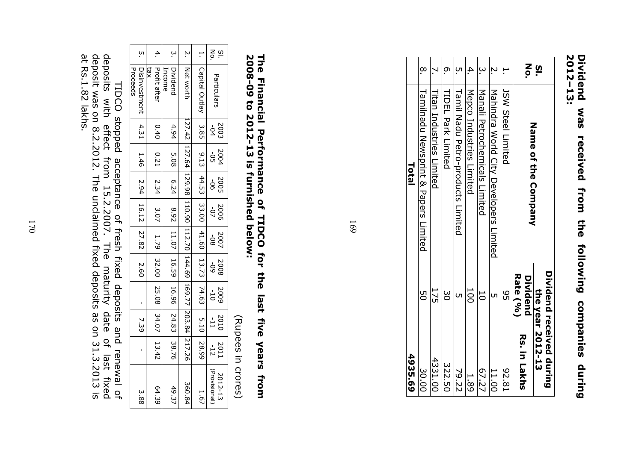| 4935.69                                      |                      | Total                                  |          |
|----------------------------------------------|----------------------|----------------------------------------|----------|
| 30.00                                        | g<br>O               | Lamilnadu Newsprint & Papers Limited   | $\alpha$ |
| 4331.00                                      | 175                  | Titan Industries Limited               |          |
| 322.50                                       | မ္က                  | TIDEL Park Limited                     | ō        |
| 79.22                                        |                      | Tamil Madu Petro-products Limited      |          |
| 1.89                                         | 100                  | Mepco Industries Limited               | 4        |
| 67.27                                        | 50                   | Manali Petrochemicals Limited          |          |
| 11.00                                        |                      | Mahindra World City Developers Limited | Ņ        |
| 18'26                                        | 95                   | <b>JSW Steel Limited</b>               |          |
| Rs. in Lakhs                                 | Rate (%)<br>Dividend | Name of the Company                    | si<br>No |
| Dividend received during<br>the year 2012-13 |                      |                                        |          |
|                                              |                      |                                        |          |

## 2012-13: Dividend 2012–13: Dividend was received from the following companies during SEM received from the following companies during

169

## 2008-09 to 2012-13 is furnished below: The Financial Performance of TIDCO for the last five years from 2008-09 to 2012-13 is furnished below: The Financial Performance of TIDCO for the last five years from

|                    |                                                            |                                                                                    |                    |                   |                    |                     |             |                    |                   | Proceeds                                                                            |               |
|--------------------|------------------------------------------------------------|------------------------------------------------------------------------------------|--------------------|-------------------|--------------------|---------------------|-------------|--------------------|-------------------|-------------------------------------------------------------------------------------|---------------|
| 3.88               |                                                            | 7.39                                                                               |                    |                   |                    |                     |             |                    |                   | Disinvestment 4.31 1.46 2.94 16.12 27.82                                            | .<br>О        |
|                    |                                                            |                                                                                    |                    |                   |                    |                     |             |                    |                   | tax                                                                                 |               |
| 64.39              |                                                            | $0.40$   $0.21$   $2.34$   $3.07$   $1.79$   $32.00$   $25.08$   $34.07$   $13.42$ |                    |                   |                    |                     |             |                    |                   | Profit after                                                                        | 4.            |
|                    |                                                            |                                                                                    |                    |                   |                    |                     |             |                    |                   | Income                                                                              |               |
| 49.37              |                                                            |                                                                                    |                    |                   |                    |                     |             | $4.94$ 5.08        |                   | Dividend                                                                            | .<br>.<br>.   |
| 360.84             |                                                            | 127.42  127.64  129.98  110.90  112.70  144.69  169.77  203.84  217.26             |                    |                   |                    |                     |             |                    |                   | Net worth                                                                           | N.            |
| 1.67               |                                                            |                                                                                    |                    |                   |                    |                     |             |                    |                   | Capital Outlay   3.85   9.13   44.53   33.00   41.60   13.73   74.63   5.10   28.99 | H.            |
| (Provisional)      |                                                            |                                                                                    |                    |                   |                    |                     |             |                    |                   |                                                                                     |               |
| 2012-13            | $\begin{array}{ c c }\n & 2011 \\ & -12 &   \n\end{array}$ | $\frac{2010}{11}$                                                                  | $\frac{2009}{-10}$ | $\frac{60}{8002}$ | $\frac{80-}{4002}$ | $\frac{2005}{2000}$ | 902<br>5002 | $\frac{2004}{-05}$ | $\frac{2003}{94}$ | Particulars                                                                         | $\frac{5}{2}$ |
| (Rupees in crores) |                                                            |                                                                                    |                    |                   |                    |                     |             |                    |                   |                                                                                     |               |

TIDCO stopped acceptance of fresh fixed deposits and renewal of<br>deposits with effect from 15.2.2007. The maturity date of last fixed<br>deposit was on 8.2.2012. The unclaimed fixed deposits as on 31.3.2013 is<br>at Rs.1.82 lakhs at Rs.1.82 lakhs. deposit was on 8.2.2012. The unclaimed fixed deposits as on 31.3.2013 is deposits with effect from 15.2.2007. The maturity date of last fixed TIDCO stopped acceptance of fresh fixed deposits and renewal of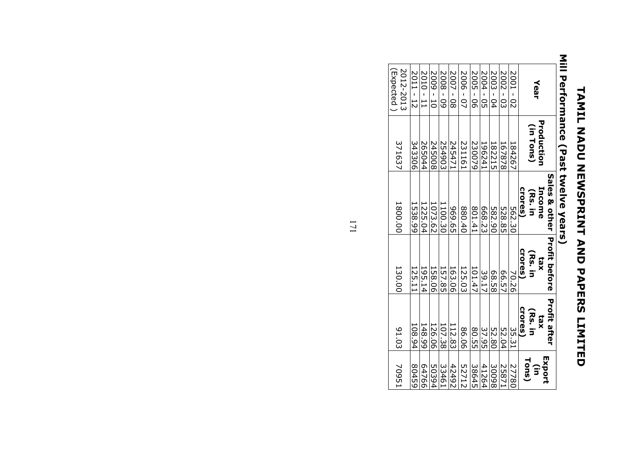# **TAMIL NADU NEWSPRINT AND PAPERS LIMIL NADU** TAMIL NADU NEWSPRINT AND PAPERS LIMITED

### $\frac{2010 - 11}{2011 - 12}$  $\frac{2004 - 05}{2005 - 06}$  $\frac{2007 - 08}{2008 - 09}$  $\frac{2001 - 02}{2002 - 03}$  $2001 2009 - 10$ 2009 - 10 2450082008 - 09 2549032007 - 08 2454712006 - 07 2006 - 07 2311612005 - 06 2300792004 - 05 196241 $\frac{2003 - 04}{ }$ 2003 - 04 1822152002 - 03 1678782001 - 02 184267Year **Production** Production(in Tons) (in Tons) 245008 231161 182215 the contract of the contract of the contract of the contract of the contract of the contract of the contract of the contract of the contract of Sales & other Income crores) (Rs. in 10<u>73.62</u><br>1225.04<br>1538.99 969.65 1100.30 880.40668.23 801.41 582.90 562.30<br>528.85 Profit before crores) (Rs. in tax 163.06<br>157.85 125.03 101.47 158.0666.5739.17 68.58 70.26 Profit after Profit after crores) (Rs. in tax 126.06<br>148.99<br>108.94 112.83<br>107.38 86.06 37.95 80.55 52.80 35.31 52.04 Tons) Export 52712(in 300982587150394 42492 33461 38645 41264 27780

(Expected )2012-2013

2012-2013

(Expected

371637

1800.00

130.00

91.03

70951

the contract of the contract of the contract of

1<u>95.14</u><br>125.11

64766<br>80459

# Mill Performance (Past twelve years) Mill Performance (Past twelve years)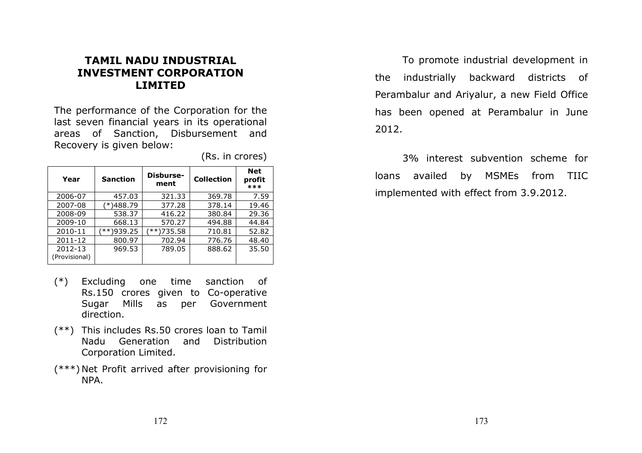## TAMIL NADU INDUSTRIAL INVESTMENT CORPORATION LIMITED

The performance of the Corporation for the last seven financial years in its operational areas of Sanction, Disbursement and Recovery is given below:

| Year                     | <b>Sanction</b> | Disburse-<br>ment | <b>Collection</b> | <b>Net</b><br>profit<br>*** |
|--------------------------|-----------------|-------------------|-------------------|-----------------------------|
| 2006-07                  | 457.03          | 321.33            | 369.78            | 7.59                        |
| 2007-08                  | )488.79         | 377.28            | 378.14            | 19.46                       |
| 2008-09                  | 538.37          | 416.22            | 380.84            | 29.36                       |
| 2009-10                  | 668.13          | 570.27            | 494.88            | 44.84                       |
| 2010-11                  | $***$ )939.25   | $***$ )735.58     | 710.81            | 52.82                       |
| 2011-12                  | 800.97          | 702.94            | 776.76            | 48.40                       |
| 2012-13<br>(Provisional) | 969.53          | 789.05            | 888.62            | 35.50                       |

(Rs. in crores)

- (\*) Excluding one time sanction of Rs.150 crores given to Co-operative Sugar Mills as per Government direction.
- (\*\*) This includes Rs.50 crores loan to Tamil Distribution Nadu Generation and Corporation Limited.
- (\*\*\*) Net Profit arrived after provisioning for NPA.

To promote industrial development in the industrially backward districts of Perambalur and Ariyalur, a new Field Office has been opened at Perambalur in June 2012.

3% interest subvention scheme for loans availed by MSMEs from TIIC implemented with effect from 3.9.2012.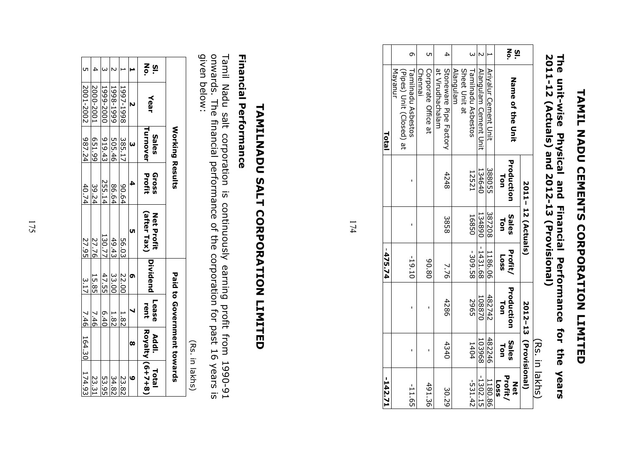# **TAMIL NOU CEMENTS CORPORATION LIMILED** TAMIL NADU CEMENTS CORPORATION LIMITED

## The unit-wise Physical and Financial Performance for the years<br>2011-12 (Actuals) and 2012-13 (Provisional) 2011-12 (Actuals) and 2012-13 (Provisional) The unit-wise Physical and Financial Performance for the years וטן<br>קי

| 142.71         |                       |                   | -475.74                |                   |                   | <b>Lotal</b>                |          |
|----------------|-----------------------|-------------------|------------------------|-------------------|-------------------|-----------------------------|----------|
|                |                       |                   |                        |                   |                   | Mayanur                     |          |
|                |                       |                   |                        |                   |                   | (Pipes) Unit (Closed) at    |          |
| $-11.65$       |                       |                   | $-19.10$               |                   |                   | Tamilnadu Asbestos          | $\sigma$ |
|                |                       |                   |                        |                   |                   | Chennai                     |          |
| 491.36         |                       |                   | 08'06                  |                   |                   | Corporate Office at         | UΠ       |
|                |                       |                   |                        |                   |                   | at Virudhachalam            |          |
| 30.29          | 4340                  | 4286              | 7.76                   | 3858              | 4248              | Stoneware Pipe Factory      | 4        |
|                |                       |                   |                        |                   |                   | <b>Alangulam</b>            |          |
|                |                       |                   |                        |                   |                   | Sheet Unit at               |          |
| $-531.42$      | 1404                  | 2965              | $-309.58$              | 16850             | 12521             | Tamilnadu Asbestos          | $\omega$ |
| $-1302.15$     | 103968                | 108870            | $-1431.68$             | 134890            | 134640            | Alangulam Cement Unit       |          |
| 1180.86        | 482246                | 482742            | 1186.06                | 387208            | 388055            | <b>Ariyalur Cement Unit</b> |          |
| <b>Loss</b>    |                       |                   |                        |                   |                   |                             |          |
| Profit/<br>Net | SaleS<br>Ton          | Production<br>Lon | Profit/<br><b>Loss</b> | Sales<br>Ton      | Production<br>Ton | <b>Name of the Chit</b>     | ღ ლ<br>ა |
|                |                       |                   |                        |                   |                   |                             |          |
|                | 2012-13 (Provisional) |                   |                        | 2011-12 (Actuals) |                   |                             |          |
|                | (Rs. in lakhs)        |                   |                        |                   |                   |                             |          |

174

# **TAMILNADU SALT CORPORATION LIMITED** TAMILNADU SALT CORPORATION LIMITED

## **Financial Performance** Financial Performance

given below: onwards. The financial performance of the corporation for past 16 years is Tamil Nadu salt corporation is continuously earning profit from 1990-91 given below: onwards. The financial performance of the corporation for past 16 years is Tamil Nadu salt corporation is continuously earningprofit from 1990-91

|               |                  | Working Results   |                 |                           |          |               | Paid to Government towards |                    |
|---------------|------------------|-------------------|-----------------|---------------------------|----------|---------------|----------------------------|--------------------|
| $\frac{5}{2}$ | Year             | Turnover<br>Sales | Profit<br>Gross | Net Profit<br>(after Tax) | Dividend | Lease<br>rent | Royalty (6+7+8)<br>Addl.   | Total              |
|               | N                | $\omega$          | 4               |                           |          |               | œ                          | C                  |
|               | 1997-1998        | 385.17            | 90.64           | 56.03                     | 22.00    | 1.82          |                            | 23.82              |
|               | 6661-8661        | 505.46            | 86.64           | 49.43                     | 33.00    | 1.82          |                            | 34.82              |
|               | 1999-2000        | 919.43            | 255.14          | 130.77                    | 47.55    | 6.40          |                            | 53.95              |
|               | 2000-2001        | 651.99            | 39.24           | 27.76                     | 15.85    | 7.46          |                            | 23.31              |
|               | 2001-2002 987.24 |                   | 40.74           | 27.95                     | 3.17     |               |                            | 7.46 164.30 174.93 |

(Rs. in lakhs)(Rs. in lakhs)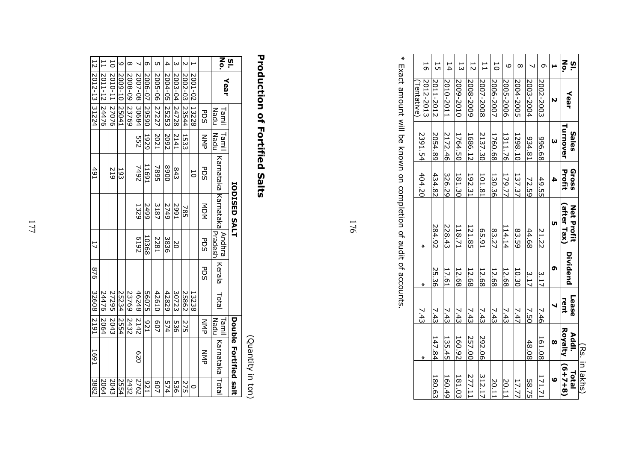| 56                     | 5         | 14        | 13        | 12        | $\overline{1}$     | 50        | $\circ$   | $\infty$  |           | Ō         |          | ღ<br>ს<br>პი                    |                |
|------------------------|-----------|-----------|-----------|-----------|--------------------|-----------|-----------|-----------|-----------|-----------|----------|---------------------------------|----------------|
| 2012-2013<br>Tentative | 2011-2012 | 2010-2011 | 0102-6002 | 2008-2009 | 2007-2008          | 2006-2007 | 2005-2006 | 2004-2005 | 2003-2004 | 2002-2003 |          | Year                            |                |
| 2391.54                | 2054.89   | 2172.46   | 1764.50   | 1686.12   | 2137.30            | 1760.68   | 1311.76   | 1298.10   | 18.450    | 89'966    |          | Turnover<br>Sales               |                |
| 404.20                 | 434.82    | 326.29    | 181.30    | 192.31    | 101.81             | 130.36    | 179.77    | 137.37    | 72.59     | 49.55     |          | Profit<br>Gross                 |                |
| ⋇                      | 284.92    | 228.43    | 118.71    | 121.85    | L <sub>6</sub> .59 | 83.27     | 114.14    | 83.59     | 44.68     | 21.22     | UТ       | after Tax)<br><b>Net Profit</b> |                |
|                        | 25.36     | 17.61     | 12.68     | 12.68     | 12.68              | 12.68     | 12.68     | 10.30     | 3.17      | 3.17      | ໑        | Dividend                        |                |
| 7.43                   | 7.43      | 7.43      | 7.43      | 7.43      | 7.43               | 7.43      | 7.43      | 7.47      | 7.50      | 7.46      |          | Lease<br>rent                   |                |
| ⋇                      | 147.84    | 135.45    | 160.92    | 257.00    | 292.06             |           |           |           | 48.08     | 161.08    | $\infty$ | <b>Royalty</b><br>Addl.         |                |
|                        | 180.63    | 160.49    | 181.03    | 277.11    | 312.17             | 20.11     | 20.11     | 17.77     | 58.75     | 171.71    | O        | $(6+7+8)$<br>Total              | (Rs. in lakhs) |

 $\ast$ \* Exact amount will be known on completion of audit of accounts.Exact amount will be known on completion of audit of accounts.

176

## **Production of Fortified Salts** Production of Fortified Salts

No. Sl.

Year

PDS NMP

1 2001-02

13228

2 2002-03

4 2004-05

 $\overline{4}$  $\omega$  $\overline{\mathsf{c}}$ 

5 2005-06

6 2006-07

lത UП

and the state of the state of the

7 2007-08

 $\overline{\phantom{0}}$ 

8 2008-095008-09

23769

 $\infty$ 

9 2009-10

-6003  $\overline{01}$ 

م

10

 $\overline{1}$ 

12

2012-13

31224

2011-12

24476

24476 | 24476 | 24476 | 24476 | 24476 | 22426 | 22426 | 22426 | 22426 | 22426 | 22426 | 22426 | 22426 | 22426

51

876

49.

24476

2064

32608

2191

1691 3882

3882

1691

2064 2064

2064

2010-11

3 2003-04

|               |               |                             | <b>IODISED SALT</b> |               |            |            |               | Double Fortified salt |            |
|---------------|---------------|-----------------------------|---------------------|---------------|------------|------------|---------------|-----------------------|------------|
| Tamil<br>Nadu | Tamil<br>Nadu | Karnataka Karnataka Pradesh |                     | <b>Andhra</b> | Kerala     | Total      | Nadu<br>Tamil | Karnataka Total       |            |
| <b>PDS</b>    | NNP           | <b>PDS</b>                  | スロス                 | PDS           | <b>PDS</b> |            | NNP           | N<br>즉                |            |
| 13228         |               | 5                           |                     |               |            | 13238      |               |                       | $\circ$    |
| 23544         | 1533          |                             | 785                 |               |            | 25862      | 275           |                       | 275        |
| 24728         | 2141          | 843                         | 1667                | 20            |            | 30723      | 925           |                       | 536        |
| 25253         | 2092          | 0068                        | 2749                | 3836          |            | 42829      | 574           |                       | 574        |
| 27227         | 2021          | 7895                        | 3187                | 1822          |            | 42610      | 202           |                       | <b>607</b> |
| 06562         | 1929          | 16911                       | 2499                | 10368         |            | 56075      | IZ6           |                       | <b>521</b> |
| 30684         | ց<br>25       | 7492                        | 1329                | E192          |            | 46248      | 2142          | 079                   | 2762       |
| 23769         |               |                             |                     |               |            | 23769      | 2432          |                       | 2432       |
| 25041         |               | 193                         |                     |               |            | 25234      | 2554          |                       | 2554       |
| 27076         |               | 515                         |                     |               |            | 27295 2043 |               |                       | 2043       |

(Quantity in ton)(Quantity in ton)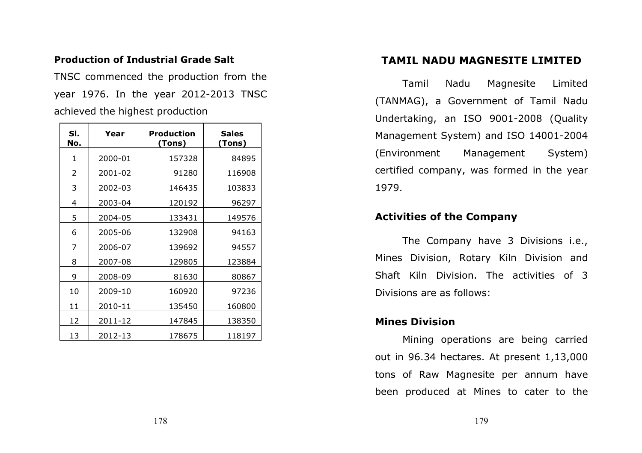## Production of Industrial Grade Salt

TNSC commenced the production from the year 1976. In the year 2012-2013 TNSC achieved the highest production

| SI.<br>No. | Year    | Production<br>(Tons) | <b>Sales</b><br>(Tons) |
|------------|---------|----------------------|------------------------|
| 1          | 2000-01 | 157328               | 84895                  |
| 2          | 2001-02 | 91280                | 116908                 |
| 3          | 2002-03 | 146435               | 103833                 |
| 4          | 2003-04 | 120192               | 96297                  |
| 5          | 2004-05 | 133431               | 149576                 |
| 6          | 2005-06 | 132908               | 94163                  |
| 7          | 2006-07 | 139692               | 94557                  |
| 8          | 2007-08 | 129805               | 123884                 |
| 9          | 2008-09 | 81630                | 80867                  |
| 10         | 2009-10 | 160920               | 97236                  |
| 11         | 2010-11 | 135450               | 160800                 |
| 12         | 2011-12 | 147845               | 138350                 |
| 13         | 2012-13 | 178675               | 118197                 |

## TAMIL NADU MAGNESITE LIMITED

Tamil Nadu Magnesite Limited (TANMAG), a Government of Tamil Nadu Undertaking, an ISO 9001-2008 (Quality Management System) and ISO 14001-2004 (Environment Management System) certified company, was formed in the year 1979.

## Activities of the Company

The Company have 3 Divisions i.e., Mines Division, Rotary Kiln Division and Shaft Kiln Division. The activities of 3 Divisions are as follows:

## Mines Division

Mining operations are being carried out in 96.34 hectares. At present 1,13,000 tons of Raw Magnesite per annum have been produced at Mines to cater to the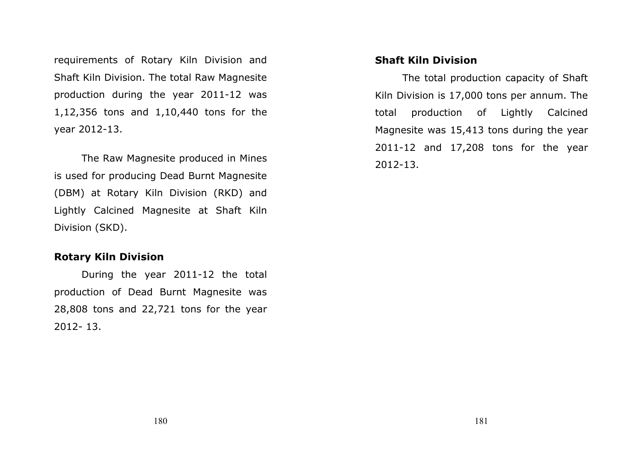requirements of Rotary Kiln Division and Shaft Kiln Division. The total Raw Magnesite production during the year 2011-12 was 1,12,356 tons and 1,10,440 tons for the year 2012-13.

The Raw Magnesite produced in Mines is used for producing Dead Burnt Magnesite (DBM) at Rotary Kiln Division (RKD) and Lightly Calcined Magnesite at Shaft Kiln Division (SKD).

## Rotary Kiln Division

During the year 2011-12 the total production of Dead Burnt Magnesite was 28,808 tons and 22,721 tons for the year 2012- 13.

## Shaft Kiln Division

The total production capacity of Shaft Kiln Division is 17,000 tons per annum. The total production of Lightly Calcined Magnesite was 15,413 tons during the year 2011-12 and 17,208 tons for the year 2012-13.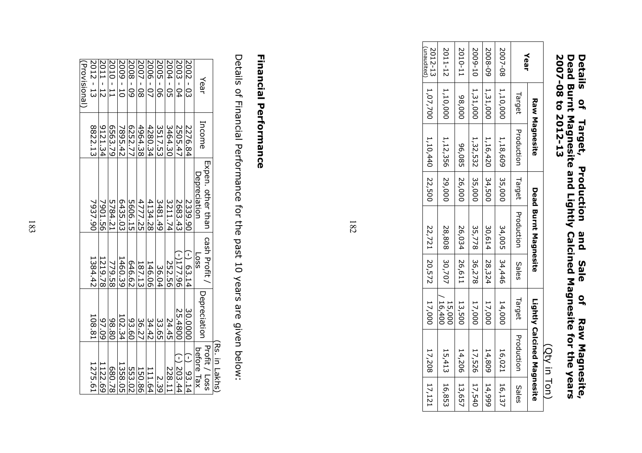## Details of Target, Production and Sale of Raw Magnesite, Dead Burnt Magnesite and Lightly Calcined Magnesite for the years 2007-08 to 2012-13 Details of Target, Production and Sale of RawMagnesite,<br>Dead Burnt Magnesite and Lightly Calcined Magnesite for the years<br>2007-08 to 2012-13

|                             |          |                      |                                        |               |                  | (Qty in Ton)               |       |
|-----------------------------|----------|----------------------|----------------------------------------|---------------|------------------|----------------------------|-------|
|                             |          | <b>Raw Magnesite</b> | Dead Burnt Magnesite                   |               |                  | Lightly Calcined Magnesite |       |
| Year                        | Target   |                      | Production   Larget Production   Sales |               | Target           | <b>Production</b>          | Sales |
| 2007-08                     | 1,10,000 | 1,18,609 35,000      |                                        | 34,005 34,446 | 14,000           | 16,021 16,137              |       |
| 5008-09                     | 1,31,000 | 1,16,420 34,500      |                                        | 30,614 28,324 | 17,000           | 14,809 14,999              |       |
| 2009-10                     | 1,31,000 | 1, 32, 532 35, 000   |                                        | 35,778 36,278 | 17,000           | 17,526 17,540              |       |
| 2010-11                     | 000'86   | 96,085 26,000        |                                        | 26,034 26,611 | 13,500           | 14,206 13,657              |       |
| 2011-12                     | 1,10,000 | 1,12,356 29,000      | 28,808 30,707                          |               | 15,000<br>16,400 | 15,413 16,853              |       |
| $\sum_{i=1}^{n}$<br>2012-13 | 1,07,700 | $1,10,440$ 22,500    |                                        | 22,721 20,572 | 17,000           | 17,208 17,121              |       |

(unaudited)

182

## **Financial Performance** Financial Performance

Details of Financial Performance for the past 10 yeDetails of Financial Performance for the past 10 years are given below: ars are given below:

|              |         |                   |                 |              | Rs. in Lakhs  |
|--------------|---------|-------------------|-----------------|--------------|---------------|
|              |         | EXpen. other than | cash Profit     |              | Profit / Loss |
| Year         | Income  | Depreciation      | SS <sub>O</sub> | Depreciatior | before Tax    |
| $2002 - 03$  | 2276.84 | 2339.90           | $(-) 63.14$     | 30.0000      | $(-) 93.14$   |
| 2003 - 04    | 2505.47 | 2683.43           | $(-)177.96$     | 25.4800      | $(-) 203.44$  |
| 2004 - 05    | 3464.30 | 3211.74           | 252.56          | 24.45        | 228.1         |
| 2005 - 06    | 3517.53 | 3481.49           | 36.04           | 33.65        | 2.39          |
| 2006 - 07    | 4280.34 | 4134.28           | 146.06          | 34.42        | 111.64        |
| 2007 - 08    | 4964.38 | 4777.25           | 187.13          | 36.27        | 150.86        |
| $5008 - 09$  | 6252.77 | 5606.15           | 646.62          | 93.60        | 553.02        |
| $2009 - 10$  | 7895.42 | 6435.03           | 1460.39         | 102.34       | 1358.05       |
| $2010 - 11$  | 6563.79 | 5784.21           | 779.58          | 98.80        | 80.78         |
| $2011 - 12$  | 9121.34 | 7901.56           | 1219.78         | 97.09        | 1122.69       |
| $2012 - 13$  | 8822.13 | 7937.90           | 1384.42         | 108.81       | 1275.61       |
| (Provisional |         |                   |                 |              |               |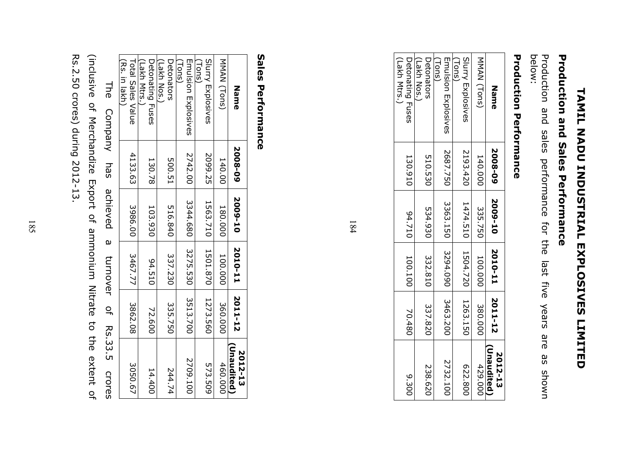# **TAMIL NADUSTRIAL EXPLOSIVES LIMILED** TAMIL NADU INDUSTRIAL EXPLOSIVES LIMITED

# **Production and Sales Performance** Production and Sales Performance

below: Production and sales performance for the last five years are as shown are uwous se

## **Production Performance** Production Performance

| Name                             | 2008-09  | 2009-10                    | 2010-11             | 2011-12 | (Unaudited<br>2012-13 |
|----------------------------------|----------|----------------------------|---------------------|---------|-----------------------|
| MMAN (Tons)                      | 140.000  | 335.750                    | 100.000             | 380.000 | 429.000               |
| Slurry Explosives<br>(suoi)      | 2193.420 | 1474.510                   | 1504.720   1263.150 |         | 622.800               |
| $($ Tons)<br>Emulsion Explosives | 2687.750 | 3363.150 3294.090 3463.200 |                     |         | 2732.100              |
| Detonators<br>(Lakh Nos.         | 510.530  | 534.930                    | 332.810             | 337.820 | 238.620               |
| Detonating Fuses<br>(Lakh Mtrs.) | 130.910  | 012710                     | 100.100             | 70.480  | 9.300                 |

184

## Sales PerformanceSales Performance

| MMAN (Tons)<br>Detonating Fuses<br>Detonators<br>Emulsion Explosives<br>Slurry Explosives<br>(Lakh Nos.)<br>(Tons)<br>$(\textsf{Tom})$<br>2742.00<br>2099.25<br>140.00<br>500.51<br>130.78<br>3344.680   3275.530   3513.700<br>1563.710 1501.870<br>103.930<br>516.840<br>180.000<br>337.230<br>100.000<br>01216<br>1273.560<br>360.000<br>335.750<br>72.600<br>2709.100<br>460.000<br>573.509<br>244.74<br>14.400 | (Lakh Mtrs.) | (Rs. in lakh)<br>Total Sales Value<br>4133.63<br>3986.00<br>3467.77<br>3862.08<br>3050.67 |
|---------------------------------------------------------------------------------------------------------------------------------------------------------------------------------------------------------------------------------------------------------------------------------------------------------------------------------------------------------------------------------------------------------------------|--------------|-------------------------------------------------------------------------------------------|
|---------------------------------------------------------------------------------------------------------------------------------------------------------------------------------------------------------------------------------------------------------------------------------------------------------------------------------------------------------------------------------------------------------------------|--------------|-------------------------------------------------------------------------------------------|

Rs.2.50 crores) during 2012-13. (inclusive of Merchandize Export of ammonium Nitrate to the extent of Rs.2.50 crores) during 2012-13. (inclusive of Merchandize Export of ammonium Nitrate to the extent of **The** The Company has achieved a turnover of Rs.33.5 crores Company has achieved  $\omega$ turnover  $\frac{1}{2}$ Rs.33.5 **Crores**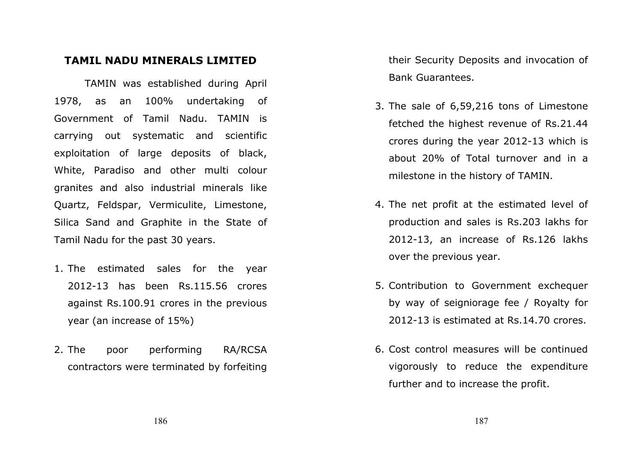## TAMIL NADU MINERALS LIMITED

TAMIN was established during April 1978, as an 100% undertaking of Government of Tamil Nadu. TAMIN is carrying out systematic and scientific exploitation of large deposits of black, White, Paradiso and other multi colour granites and also industrial minerals like Quartz, Feldspar, Vermiculite, Limestone, Silica Sand and Graphite in the State of Tamil Nadu for the past 30 years.

- 1. The estimated sales for the year 2012-13 has been Rs.115.56 crores against Rs.100.91 crores in the previous year (an increase of 15%)
- 2. The poor performing RA/RCSA contractors were terminated by forfeiting

their Security Deposits and invocation of Bank Guarantees.

- 3. The sale of 6,59,216 tons of Limestone fetched the highest revenue of Rs.21.44 crores during the year 2012-13 which is about 20% of Total turnover and in a milestone in the history of TAMIN.
- 4. The net profit at the estimated level of production and sales is Rs.203 lakhs for 2012-13, an increase of Rs.126 lakhs over the previous year.
- 5. Contribution to Government exchequer by way of seigniorage fee / Royalty for 2012-13 is estimated at Rs.14.70 crores.
- 6. Cost control measures will be continued vigorously to reduce the expenditure further and to increase the profit.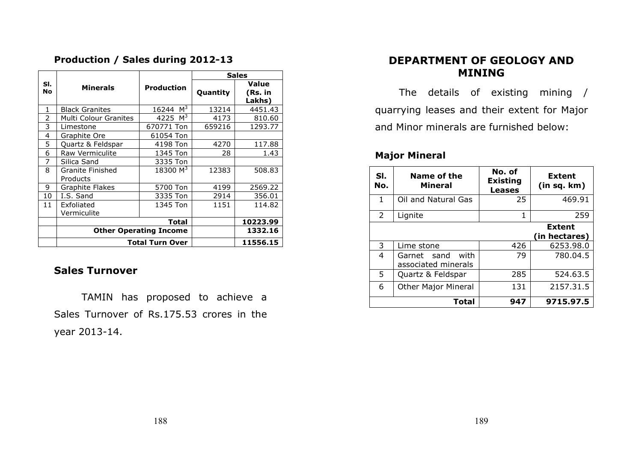## Production / Sales during 2012-13

|                |                              |                               |          | <b>Sales</b>               |
|----------------|------------------------------|-------------------------------|----------|----------------------------|
| SI.<br>No      | <b>Minerals</b>              | <b>Production</b>             | Quantity | Value<br>(Rs. in<br>Lakhs) |
| 1              | <b>Black Granites</b>        | M <sup>3</sup><br>16244       | 13214    | 4451.43                    |
| $\overline{2}$ | Multi Colour Granites        | 4225 $M^3$                    | 4173     | 810.60                     |
| 3              | Limestone                    | 670771 Ton                    | 659216   | 1293.77                    |
| 4              | Graphite Ore                 | 61054 Ton                     |          |                            |
| 5              | Quartz & Feldspar            | 4198 Ton                      | 4270     | 117.88                     |
| 6              | <b>Raw Vermiculite</b>       | 1345 Ton                      | 28       | 1.43                       |
| 7              | Silica Sand                  | 3335 Ton                      |          |                            |
| 8              | Granite Finished<br>Products | 18300 M <sup>3</sup>          | 12383    | 508.83                     |
| 9              | Graphite Flakes              | 5700 Ton                      | 4199     | 2569.22                    |
| 10             | I.S. Sand                    | 3335 Ton                      | 2914     | 356.01                     |
| 11             | Exfoliated<br>Vermiculite    | 1345 Ton                      | 1151     | 114.82                     |
|                |                              | Total                         |          | 10223.99                   |
|                |                              | <b>Other Operating Income</b> |          | 1332.16                    |
|                |                              | <b>Total Turn Over</b>        |          | 11556.15                   |

## Sales Turnover

TAMIN has proposed to achieve a Sales Turnover of Rs.175.53 crores in the year 2013-14.

## DEPARTMENT OF GEOLOGY AND MINING

The details of existing mining / quarrying leases and their extent for Major and Minor minerals are furnished below:

## Major Mineral

| SI.<br>No.   | Name of the<br>Mineral                     | No. of<br><b>Existing</b><br><b>Leases</b> | <b>Extent</b><br>(in sq. km)   |
|--------------|--------------------------------------------|--------------------------------------------|--------------------------------|
| $\mathbf{1}$ | Oil and Natural Gas                        | 25                                         | 469.91                         |
| 2            | Lignite                                    | 1                                          | 259                            |
|              |                                            |                                            | <b>Extent</b><br>(in hectares) |
| 3            | Lime stone                                 | 426                                        | 6253.98.0                      |
| 4            | with<br>Garnet sand<br>associated minerals | 79                                         | 780.04.5                       |
| 5.           | Quartz & Feldspar                          | 285                                        | 524.63.5                       |
| 6            | <b>Other Major Mineral</b>                 | 131                                        | 2157.31.5                      |
|              | Total                                      | 947                                        | 9715.97.5                      |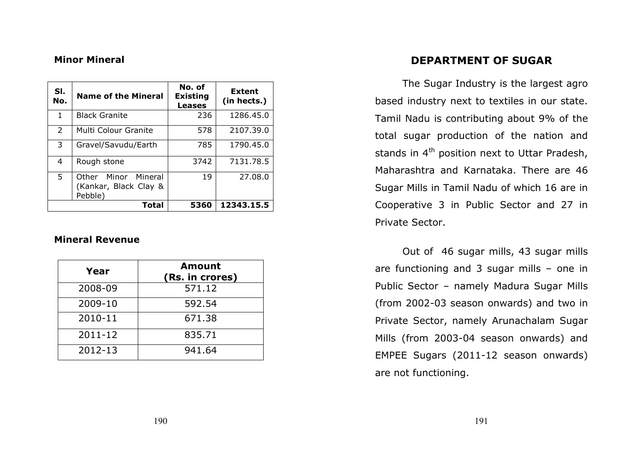## Minor Mineral

| SI.<br>No. | <b>Name of the Mineral</b>                              | No. of<br><b>Existing</b><br><b>Leases</b> | <b>Extent</b><br>(in hects.) |
|------------|---------------------------------------------------------|--------------------------------------------|------------------------------|
| 1          | <b>Black Granite</b>                                    | 236                                        | 1286.45.0                    |
| 2          | Multi Colour Granite                                    | 578                                        | 2107.39.0                    |
| 3          | Gravel/Savudu/Earth                                     | 785                                        | 1790.45.0                    |
| 4          | Rough stone                                             | 3742                                       | 7131.78.5                    |
| 5          | Other Minor Mineral<br>(Kankar, Black Clay &<br>Pebble) | 19                                         | 27,08.0                      |
|            | Total                                                   | 5360                                       | 12343.15.5                   |

## Mineral Revenue

| Year    | <b>Amount</b><br>(Rs. in crores) |
|---------|----------------------------------|
| 2008-09 | 571.12                           |
| 2009-10 | 592.54                           |
| 2010-11 | 671.38                           |
| 2011-12 | 835.71                           |
| 2012-13 | 941.64                           |

## DEPARTMENT OF SUGAR

The Sugar Industry is the largest agro based industry next to textiles in our state. Tamil Nadu is contributing about 9% of the total sugar production of the nation and stands in  $4<sup>th</sup>$  position next to Uttar Pradesh, Maharashtra and Karnataka. There are 46 Sugar Mills in Tamil Nadu of which 16 are in Cooperative 3 in Public Sector and 27 in Private Sector.

Out of 46 sugar mills, 43 sugar mills are functioning and 3 sugar mills – one in Public Sector – namely Madura Sugar Mills (from 2002-03 season onwards) and two in Private Sector, namely Arunachalam Sugar Mills (from 2003-04 season onwards) and EMPEE Sugars (2011-12 season onwards) are not functioning.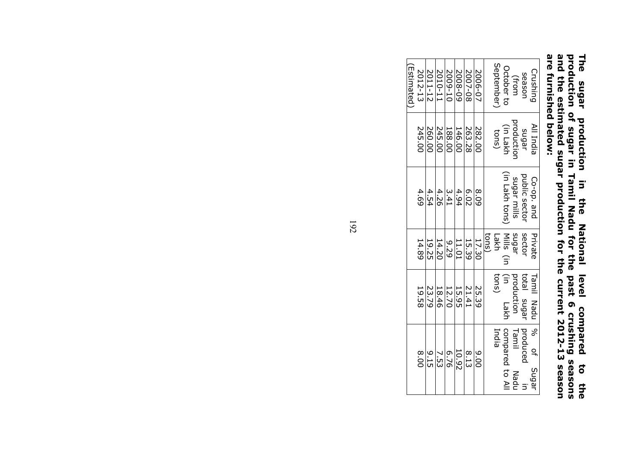## The sugar production in the National level compared to the production of sugar in Tamil Nadu for the past 6 crushing seasons and the estimated sugar production for the current 2012-13 season are furnished below: The sugar production in the National level compared to the<br>production of sugar in Tamil Nadu for the past 6 crushing seasons<br>and the estimated sugar production for the current 2012-13 season<br>are furnished below:

| (Estimated | 2012-13 | 2011-12 | 11-0102 | 2009-10           | 5008-09 | 2007-08 | 2006-07 |       | September | October to                 | (from         | season        | Crushing   |
|------------|---------|---------|---------|-------------------|---------|---------|---------|-------|-----------|----------------------------|---------------|---------------|------------|
|            | 245.00  | 260.00  | 245.00  | 188.00            | 146.00  | 263.28  | 282.00  |       | tons)     | productior<br>(in Lakh     |               | sugar         | All India  |
|            | 4.69    | 4.54    | 4.26    | 3.41              | 4.94    | 6.02    | 8.09    |       |           | (in Lakh tons)             | sugar mills   | public sector | Co-op. and |
|            | 14.89   | 19.25   | 14.20   | 676               | 11.01   | 15.39   | 17.30   | tons) |           | sugar<br>Mills (in<br>Lakh |               | sector        | Private    |
|            | 19.58   | 23.79   | 18.46   | $\frac{12.70}{2}$ | 15.95   | 21.41   | 25.39   |       | tons)     | $\widehat{H}$<br>Lakh      | production    | total sugar   | Tamil Nadu |
|            | 8.00    | $-1.5$  | 7.53    | 6.76              | 10.92   | 8.13    | 0.00    |       | India     | compared to Al             | Tamil<br>Nadu | produced      | of Sugar   |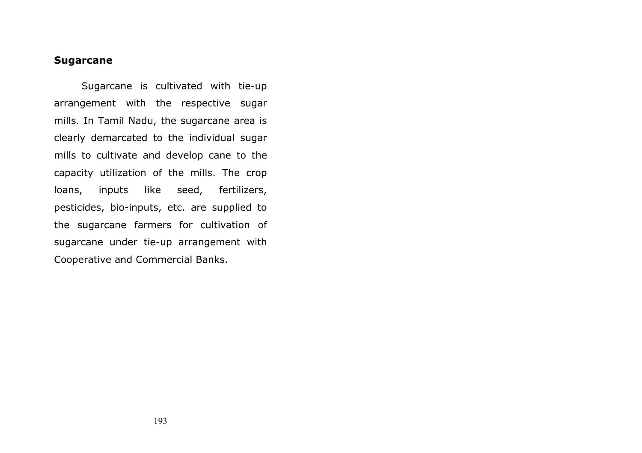## Sugarcane

Sugarcane is cultivated with tie-up arrangement with the respective sugar mills. In Tamil Nadu, the sugarcane area is clearly demarcated to the individual sugar mills to cultivate and develop cane to the capacity utilization of the mills. The crop loans, inputs like seed, fertilizers, pesticides, bio-inputs, etc. are supplied to the sugarcane farmers for cultivation of sugarcane under tie-up arrangement with Cooperative and Commercial Banks.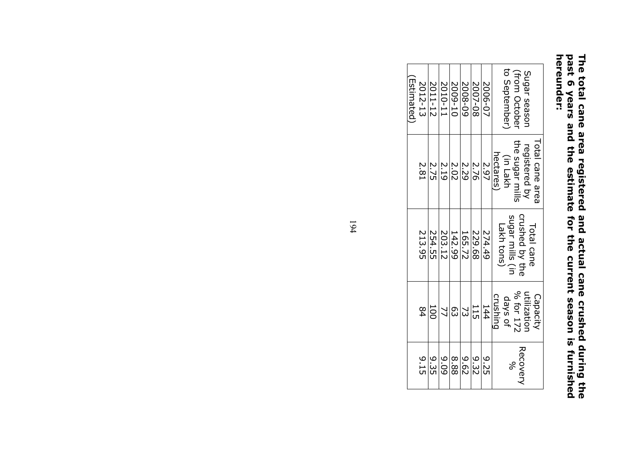## The total cane area registered and actual cane crushed during the past 6 years and the estimate for the current season is furnished hereunder: The total cane area registered and actual cane crushed during the<br>past 6 years and the estimate for the current season is furnished<br>hereunder:

| Estimated | 2012-13        | 2011-12 | 2010-11        | 2009-10     | 5008-09        | 2007-08 | 2006-07 | to September<br>(from October<br>Sugar seasor                               |
|-----------|----------------|---------|----------------|-------------|----------------|---------|---------|-----------------------------------------------------------------------------|
|           | 2.81           | 2.75    | 2.19           | <b>2.02</b> | 2.29           | 2.76    | 2.97    | the sugar mills<br>Total cane area<br>registered by<br>hectares<br>(in Lakh |
|           | 213.95         | 254.55  | 203.12         | 142.99      | 165.72         | 229.68  | 274.49  | crushed by the<br>sugar mills (in<br>Lakh tons)<br>Total cane               |
|           | 84             | 100     | $\overline{2}$ | ლ<br>ე      | $\mathfrak{S}$ | 115     | 144     | % for 172<br>utilizatior<br>Capacity<br>crushing<br>days of                 |
|           | $\frac{9}{15}$ | 9.35    | 60'6           | 88.8        | 29.6           | 9.32    | 9.25    | Recovery<br>Se                                                              |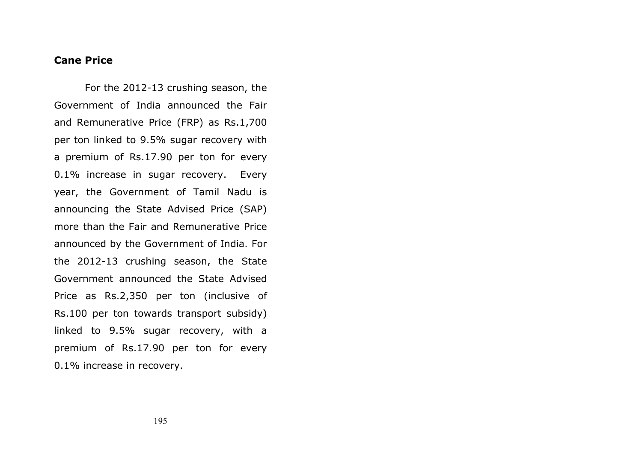## Cane Price

 For the 2012-13 crushing season, the Government of India announced the Fair and Remunerative Price (FRP) as Rs.1,700 per ton linked to 9.5% sugar recovery with a premium of Rs.17.90 per ton for every 0.1% increase in sugar recovery. Every year, the Government of Tamil Nadu is announcing the State Advised Price (SAP) more than the Fair and Remunerative Price announced by the Government of India. For the 2012-13 crushing season, the State Government announced the State Advised Price as Rs.2,350 per ton (inclusive of Rs.100 per ton towards transport subsidy) linked to 9.5% sugar recovery, with a premium of Rs.17.90 per ton for every 0.1% increase in recovery.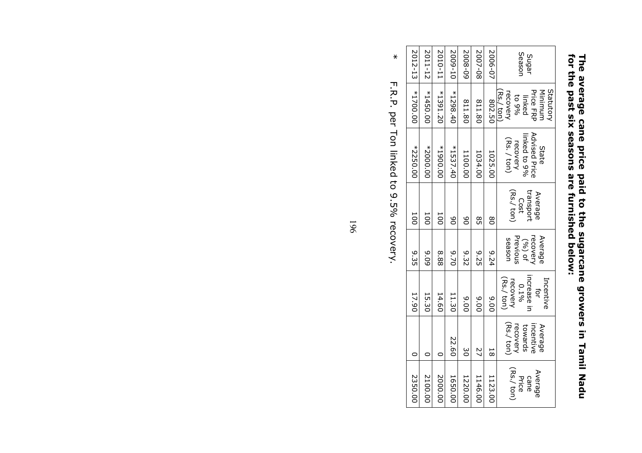| 2012-13    | 2011-12    | 2010-11    | 2009-10    | 5008-09 | 2007-08 | 2006-07        | Seasor<br>Sugar                                                                               |  |  |  |
|------------|------------|------------|------------|---------|---------|----------------|-----------------------------------------------------------------------------------------------|--|--|--|
| *1700.00   | $*1450.00$ | $*1391.20$ | $*1298.40$ | 811.80  | 811.80  | 802.50         | Statutor<br><b>Price FRP</b><br>Minimum<br>Rs./ ton<br>recovery<br><sub>%6</sub> 01<br>linked |  |  |  |
| $*2250.00$ | *2000.0C   | *1900.00   | $*1537.40$ | 1100.00 | 1034.00 | 1025.00        | Advised Price<br>linked to 9%<br>$(Rs. / \text{ton})$<br>recovery<br>State                    |  |  |  |
| 100        | ā          | ā          | 8          | 8       | 85      | $\frac{8}{2}$  | (Rs./ton)<br>transport<br>Average<br>Cost                                                     |  |  |  |
| 9.35       | 60'6       | 88'8       | 01.70      | 9.32    | 9.25    | 47.6           | Previous<br>Average<br>recovery<br>season<br>(%) of                                           |  |  |  |
| 17.90      | 15.30      | 14.60      | 11.30      | 00.00   | 00.6    | $\frac{6}{20}$ | increase<br>in<br>(Rs./ ton)<br>Incentive<br>recovery<br>0.196<br>Ęōr                         |  |  |  |
| c          | c          | c          | 22.60      | မ္မ     | 27      | 58             | (Rs./ton)<br>incentive<br>recovery<br>towards<br>Average                                      |  |  |  |
| 2350.00    | 2100.00    | 2000.00    | 1650.00    | 1220.00 | 1146.00 | 1123.00        | (Rs./ton)<br>Average<br>Price<br>cane                                                         |  |  |  |

# The average cane price paid to the sugarcane growers in Tamil Nadu for the past six seasons are furnished below: The average cane price paid to the sugarcane growers in Tamil Nadu<br>for the past six seasons are furnished below:

 $\ast$ \* F.R.P. per Ton linked to 9.5% recovery.F.R.P. per Ton linked to 9.5% recovery.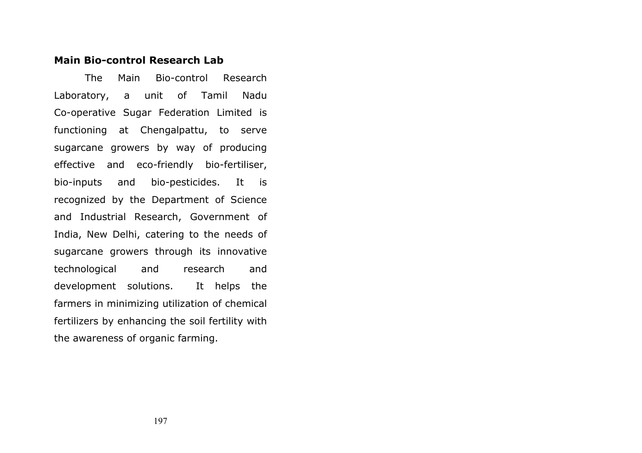## Main Bio-control Research Lab

 The Main Bio-control Research Laboratory, a unit of Tamil Nadu Co-operative Sugar Federation Limited is functioning at Chengalpattu, to serve sugarcane growers by way of producing effective and eco-friendly bio-fertiliser, bio-inputs and bio-pesticides. It is recognized by the Department of Science and Industrial Research, Government of India, New Delhi, catering to the needs of sugarcane growers through its innovative technological and research and development solutions. It helps the farmers in minimizing utilization of chemical fertilizers by enhancing the soil fertility with the awareness of organic farming.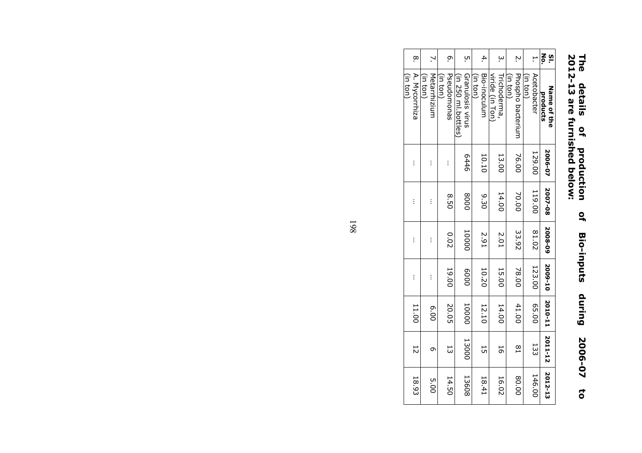## 2012-13 are furnished below: The details of production of Bio-inputs during 2006-07 to  $Q$ **Bio-inputs** during 2006-07  $\overline{\mathbf{c}}$

| .<br>დ                    |                          | ō.                      | .<br>С                                  | 4.                       | ب                              | Ņ                             | ŀ                      | š<br><u>is</u>          |
|---------------------------|--------------------------|-------------------------|-----------------------------------------|--------------------------|--------------------------------|-------------------------------|------------------------|-------------------------|
| A. Mycorrhiza<br>(in ton) | Metarrhizium<br>(in ton) | Pseudomonas<br>(in ton) | Granulosis virus<br>(in 250 mi.pottles) | Bio-inoculum<br>(in ton) | viride (in Ton<br>Trichoderma, | Phospho bacterium<br>(in ton) | Acetobacter<br>(in ton | Name of the<br>products |
| İ                         | $\vdots$                 | İ                       | 9tt9                                    | 10.10                    | 13.00                          | 76.00                         | 129.00                 | 2006-07                 |
| İ                         | i                        | 05.8                    | 0008                                    | 05.9                     | 14.00                          | 70.00                         | 119.00                 | 2007-08                 |
| İ                         | Ì                        | 0.02                    | 10000                                   | 2.91                     | 2.01                           | 33.92                         | 81.02                  | 2008-09                 |
| İ                         | $\vdots$                 | 19.00                   | 0009                                    | 10.20                    | 15.00                          | 78.00                         | 123.00                 | 2009-10                 |
| 11.00                     | 6.00                     | 20.05                   | 10000                                   | 12.10                    | 14.00                          | 41.00                         | 05.00                  | 2010-11 2011-12         |
| $\overline{5}$            | თ                        | 53                      | 13000                                   | 5                        | 5                              | $\frac{8}{1}$                 | 133                    |                         |
| 18.93                     | 00.G                     | 14.50                   | 13608                                   | 18.41                    | 16.02                          | 80.00                         | 146.00                 | 2012-13                 |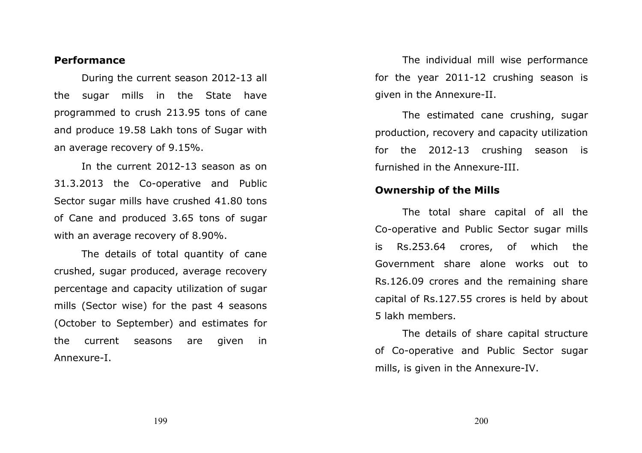#### Performance

 During the current season 2012-13 all the sugar mills in the State have programmed to crush 213.95 tons of cane and produce 19.58 Lakh tons of Sugar with an average recovery of 9.15%.

 In the current 2012-13 season as on 31.3.2013 the Co-operative and Public Sector sugar mills have crushed 41.80 tons of Cane and produced 3.65 tons of sugar with an average recovery of 8.90%.

 The details of total quantity of cane crushed, sugar produced, average recovery percentage and capacity utilization of sugar mills (Sector wise) for the past 4 seasons (October to September) and estimates for the current seasons are given in Annexure-I.

 The individual mill wise performance for the year 2011-12 crushing season is given in the Annexure-II.

The estimated cane crushing, sugar production, recovery and capacity utilization for the 2012-13 crushing season is furnished in the Annexure-III.

#### Ownership of the Mills

The total share capital of all the Co-operative and Public Sector sugar mills is Rs.253.64 crores, of which the Government share alone works out to Rs.126.09 crores and the remaining share capital of Rs.127.55 crores is held by about 5 lakh members.

 The details of share capital structure of Co-operative and Public Sector sugar mills, is given in the Annexure-IV.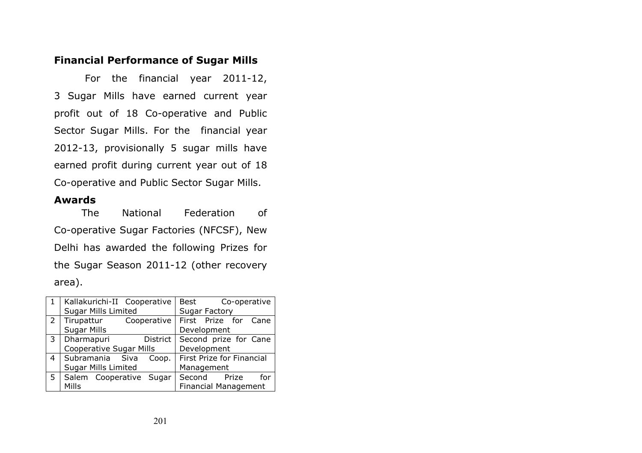#### Financial Performance of Sugar Mills

 For the financial year 2011-12, 3 Sugar Mills have earned current year profit out of 18 Co-operative and Public Sector Sugar Mills. For the financial year 2012-13, provisionally 5 sugar mills have earned profit during current year out of 18 Co-operative and Public Sector Sugar Mills.

#### Awards

The National Federation of Co-operative Sugar Factories (NFCSF), New Delhi has awarded the following Prizes for the Sugar Season 2011-12 (other recovery area).

|                | Kallakurichi-II Cooperative    |             | Best<br>Co-operative        |
|----------------|--------------------------------|-------------|-----------------------------|
|                | <b>Sugar Mills Limited</b>     |             | <b>Sugar Factory</b>        |
| $\overline{2}$ | Tirupattur                     | Cooperative | First Prize for Cane        |
|                | <b>Sugar Mills</b>             |             | Development                 |
| 3              | Dharmapuri                     | District    | Second prize for Cane       |
|                | <b>Cooperative Sugar Mills</b> |             | Development                 |
| 4              | Subramania Siva                | Coop.       | First Prize for Financial   |
|                | <b>Sugar Mills Limited</b>     |             | Management                  |
| 5              | Salem Cooperative Sugar        |             | Second Prize<br>for         |
|                | Mills                          |             | <b>Financial Management</b> |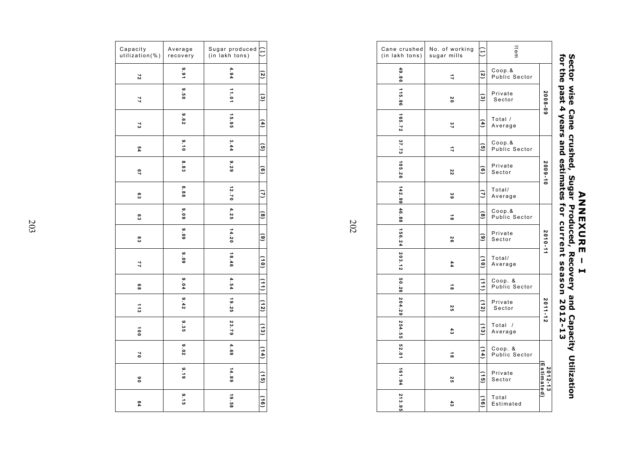|                       | ltem                         | ۲                 | No. of working<br>sugar mills | Cane crushed<br>(in lakh tons) |
|-----------------------|------------------------------|-------------------|-------------------------------|--------------------------------|
|                       | Coop.<br>Public Sector       | 2                 | 17                            | 49.86                          |
| 2008-09               | Private<br>Sector            | <u>ତ</u>          | 20                            | 115.86                         |
|                       | Total /<br>Average           | Ξ                 | 37                            | 165.72                         |
|                       | Coop.&<br>Public Sector      | o                 | ₿                             |                                |
| 2009-10               | Private<br>Sector            | Q                 | zz                            | 37.73 105.26                   |
|                       | Total/<br>Average            | N                 | မိ                            | 142.99                         |
|                       | Coop.<br>Public Sector       | $\infty$          | $\vec{8}$                     | 46.88                          |
| 2010-11               | Private<br>Sector            | ၜႍ                | 58                            | $156.24$ 203.12                |
|                       | Total/<br>Average            | <u>5</u>          | 44                            |                                |
|                       | Coop. &<br>Public Sector     |                   | $\vec{8}$                     |                                |
| 2011-12               | Private<br>Sector            | $\frac{1}{2}$     | Σ,                            |                                |
|                       | Total<br>$\prime$<br>Average | ್ಲ                | $\ddot{3}$                    | 50.26 204.29 254.55 52.01      |
|                       | Coop. &<br>Public Sector     | $\left(14\right)$ | $\vec{8}$                     |                                |
| Estimated)<br>2012-13 | Private<br>Sector            | ز و )<br>ق        | Σ,                            | 161.94                         |
|                       | Total<br>Estimated           | <u>ာ</u>          | $\frac{4}{3}$                 | 213.95                         |

Sector wise Cane crushed, Sugar Produced, Recovery **DNNNEXURE** – I and Capacity Utilization for the past 4 years and estimates for current season 2012-13

| Capacity<br>utilization(%) | Average<br>recovery | Sugar produced<br>(in lakh tons) |                |
|----------------------------|---------------------|----------------------------------|----------------|
| 27                         | 9.91                | 4.94                             | 2              |
| 77                         | فِهِ<br>ا<br>.<br>9 | 11.01                            | $\omega$       |
| 73                         | 8.62                | 15.95                            | $\overline{4}$ |
| 54                         | 0.10                | 3.44                             | o,             |
| 29                         | 8.83                | 8.29                             | o,             |
| စ္မ                        | 8.88                | 12.70                            |                |
| e<br>Co                    | 80.6                | 4.25                             | $\infty$       |
| ဗ္ဗိ                       | $60^{\circ}$        | 14.20                            | <u>ତ</u>       |
| 77                         | 808                 | 18.46                            | $\vec{e}$      |
| 8                          | 9.04                | 4.54                             |                |
| 113                        | 9.42                | 19.25                            | [12)           |
| å                          | 9.35                | 23.79                            | ر ج<br>ت       |
| 20                         | co<br>ខេ            | 4.69                             | (14)           |
| °                          | 6.16                | 14.89                            | $\frac{1}{9}$  |
| 94                         | $6 - 15$            | 19.58                            | $\frac{1}{9}$  |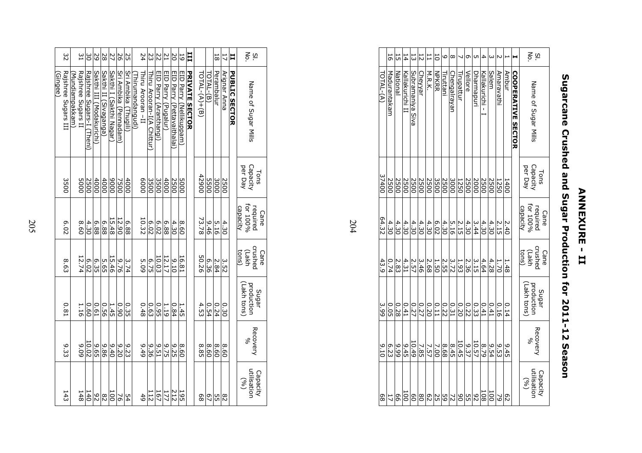| Þ<br>г |
|--------|
|        |
|        |
|        |
|        |
|        |
| π<br>r |
|        |
| ę      |
| ī      |
|        |
|        |
| Ų      |
| ш      |
|        |
| п      |
|        |
| н      |
|        |
| н      |
|        |

# Sugarcane Crushed and Sugar Production for 2011-12 Season Sugarcane Crushed and Sugar Production for 2011-12 Season

|           | 5                | 뉴               | 14              |                                            | $\frac{1}{2}$ | 旨                                                                                         | 5            | O         | $\infty$             |                   | Ō                                                 | UП                | 4                | ω     |                   |              |                           | <u>ვ ლ</u>                               |
|-----------|------------------|-----------------|-----------------|--------------------------------------------|---------------|-------------------------------------------------------------------------------------------|--------------|-----------|----------------------|-------------------|---------------------------------------------------|-------------------|------------------|-------|-------------------|--------------|---------------------------|------------------------------------------|
| TOTAL-(A) | Madurantakam     | <u>National</u> | Kallakurichi II | Subramaniya Siva                           | Cheyyar       | M.R.K.                                                                                    | <b>NPKRR</b> | Tiruttani | <b>Chengalrayan</b>  | <u>Tirupattur</u> | Vellore                                           | <u>Dharmapuri</u> | Kallakurichi - I | Salem | <u>Amaravathi</u> | <b>Ambur</b> | <b>COOPERATIVE SECTOR</b> | Name of Sugar Mills                      |
| 37400     | 2500             | 2500            | 2500            | 2500                                       |               | <u>지금일었습니</u><br>이어이어이어이                                                                  |              |           |                      |                   |                                                   | 2500<br>2000      |                  | 2500  | 1250              | 1400         |                           | Tons<br>Capacity<br>per Day              |
| 64.32     | 4.30             | 4.30            |                 |                                            |               | 4   이 4   이 미 4   이 4   4   4  <br>일 4   의 1   1   이 이 이 의 이 이<br>이 4   의 리 이 이 이 이 이 이 이 |              |           |                      |                   |                                                   |                   |                  | 4.30  | 2.15              | 2.40         |                           | Cane<br>required<br>for 100%<br>capacity |
| 43.9      | 0.74             | 2.83            | 4.31            | $\frac{2.68}{3.57}$<br>$\frac{2.57}{2.57}$ |               |                                                                                           | 1.50         |           | $\frac{1.312}{2.55}$ |                   | $\frac{4.64}{\frac{3.15}{2.36}}$                  |                   |                  | 4.28  | 1.70              | 1.48         |                           | Cane<br>Crushec<br>Crush<br>tons)        |
| 3.99      | 0.05             | 0.28            | 0.41            |                                            |               |                                                                                           |              |           |                      |                   | $\frac{1}{2} \frac{1}{2} \frac{1}{2} \frac{1}{2}$ |                   |                  | 0.41  | 0.16              | 0.14         |                           | Sugar<br>production<br>(Lakh tons)       |
| 0176      | စ <b>်</b><br>၁၉ |                 | 9.45            | 10.49                                      | 7.85          | 7.57                                                                                      | 7.00         | 8.68      | $\frac{10.45}{8.45}$ |                   | $\frac{8.79}{10.37}$                              |                   |                  | 9.54  | 9.53              | 9.45         |                           | <b>Recovery</b><br>Se                    |
| 89        |                  | 99              | ā               | 80                                         | $\frac{8}{2}$ |                                                                                           |              | 이시2       |                      | 있음                |                                                   | $\frac{92}{5}$    | 108              | ā     | 2                 | 82           |                           | Capacity<br>utilisation<br>(%)           |

| 32                             | Ξ                                   |                           | ဗိ    | 52                       | 28                    | N                       | 56                    | Σ<br>Σ               |                 | 24               | 23                         | 22                     | 77                  | 2O                                | 59                      | Ħ                     |               |             | $\frac{1}{8}$ | 17                    | Ħ                    | Νò.<br>$\overline{\overline{6}}$         |
|--------------------------------|-------------------------------------|---------------------------|-------|--------------------------|-----------------------|-------------------------|-----------------------|----------------------|-----------------|------------------|----------------------------|------------------------|---------------------|-----------------------------------|-------------------------|-----------------------|---------------|-------------|---------------|-----------------------|----------------------|------------------------------------------|
| Rajshree Sugars III<br>Gingee) | Rajshree Sugars II<br>Mundiampakkam | Rajshree Sugars-I (Theni) |       | Sakthi III (Modakurichi) | Sakthi II (Sivaganga) | Sakthi I (Sakthi Nagar) | Sri Ambika (Pennadam) | Sri Ambika (Thugili) | hirumandangudi) | Thiru Arooran-II | Thiru Arooran-I(A Chittur) | EID Parry (Aranthangi) | EID Parry (Pugalur) | <b>FID Parry (Pettavaithalai)</b> | EID Parry (Nellikuppam) | <b>PRIVATE SECTOR</b> | TOTAL-(A)+(B) | TOTAL-(B)   | Perambalur    | Arignar A <u>nn</u> a | <b>PUBLIC SECTOR</b> | Name of Sugar Mills                      |
| 3500                           | <b>5000</b>                         |                           | 2500  | 4000                     | 4000                  | 0006                    | 7500                  | 4000                 |                 | 0009             | 3500                       | 3500                   | 4000                | 2500                              | 0005                    |                       | 12900         | <b>DOSS</b> | 3000          | 2500                  |                      | Capacity<br>per Day<br>Tons              |
| 6.02                           | 8.60                                |                           | 4.30  | 88'9                     | 6.88                  | 15.48                   | 12.90                 | 6.88                 |                 | 10.32            | 6.02                       | 6.02                   | 6.88                | 4.30                              | 09.8                    |                       | 73.78         | 9.46        | 5.16          | 4.30                  |                      | Cane<br>required<br>for 100%<br>capacity |
| <b>8.63</b>                    | 12.74                               |                           | 6.02  | 6.35                     | 5.65                  | 15.46                   | 97.9                  | 3.74                 |                 | 503              | 6.75                       | 10.03                  | 12.17               | 0176                              | 16.81                   |                       | 50.26         | 6.36        | 2.84          | 3.52                  |                      | crushed<br>(Lakh<br>tons)<br>Cane        |
| 0.81                           | 1.16                                |                           | 09.0  | <b>D.61</b>              | 95.0                  | 1.45                    | 06.0                  | 0.35                 |                 | 0.48             | 0.63                       | 0.95                   | 1.19                | 0.84                              | 1.45                    |                       | 4.53          | 0.54        | 0.24          | 0.30                  |                      | Lakh tons)<br>production<br>Sugar        |
| 9.33                           | 6.09                                |                           | 10.02 | 9.65                     | 98.6                  | 9.40                    | 02.9                  | 9.23                 |                 | $6 + 6$          | 95.9                       | 5.51                   | 9.75                | 9.25                              | 09.8                    |                       | 8.85          | 8.60        | 8.60          | 09.8                  |                      | Recovery<br>S,                           |
| 143                            | 148                                 |                           | 140   | 82                       | 82                    | ā                       | λ                     | 54                   |                 | 49               | 112                        | 167                    | 177                 | 212                               | 561                     |                       | 89            | 97          | 55            | 82                    |                      | Capacity<br>utilisation<br>(96)          |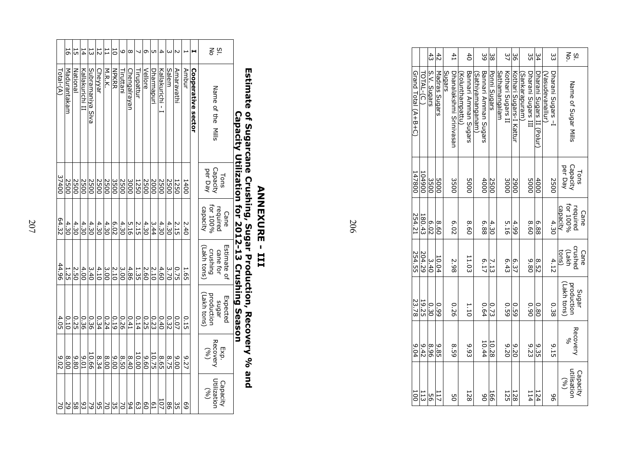|           | 5            | 뉴                   | 14              | 13               | $\frac{1}{2}$             |        | $\overline{0}$ | 9                   | $\infty$     |            | Ō       | UП                  | 4                                          |       |           |       |                    | g ≒                                                |
|-----------|--------------|---------------------|-----------------|------------------|---------------------------|--------|----------------|---------------------|--------------|------------|---------|---------------------|--------------------------------------------|-------|-----------|-------|--------------------|----------------------------------------------------|
| Total-(A) | Madurantakam | National            | Kallakurichi II | Subramaniya Siva | Cheyyar                   | M.R.K. | <b>NPKRR</b>   | Tiruttani           | Chengalrayan | Tirupattuı | Vellore | Dharmapuri          | Kallakurichi - I                           | Salem | Amaravath | Andur | Cooperative sector | Name of the<br>Mills                               |
| 37400     | <b>2500</b>  | 2500                | 2500            |                  | <u>레이터 대리 시</u><br>이의의의의의 |        |                |                     |              |            |         |                     | $\frac{2500}{2500}$<br>$\frac{2500}{1250}$ | 2500  | 1250      | 1400  |                    | Tons<br>Capacity<br>per Day                        |
| 64.32     |              | $\frac{4.30}{4.30}$ |                 |                  |                           |        |                |                     |              |            | 4.30    | $\frac{4.30}{3.44}$ |                                            | 4.30  | 2.15      | 2.40  |                    | Cane<br>required<br>for 100%<br>capacity           |
| 44.96     | 1.25         | <b>2.50</b>         | 4.00            | 3.40             | $\frac{4.10}{1}$          | 3.00   | 2.10           | 3.00                | 4.86         | 1.35       | 2.60    | 2.10                | $\frac{4.60}{1}$                           | 3.70  | 0.75      | 1.65  |                    | Estimate of<br>cane for<br>crushing<br>(Lakh tons) |
| 4.05      | 0.10         | 0.25                | 0.36            | 0.36             | 0.34                      | 0.24   | 0.19           | 0.26                | 0.41         | 0.14       |         | $\frac{0.40}{0.25}$ |                                            | 0.32  | 0.07      | 0.15  |                    | (Lakh tons)<br>sugar<br>production<br>Expected     |
| 9.02      | 8.00         | 9.80                | 10'6            | 10.66            | 8.34                      |        |                | $\frac{8.40}{8.50}$ |              | 10.00      | 9.60    | 10.75               | 8.65                                       | 8.75  | 9.00      | 9.27  |                    | Exp.<br>Recovery<br>(%)                            |
| $\geq$    |              |                     |                 |                  |                           |        |                |                     |              |            |         |                     |                                            | 98    | 35        | 69    |                    | Capacity<br>Utilization<br>(96)                    |

## Estimate of Sugarcane Crushing, Sugar Production, Recovery % and Capacity Utilization for 2012-13 Crushing Season

### ANNEXURE - III ANNEXURE - III

|                     |                  | $\ddot{43}$ | 42            |        | $^{41}$                 |                  | $\overline{40}$      |                  | 39                   | ပ္တ          |               | 37                | 98                      |                | ς<br>Ο             | 54                               |                  | ς                 |             | $\frac{5}{2}$        |          |
|---------------------|------------------|-------------|---------------|--------|-------------------------|------------------|----------------------|------------------|----------------------|--------------|---------------|-------------------|-------------------------|----------------|--------------------|----------------------------------|------------------|-------------------|-------------|----------------------|----------|
| Grand Total (A+B+C) | <b>FOTAL-(C)</b> | S.V. Sugars | Madras Sugars | Sugars | Dhanalakshmi Srinivasan | (Kolunthampattu) | Bannari Amman Sugars | (Sathiyamanganam | Bannari Amman Sugars | Ponni Sugars | Sathamangalam | Kothari Sugars II | Kothari Sugars-I Kattur | (Sankarapuram) | Dharani Sugars III | <u>Dharani Sugars II (Polur)</u> | (Vasudevanallur) | Dharani Sugars -1 |             | Name of Sugar Mills  |          |
| 147800              | 104900           | 3500        | <b>DOOS</b>   |        | 3500                    |                  | 0005                 |                  | 4000                 | 2500         |               | 300C              | 006Z                    |                | 0005               | 4000                             |                  | 2500              | per Day     | Capacity             | Tons     |
| 254.21              | 180.43           | 6.02        | 09.8          |        | 6.02                    |                  | 8.60                 |                  | 6.88                 | 4.30         |               | 5.16              | 4.99                    |                | 09.8               | 6.88                             |                  | 4.30              | capacity    | required<br>for 100% | Cane     |
| 254.55              | 204.29           | 3.40        | 10.04         |        | 2.98                    |                  | 11.03                |                  | 6.17                 | 7.13         |               | 6.43              | 6.37                    |                | 08'6               | 8.52                             |                  | 4.12              | tons)       | crushed<br>(Lakh     | Cane     |
| 23.78               | 19.25            | 0.30        | 66.0          |        | 0.26                    |                  | 1.10                 |                  | 0.64                 | 0.73         |               | 6°: 69            | 0.59                    |                | 06.0               | 0.80                             |                  | 0.38              | (Lakh tons) | production           | Sugar    |
| 6.04                | 9.42             | 8.96        | 9.85          |        | 65°                     |                  | 9.93                 |                  | 10.44                | 10.28        |               | 02.9              | 07.6                    |                | 9.23               | 9.35                             |                  | $-15$             |             | Recovery<br>Se       |          |
| 100                 | 113              | 9g          | <b>117</b>    |        | 9<br>O                  |                  | 128                  |                  | 80                   | 166          |               | 125               | 128                     |                | 114                | 124                              |                  | 96                | (96)        | utilisation          | Capacity |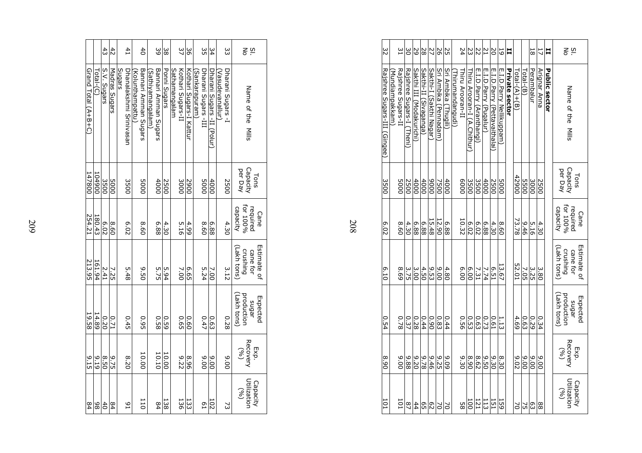|                     |                                    | $\ddot{4}$  | 42            |                    | 41                      | $\overline{4}$                         |                  | 39                   | ပ္တ              |                      | 37                | ပ္တ                     |                | ς<br>Ο              | 34                         |                           | ξ                 | $\frac{5}{5}$                                      |
|---------------------|------------------------------------|-------------|---------------|--------------------|-------------------------|----------------------------------------|------------------|----------------------|------------------|----------------------|-------------------|-------------------------|----------------|---------------------|----------------------------|---------------------------|-------------------|----------------------------------------------------|
| Grand Total (A+B+C) | $\mathsf{Toch}\text{-}\mathsf{CC}$ | S.V. Sugars | Madras Sugars | Suebn <sub>S</sub> | Dhahalakshmi Srinivasar | Bannari Amman Sugars<br>Kolunthampattu | (Sathiyamangalam | Bannari Amman Sugars | Ponni Sugars     | <b>Sathamangalam</b> | Kothari Sugars-II | Kothari Sugars-I Kattur | (Sankarapuram) | Dharani Sugars -III | Dharani Sugars -II (Polur) | (Vas <u>udevanallur</u> ) | Dharani Sugars -I | Name of the<br>Mills                               |
| 147800              | 006701                             | 3500        | 0005          |                    | 3500                    | <b>DOOS</b>                            |                  | 4000                 | 2500             |                      | 3000              | 006Z                    |                | <b>5000</b>         | 4000                       |                           | 2500              | per Day<br>Capacity<br>Tons                        |
| 254.21              | 180.43                             | 6.02        | 09.8          |                    | 6.02                    | 09.8                                   |                  | 6.88                 | 4.30             |                      | 5.16              | 4.99                    |                | 09.8                | 6.88                       |                           | 4.30              | for 100%<br>capacity<br>required<br>Cane           |
| 213.95              | 161.94                             | 2.41        | 7.25          |                    | 5.48                    | 05.0                                   |                  | 5.75                 | 5.94             |                      | 7.00              | G.65                    |                | 5.24                | 7.00                       |                           | 3.12              | Estimate of<br>(Lakh tons)<br>crushing<br>cane for |
| 19.58               | 14.89                              | 0.20        | 0.71          |                    | 0.45                    | 0.95                                   |                  | 0.58                 | 630              |                      | G9.0              | 09.0                    |                | 0.47                | 0.63                       |                           | 0.28              | (Lakh tons)<br>production<br>Expected<br>sugar     |
| $\frac{9}{15}$      | 6 T 6                              | 05.9        | 9.75          |                    | 8.20                    | 10.00                                  |                  | 10.10                | 10.00            |                      | 275               | 96.8                    |                | 00.6                | 0.00                       |                           | 0.06              | Recovery<br>Exp.<br>(96)                           |
| 84                  | 86                                 | $rac{4}{5}$ | 84            |                    | $^{6}$                  | $\overline{11}$                        |                  | $^{64}$              | $\frac{138}{28}$ |                      | 136               | 133                     |                | L9                  | 102                        |                           | 2                 | Utilization<br>Capacity<br>(96)                    |

| × |  |
|---|--|
| I |  |
|   |  |

| 32                           | 51                                    | δ                         | 59                       | 28                    | 27                      | 56                    | SS                          |                                       | 24          | 23                                | 22                       | $\overline{L}$        | ΣO                           | 5                        | 븝              |                 |           | 81            | 11           | 븝                    | <u>g</u> ≍                                         |
|------------------------------|---------------------------------------|---------------------------|--------------------------|-----------------------|-------------------------|-----------------------|-----------------------------|---------------------------------------|-------------|-----------------------------------|--------------------------|-----------------------|------------------------------|--------------------------|----------------|-----------------|-----------|---------------|--------------|----------------------|----------------------------------------------------|
| Rajshree Sugars-III (Gingee) | Rajshree Sugars-II<br>(Mundiampakkam) | Rajshree Sugars-I (Theni) | Sakthi III (Modakurichi) | Sakthi-II (Sivaganga) | Sakthi-I (Sakthi Nagar) | Sri Ambika (Pennadam) | <u>Sri Ambika (Thugili)</u> | Thiru Arooran-II<br>(Thirumandangudi) |             | <u>Thiru Arooran-I (A.Chithur</u> | E.I.D.Parry (Aranthangi) | E.I.D.Parry (Pugalur) | E.I.D.Parry (Pettavaithalai) | E.I.D.Parry Nellikuppam) | Private sector | $Total-(A)+(B)$ | Total-(B) | Perambalur    | Arignar Anna | <b>Public sector</b> | Name of the<br>Mills                               |
| 3500                         | <b>5000</b>                           | 2500                      | $\frac{4000}{2000}$      | 4000                  | 0006                    | 7500                  | 4000                        |                                       | 0009        | 3500                              | 3500                     | 4000                  | 2500                         | <b>5000</b>              |                | 42900           |           | $rac{20}{25}$ | 2500         |                      | Tons<br>Capacity<br>per Day                        |
| 6.02                         | 8.60                                  | 4.30                      | 6.88                     | 6.88                  | 15.48                   | 12.90                 | 6.88                        |                                       | 10.32       | 6.02                              | 6.02                     | 6.88                  | 4.30                         | 8.60                     |                | 73.78           | 9.46      | 5.16          | 4.30         |                      | Cane<br>required<br>for 100%<br>capacity           |
| 6.10                         | 69.8                                  | 3.75                      | 3.00                     | 4.50                  | 9.53                    | 00.6                  | 4.80                        |                                       | 00'9        | 00.9                              | 7.31                     | 7.74                  | <b>6.51</b>                  | 13.67                    |                | 52.01           | 7.05      | 3.25          | 3.80         |                      | Estimate of<br>(Lakh tons)<br>crushing<br>cane for |
| <b>D.54</b>                  | 0.78                                  | 0.37                      | 0.28                     | 0.44                  | 06.0                    | 0.83                  | 0.44                        |                                       | <b>D.56</b> | 0.53                              | 0.63                     | 0.73                  | 0.61                         | 1.13                     |                | 4.69            | 0.63      | 0.29          | 0.34         |                      | Lakh tons)<br>sugar<br>production<br>Expected      |
| 06.8                         | 00.6                                  | 9.88                      | $-9.20$                  | 9.78                  | $9 + 6$                 | <b>9.25</b>           | 60'6                        |                                       | 9.30        | 06.8                              | 8.62                     | 05.0                  | 9.30                         | 8.30                     |                | 20'6            | 00.6      | 9.00          | 006          |                      | Exp.<br>  Recovery  <br>(%)                        |
| $\overline{101}$             | $\overline{101}$                      | $^{25}$                   | 44                       | $\frac{6}{5}$         |                         | š                     | $\geq$                      |                                       | 58          | $\overline{5}$                    | 121                      | 113                   | 121                          | 159                      |                | 2               | Σ,        | 63            | 88           |                      | Capacity<br>Utilization<br>(96)                    |